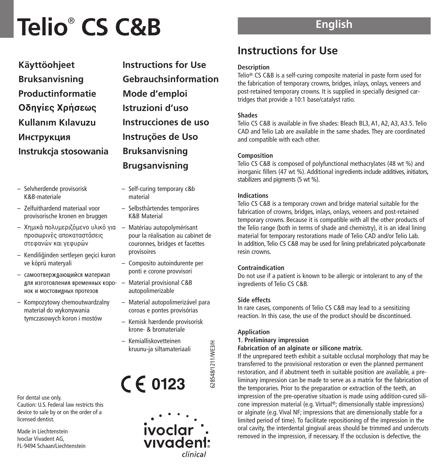| Käyttöohjeet          |
|-----------------------|
| <b>Bruksanvisning</b> |
| Productinformatie     |
| Οδηγίες Χρήσεως       |
| Kullanım Kılavuzu     |
| Инструкция            |
| Instrukcja stosowania |

- Selvherdende provisorisk K&B-materiale
- Zelfuithardend materiaal voor provisorische kronen en bruggen
- Χημικά πολυμεριζόμενο υλικό για προσωρινές αποκαταστάσεις στεφανών και γεφυρών
- Kendiliğinden sertleşen geçici kuron ve köprü materyali
- самоотвержлаюшийся материал лля изготовления временных коро-**НОК И МОСТОВИЛНЫХ ПРОТЕЗОВ**
- Kompozytowy chemoutwardzalny materiał do wykonywania tymczasowych koron i mostów

For dental use only. Caution: U.S. Federal law restricts this device to sale by or on the order of a licensed dentist.

Made in Liechtenstein Ivoclar Vivadent AG, FL-9494 Schaan/Liechtenstein

**Instructions for Use Gebrauchsinformation Mode d'emploi Istruzioni d'uso Instrucciones de uso Instruções de Uso Bruksanvisning Brugsanvisning**

- Self-curing temporary c&b material
- Selbsthärtendes temporäres K&B Material
- Matériau autopolymérisant pour la réalisation au cabinet de couronnes, bridges et facettes provisoires
- Composito autoindurente per ponti e corone provvisori
- Material provisional C&B autopolimerizable
- Material autopolimerizável para coroas e pontes provisórias
- Kemisk hærdende provisorisk krone- & bromateriale
- Kemialliskovetteinen kruunu-ja siltamateriaali

 $C \in 0123$ 



# **English**

# **Instructions for Use**

## **Description**

Telio® CS C&B is a self-curing composite material in paste form used for the fabrication of temporary crowns, bridges, inlays, onlays, veneers and post-retained temporary crowns. It is supplied in specially designed cartridges that provide a 10:1 base/catalyst ratio.

# **Shades**

Telio CS C&B is available in five shades: Bleach BL3, A1, A2, A3, A3.5. Telio CAD and Telio Lab are available in the same shades. They are coordinated and compatible with each other.

## **Composition**

Telio CS C&B is composed of polyfunctional methacrylates (48 wt %) and inorganic fillers (47 wt %). Additional ingredients include additives, initiators, stabilizers and pigments (5 wt %).

## **Indications**

Telio CS C&B is a temporary crown and bridge material suitable for the fabrication of crowns, bridges, inlays, onlays, veneers and post-retained temporary crowns. Because it is compatible with all the other products of the Telio range (both in terms of shade and chemistry), it is an ideal lining material for temporary restorations made of Telio CAD and/or Telio Lab. In addition, Telio CS C&B may be used for lining prefabricated polycarbonate resin crowns.

#### **Contraindication**

Do not use if a patient is known to be allergic or intolerant to any of the ingredients of Telio CS C&B.

# **Side effects**

In rare cases, components of Telio CS C&B may lead to a sensitizing reaction. In this case, the use of the product should be discontinued.

# **Application**

628548/1211/WE3/H

328548/1211/WE3/H

#### **1. Preliminary impression**

#### **Fabrication of an alginate or silicone matrix.**

If the unprepared teeth exhibit a suitable occlusal morphology that may be transferred to the provisional restoration or even the planned permanent restoration, and if abutment teeth in suitable position are available, a preliminary impression can be made to serve as a matrix for the fabrication of the temporaries. Prior to the preparation or extraction of the teeth, an impression of the pre-operative situation is made using addition-cured silicone impression material (e.g. Virtual ®; dimensionally stable impressions) or alginate (e.g. Vival NF; impressions that are dimensionally stable for a limited period of time). To facilitate repositioning of the impression in the oral cavity, the interdental gingival areas should be trimmed and undercuts removed in the impression, if necessary. If the occlusion is defective, the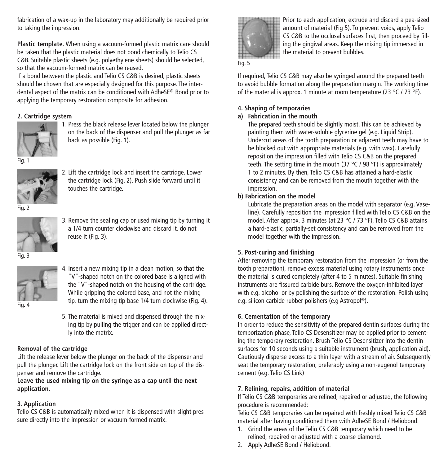fabrication of a wax-up in the laboratory may additionally be required prior to taking the impression.

**Plastic template.** When using a vacuum-formed plastic matrix care should be taken that the plastic material does not bond chemically to Telio CS C&B. Suitable plastic sheets (e.g. polyethylene sheets) should be selected, so that the vacuum-formed matrix can be reused.

If a bond between the plastic and Telio CS C&B is desired, plastic sheets should be chosen that are especially designed for this purpose. The interdental aspect of the matrix can be conditioned with AdheSE® Bond prior to applying the temporary restoration composite for adhesion.

# **2. Cartridge system**



1. Press the black release lever located below the plunger on the back of the dispenser and pull the plunger as far back as possible (Fig. 1).

Fig. 1



2. Lift the cartridge lock and insert the cartridge. Lower the cartridge lock (Fig. 2). Push slide forward until it touches the cartridge.

Fig. 2



3. Remove the sealing cap or used mixing tip by turning it a 1/4 turn counter clockwise and discard it, do not reuse it (Fig. 3).

Fig. 3



- 4. Insert a new mixing tip in a clean motion, so that the "V"-shaped notch on the colored base is aligned with the "V"-shaped notch on the housing of the cartridge. While gripping the colored base, and not the mixing tip, turn the mixing tip base 1/4 turn clockwise (Fig. 4).
- Fig. 4
- 5. The material is mixed and dispensed through the mixing tip by pulling the trigger and can be applied directly into the matrix.

#### **Removal of the cartridge**

Lift the release lever below the plunger on the back of the dispenser and pull the plunger. Lift the cartridge lock on the front side on top of the dispenser and remove the cartridge.

**Leave the used mixing tip on the syringe as a cap until the next application.**

# **3. Application**

Telio CS C&B is automatically mixed when it is dispensed with slight pressure directly into the impression or vacuum-formed matrix.



Prior to each application, extrude and discard a pea-sized amount of material (Fig 5). To prevent voids, apply Telio CS C&B to the occlusal surfaces first, then proceed by filling the gingival areas. Keep the mixing tip immersed in the material to prevent bubbles.

# Fig. 5

If required, Telio CS C&B may also be syringed around the prepared teeth to avoid bubble formation along the preparation margin. The working time of the material is approx. 1 minute at room temperature (23 °C / 73 °F).

# **4. Shaping of temporaries**

# **a) Fabrication in the mouth**

The prepared teeth should be slightly moist. This can be achieved by painting them with water-soluble glycerine gel (e.g. Liquid Strip). Undercut areas of the tooth preparation or adjacent teeth may have to be blocked out with appropriate materials (e.g. with wax). Carefully reposition the impression filled with Telio CS C&B on the prepared teeth. The setting time in the mouth (37 °C / 98 °F) is approximately 1 to 2 minutes. By then, Telio CS C&B has attained a hard-elastic consistency and can be removed from the mouth together with the impression.

# **b) Fabrication on the model**

Lubricate the preparation areas on the model with separator (e.g. Vaseline). Carefully reposition the impression filled with Telio CS C&B on the model. After approx. 3 minutes (at 23 °C / 73 °F), Telio CS C&B attains a hard-elastic, partially-set consistency and can be removed from the model together with the impression.

# **5. Post-curing and finishing**

After removing the temporary restoration from the impression (or from the tooth preparation), remove excess material using rotary instruments once the material is cured completely (after 4 to 5 minutes). Suitable finishing instruments are fissured carbide burs. Remove the oxygen-inhibited layer with e.g. alcohol or by polishing the surface of the restoration. Polish using e.g. silicon carbide rubber polishers (e.g Astropol ®).

#### **6. Cementation of the temporary**

In order to reduce the sensitivity of the prepared dentin surfaces during the temporization phase, Telio CS Desensitizer may be applied prior to cementing the temporary restoration. Brush Telio CS Desensitizer into the dentin surfaces for 10 seconds using a suitable instrument (brush, application aid). Cautiously disperse excess to a thin layer with a stream of air. Subsequently seat the temporary restoration, preferably using a non-eugenol temporary cement (e.g. Telio CS Link)

# **7. Relining, repairs, addition of material**

If Telio CS C&B temporaries are relined, repaired or adjusted, the following procedure is recommended:

Telio CS C&B temporaries can be repaired with freshly mixed Telio CS C&B material after having conditioned them with AdheSE Bond / Heliobond.

- 1. Grind the areas of the Telio CS C&B temporary which need to be relined, repaired or adjusted with a coarse diamond.
- 2. Apply AdheSE Bond / Heliobond.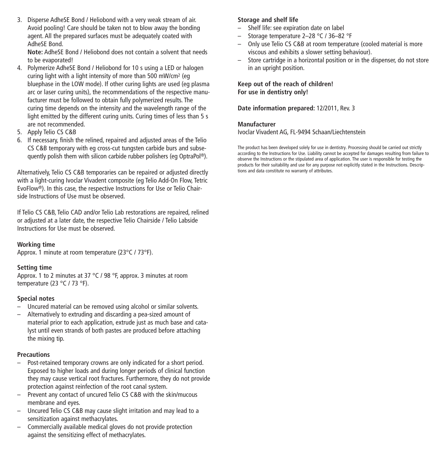3. Disperse AdheSE Bond / Heliobond with a very weak stream of air. Avoid pooling! Care should be taken not to blow away the bonding agent. All the prepared surfaces must be adequately coated with AdheSE Bond.

**Note:** AdheSE Bond / Heliobond does not contain a solvent that needs to be evaporated!

- 4. Polymerize AdheSE Bond / Heliobond for 10 s using a LED or halogen curing light with a light intensity of more than 500 mW/cm2 (eg bluephase in the LOW mode). If other curing lights are used (eg plasma arc or laser curing units), the recommendations of the respective manufacturer must be followed to obtain fully polymerized results. The curing time depends on the intensity and the wavelength range of the light emitted by the different curing units. Curing times of less than 5 s are not recommended.
- 5. Apply Telio CS C&B
- 6. If necessary, finish the relined, repaired and adjusted areas of the Telio CS C&B temporary with eg cross-cut tungsten carbide burs and subsequently polish them with silicon carbide rubber polishers (eg OptraPol ®).

Alternatively, Telio CS C&B temporaries can be repaired or adjusted directly with a light-curing Ivoclar Vivadent composite (eg Telio Add-On Flow, Tetric EvoFlow®). In this case, the respective Instructions for Use or Telio Chairside Instructions of Use must be observed.

If Telio CS C&B, Telio CAD and/or Telio Lab restorations are repaired, relined or adjusted at a later date, the respective Telio Chairside / Telio Labside Instructions for Use must be observed.

#### **Working time**

Approx. 1 minute at room temperature (23°C / 73°F).

#### **Setting time**

Approx. 1 to 2 minutes at 37 °C / 98 °F, approx. 3 minutes at room temperature (23 °C / 73 °F).

#### **Special notes**

- Uncured material can be removed using alcohol or similar solvents.
- Alternatively to extruding and discarding a pea-sized amount of material prior to each application, extrude just as much base and catalyst until even strands of both pastes are produced before attaching the mixing tip.

## **Precautions**

- Post-retained temporary crowns are only indicated for a short period. Exposed to higher loads and during longer periods of clinical function they may cause vertical root fractures. Furthermore, they do not provide protection against reinfection of the root canal system.
- Prevent any contact of uncured Telio CS C&B with the skin/mucous membrane and eyes.
- Uncured Telio CS C&B may cause slight irritation and may lead to a sensitization against methacrylates.
- Commercially available medical gloves do not provide protection against the sensitizing effect of methacrylates.

# **Storage and shelf life**

- Shelf life: see expiration date on label
- Storage temperature 2–28 °C / 36–82 °F
- Only use Telio CS C&B at room temperature (cooled material is more viscous and exhibits a slower setting behaviour).
- Store cartridge in a horizontal position or in the dispenser, do not store in an upright position.

**Keep out of the reach of children! For use in dentistry only!**

**Date information prepared:** 12/2011, Rev. 3

#### **Manufacturer**

Ivoclar Vivadent AG, FL-9494 Schaan/Liechtenstein

The product has been developed solely for use in dentistry. Processing should be carried out strictly according to the Instructions for Use. Liability cannot be accepted for damages resulting from failure to observe the Instructions or the stipulated area of application. The user is responsible for testing the products for their suitability and use for any purpose not explicitly stated in the Instructions. Descriptions and data constitute no warranty of attributes.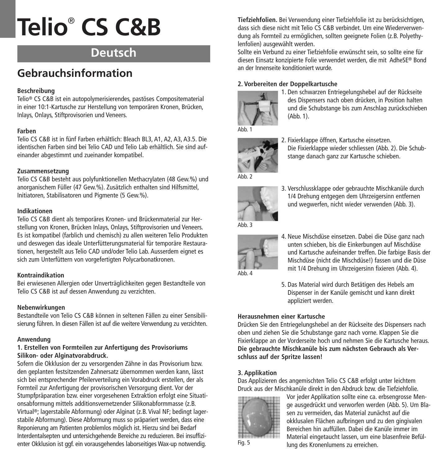# **Deutsch**

# **Gebrauchsinformation**

# **Beschreibung**

Telio® CS C&B ist ein autopolymerisierendes, pastöses Compositematerial in einer 10:1-Kartusche zur Herstellung von temporären Kronen, Brücken, Inlays, Onlays, Stiftprovisorien und Veneers.

#### **Farben**

Telio CS C&B ist in fünf Farben erhältlich: Bleach BL3, A1, A2, A3, A3.5. Die identischen Farben sind bei Telio CAD und Telio Lab erhältlich. Sie sind aufeinander abgestimmt und zueinander kompatibel.

#### **Zusammensetzung**

Telio CS C&B besteht aus polyfunktionellen Methacrylaten (48 Gew.%) und anorganischem Füller (47 Gew.%). Zusätzlich enthalten sind Hilfsmittel, Initiatoren, Stabilisatoren und Pigmente (5 Gew.%).

#### **Indikationen**

Telio CS C&B dient als temporäres Kronen- und Brückenmaterial zur Herstellung von Kronen, Brücken Inlays, Onlays, Stiftprovisorien und Veneers. Es ist kompatibel (farblich und chemisch) zu allen weiteren Telio Produkten und deswegen das ideale Unterfütterungsmaterial für temporäre Restaurationen, hergestellt aus Telio CAD und/oder Telio Lab. Ausserdem eignet es sich zum Unterfüttern von vorgefertigten Polycarbonatkronen.

#### **Kontraindikation**

Bei erwiesenen Allergien oder Unverträglichkeiten gegen Bestandteile von Telio CS C&B ist auf dessen Anwendung zu verzichten.

#### **Nebenwirkungen**

Bestandteile von Telio CS C&B können in seltenen Fällen zu einer Sensibilisierung führen. In diesen Fällen ist auf die weitere Verwendung zu verzichten.

#### **Anwendung**

## **1. Erstellen von Formteilen zur Anfertigung des Provisoriums Silikon- oder Alginatvorabdruck.**

Sofern die Okklusion der zu versorgenden Zähne in das Provisorium bzw. den geplanten festsitzenden Zahnersatz übernommen werden kann, lässt sich bei entsprechender Pfeilerverteilung ein Vorabdruck erstellen, der als Formteil zur Anfertigung der provisorischen Versorgung dient. Vor der Stumpfpräparation bzw. einer vorgesehenen Extraktion erfolgt eine Situationsabformung mittels additionsvernetzender Silikonabformmasse (z.B. Virtual ®; lagerstabile Abformung) oder Alginat (z.B. Vival NF; bedingt lagerstabile Abformung). Diese Abformung muss so präpariert werden, dass eine Reponierung am Patienten problemlos möglich ist. Hierzu sind bei Bedarf Interdentalsepten und untersichgehende Bereiche zu reduzieren. Bei insuffizienter Okklusion ist ggf. ein vorausgehendes laborseitiges Wax-up notwendig.

**Tiefziehfolien.** Bei Verwendung einer Tiefziehfolie ist zu berücksichtigen, dass sich diese nicht mit Telio CS C&B verbindet. Um eine Wiederverwendung als Formteil zu ermöglichen, sollten geeignete Folien (z.B. Polyethylenfolien) ausgewählt werden.

Sollte ein Verbund zu einer Tiefziehfolie erwünscht sein, so sollte eine für diesen Einsatz konzipierte Folie verwendet werden, die mit AdheSE® Bond an der Innenseite konditioniert wurde.

# **2. Vorbereiten der Doppelkartusche**



1. Den schwarzen Entriegelungshebel auf der Rückseite des Dispensers nach oben drücken, in Position halten und die Schubstange bis zum Anschlag zurückschieben (Abb. 1).



2. Fixierklappe öffnen, Kartusche einsetzen. Die Fixierklappe wieder schliessen (Abb. 2). Die Schubstange danach ganz zur Kartusche schieben.



3. Verschlussklappe oder gebrauchte Mischkanüle durch 1/4 Drehung entgegen dem Uhrzeigersinn entfernen und wegwerfen, nicht wieder verwenden (Abb. 3).



4. Neue Mischdüse einsetzen. Dabei die Düse ganz nach unten schieben, bis die Einkerbungen auf Mischdüse und Kartusche aufeinander treffen. Die farbige Basis der Mischdüse (nicht die Mischdüse!) fassen und die Düse mit 1/4 Drehung im Uhrzeigersinn fixieren (Abb. 4).



5. Das Material wird durch Betätigen des Hebels am Dispenser in der Kanüle gemischt und kann direkt appliziert werden.

# **Herausnehmen einer Kartusche**

Drücken Sie den Entriegelungshebel an der Rückseite des Dispensers nach oben und ziehen Sie die Schubstange ganz nach vorne. Klappen Sie die Fixierklappe an der Vorderseite hoch und nehmen Sie die Kartusche heraus. **Die gebrauchte Mischkanüle bis zum nächsten Gebrauch als Verschluss auf der Spritze lassen!**

#### **3. Applikation**

Das Applizieren des angemischten Telio CS C&B erfolgt unter leichtem Druck aus der Mischkanüle direkt in den Abdruck bzw. die Tiefziehfolie.



Vor jeder Applikation sollte eine ca. erbsengrosse Menge ausgedrückt und verworfen werden (Abb. 5). Um Blasen zu vermeiden, das Material zunächst auf die okklusalen Flächen aufbringen und zu den gingivalen Bereichen hin auffüllen. Dabei die Kanüle immer im Material eingetaucht lassen, um eine blasenfreie Befüllung des Kronenlumens zu erreichen.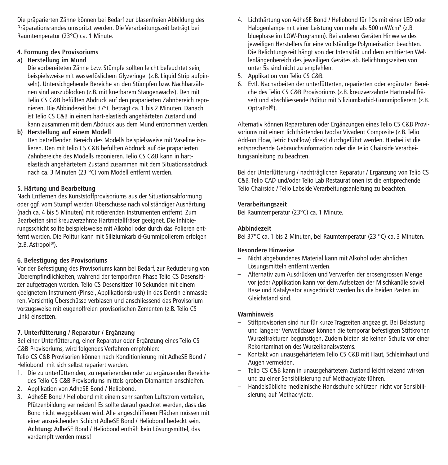Die präparierten Zähne können bei Bedarf zur blasenfreien Abbildung des Präparationsrandes umspritzt werden. Die Verarbeitungszeit beträgt bei Raumtemperatur (23°C) ca. 1 Minute.

# **4. Formung des Provisoriums**

## **a) Herstellung im Mund**

Die vorbereiteten Zähne bzw. Stümpfe sollten leicht befeuchtet sein, beispielsweise mit wasserlöslichem Glyzeringel (z.B. Liquid Strip aufpinseln). Untersichgehende Bereiche an den Stümpfen bzw. Nachbarzähnen sind auszublocken (z.B. mit knetbarem Stangenwachs). Den mit Telio CS C&B befüllten Abdruck auf den präparierten Zahnbereich reponieren. Die Abbindezeit bei 37°C beträgt ca. 1 bis 2 Minuten. Danach ist Telio CS C&B in einem hart-elastisch angehärteten Zustand und kann zusammen mit dem Abdruck aus dem Mund entnommen werden.

## **b) Herstellung auf einem Modell**

Den betreffenden Bereich des Modells beispielsweise mit Vaseline isolieren. Den mit Telio CS C&B befüllten Abdruck auf die präparierten Zahnbereiche des Modells reponieren. Telio CS C&B kann in hartelastisch angehärtetem Zustand zusammen mit dem Situationsabdruck nach ca. 3 Minuten (23 °C) vom Modell entfernt werden.

## **5. Härtung und Bearbeitung**

Nach Entfernen des Kunststoffprovisoriums aus der Situationsabformung oder ggf. vom Stumpf werden Überschüsse nach vollständiger Aushärtung (nach ca. 4 bis 5 Minuten) mit rotierenden Instrumenten entfernt. Zum Bearbeiten sind kreuzverzahnte Hartmetallfräser geeignet. Die Inhibierungsschicht sollte beispielsweise mit Alkohol oder durch das Polieren entfernt werden. Die Politur kann mit Siliziumkarbid-Gummipolierern erfolgen (z.B. Astropol ®).

#### **6. Befestigung des Provisoriums**

Vor der Befestigung des Provisoriums kann bei Bedarf, zur Reduzierung von Überempfindlichkeiten, während der temporären Phase Telio CS Desensitizer aufgetragen werden. Telio CS Desensitizer 10 Sekunden mit einem geeignetem Instrument (Pinsel, Applikationsbrush) in das Dentin einmassieren. Vorsichtig Überschüsse verblasen und anschliessend das Provisorium vorzugsweise mit eugenolfreien provisorischen Zementen (z.B. Telio CS Link) einsetzen.

# **7. Unterfütterung / Reparatur / Ergänzung**

Bei einer Unterfütterung, einer Reparatur oder Ergänzung eines Telio CS C&B Provisoriums, wird folgendes Verfahren empfohlen:

Telio CS C&B Provisorien können nach Konditionierung mit AdheSE Bond / Heliobond mit sich selbst repariert werden.

- 1. Die zu unterfütternden, zu reparierenden oder zu ergänzenden Bereiche des Telio CS C&B Provisoriums mittels groben Diamanten anschleifen.
- 2. Applikation von AdheSE Bond / Heliobond.
- 3. AdheSE Bond / Heliobond mit einem sehr sanften Luftstrom verteilen, Pfützenbildung vermeiden! Es sollte darauf geachtet werden, dass das Bond nicht weggeblasen wird. Alle angeschliffenen Flächen müssen mit einer ausreichenden Schicht AdheSE Bond / Heliobond bedeckt sein. **Achtung:** AdheSE Bond / Heliobond enthält kein Lösungsmittel, das verdampft werden muss!
- 4. Lichthärtung von AdheSE Bond / Heliobond für 10s mit einer LED oder Halogenlampe mit einer Leistung von mehr als 500 mW/cm2 (z.B. bluephase im LOW-Programm). Bei anderen Geräten Hinweise des jeweiligen Herstellers für eine vollständige Polymerisation beachten. Die Belichtungszeit hängt von der Intensität und dem emittierten Wellenlängenbereich des jeweiligen Gerätes ab. Belichtungszeiten von unter 5s sind nicht zu empfehlen.
- 5. Applikation von Telio CS C&B.
- 6. Evtl. Nacharbeiten der unterfütterten, reparierten oder ergänzten Bereiche des Telio CS C&B Provisoriums (z.B. kreuzverzahnte Hartmetallfräser) und abschliessende Politur mit Siliziumkarbid-Gummipolierern (z.B. OptraPol ®).

Alternativ können Reparaturen oder Ergänzungen eines Telio CS C&B Provisoriums mit einem lichthärtenden Ivoclar Vivadent Composite (z.B. Telio Add-on Flow, Tetric EvoFlow) direkt durchgeführt werden. Hierbei ist die entsprechende Gebrauchsinformation oder die Telio Chairside Verarbeitungsanleitung zu beachten.

Bei der Unterfütterung / nachträglichen Reparatur / Ergänzung von Telio CS C&B, Telio CAD und/oder Telio Lab Restaurationen ist die entsprechende Telio Chairside / Telio Labside Verarbeitungsanleitung zu beachten.

#### **Verarbeitungszeit**

Bei Raumtemperatur (23°C) ca. 1 Minute.

#### **Abbindezeit**

Bei 37°C ca. 1 bis 2 Minuten, bei Raumtemperatur (23 °C) ca. 3 Minuten.

#### **Besondere Hinweise**

- Nicht abgebundenes Material kann mit Alkohol oder ähnlichen Lösungsmitteln entfernt werden.
- Alternativ zum Ausdrücken und Verwerfen der erbsengrossen Menge vor jeder Applikation kann vor dem Aufsetzen der Mischkanüle soviel Base und Katalysator ausgedrückt werden bis die beiden Pasten im Gleichstand sind.

#### **Warnhinweis**

- Stiftprovisorien sind nur für kurze Tragzeiten angezeigt. Bei Belastung und längerer Verweildauer können die temporär befestigten Stiftkronen Wurzelfrakturen begünstigen. Zudem bieten sie keinen Schutz vor einer Rekontamination des Wurzelkanalsystems.
- Kontakt von unausgehärtetem Telio CS C&B mit Haut, Schleimhaut und Augen vermeiden.
- Telio CS C&B kann in unausgehärtetem Zustand leicht reizend wirken und zu einer Sensibilisierung auf Methacrylate führen.
- Handelsübliche medizinische Handschuhe schützen nicht vor Sensibilisierung auf Methacrylate.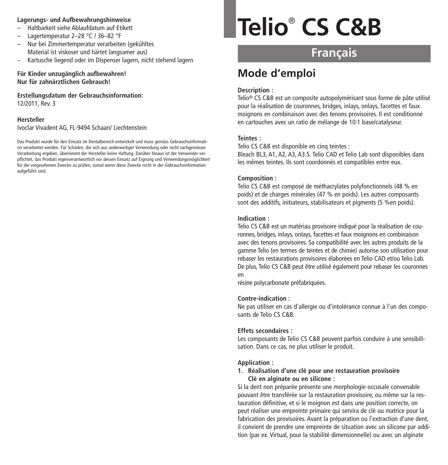#### **Lagerungs- und Aufbewahrungshinweise**

- Haltbarkeit siehe Ablaufdatum auf Etikett
- Lagertemperatur 2–28 °C / 36–82 °F
- Nur bei Zimmertemperatur verarbeiten (gekühltes Material ist viskoser und härtet langsamer aus)
- Kartusche liegend oder im Dispenser lagern, nicht stehend lagern

#### **Für Kinder unzugänglich aufbewahren! Nur für zahnärztlichen Gebrauch!**

**Erstellungsdatum der Gebrauchsinformation:** 12/2011, Rev. 3

#### **Hersteller**

Ivoclar Vivadent AG, FL-9494 Schaan/ Liechtenstein

Das Produkt wurde für den Einsatz im Dentalbereich entwickelt und muss gemäss Gebrauchsinformation verarbeitet werden. Für Schäden, die sich aus anderweitiger Verwendung oder nicht sachgemässer Verarbeitung ergeben, übernimmt der Hersteller keine Haftung. Darüber hinaus ist der Verwender verpflichtet, das Produkt eigenverantwortlich vor dessen Einsatz auf Eignung und Verwendungsmöglichkeit für die vorgesehenen Zwecke zu prüfen, zumal wenn diese Zwecke nicht in der Gebrauchsinformation aufgeführt sind.

# **Telio**® **CS C&B**

# **Français**

# **Mode d'emploi**

#### **Description :**

Telio® CS C&B est un composite autopolymérisant sous forme de pâte utilisé pour la réalisation de couronnes, bridges, inlays, onlays, facettes et faux moignons en combinaison avec des tenons provisoires. Il est conditionné en cartouches avec un ratio de mélange de 10:1 base/catalyseur.

#### **Teintes :**

Telio CS C&B est disponible en cinq teintes :

Bleach BL3, A1, A2, A3, A3.5. Telio CAD et Telio Lab sont disponibles dans les mêmes teintes. Ils sont coordonnés et compatibles entre eux.

#### **Composition :**

Telio CS C&B est composé de méthacrylates polyfonctionnels (48 % en poids) et de charges minérales (47 % en poids). Les autres composants sont des additifs, initiateurs, stabilisateurs et pigments (5 %en poids).

#### **Indication :**

Telio CS C&B est un matériau provisoire indiqué pour la réalisation de couronnes, bridges, inlays, onlays, facettes et faux moignons en combinaison avec des tenons provisoires. Sa compatibilité avec les autres produits de la gamme Telio (en termes de teintes et de chimie) autorise son utilisation pour rebaser les restaurations provisoires élaborées en Telio CAD et/ou Telio Lab. De plus, Telio CS C&B peut être utilisé également pour rebaser les couronnes en

résine polycarbonate préfabriquées.

#### **Contre-indication :**

Ne pas utiliser en cas d'allergie ou d'intolérance connue à l'un des composants de Telio CS C&B.

#### **Effets secondaires :**

Les composants de Telio CS C&B peuvent parfois conduire à une sensibilisation. Dans ce cas, ne plus utiliser le produit.

#### **Application :**

**1. Réalisation d'une clé pour une restauration provisoire Clé en alginate ou en silicone :**

Si la dent non préparée présente une morphologie occusale convenable pouvant être transférée sur la restauration provisoire, ou même sur la restauration définitive, et si le moignon est dans une position correcte, on peut réaliser une empreinte primaire qui servira de clé ou matrice pour la fabrication des provisoires. Avant la préparation ou l'extraction d'une dent, il convient de prendre une empreinte de situation avec un silicone par addition (par ex. Virtual, pour la stabilité dimensionnelle) ou avec un alginate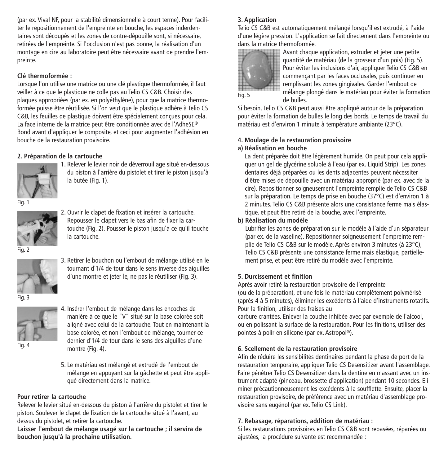(par ex. Vival NF, pour la stabilité dimensionnelle à court terme). Pour faciliter le repositionnement de l'empreinte en bouche, les espaces inderdentaires sont découpés et les zones de contre-dépouille sont, si nécessaire, retirées de l'empreinte. Si l'occlusion n'est pas bonne, la réalisation d'un montage en cire au laboratoire peut être nécessaire avant de prendre l'empreinte.

#### **Clé thermoformée :**

Lorsque l'on utilise une matrice ou une clé plastique thermoformée, il faut veiller à ce que le plastique ne colle pas au Telio CS C&B. Choisir des plaques appropriées (par ex. en polyéthylène), pour que la matrice thermoformée puisse être réutilisée. Si l'on veut que le plastique adhère à Telio CS C&B, les feuilles de plastique doivent être spécialement conçues pour cela. La face interne de la matrice peut être conditionnée avec de l'AdheSE® Bond avant d'appliquer le composite, et ceci pour augmenter l'adhésion en bouche de la restauration provisoire.

# **2. Préparation de la cartouche**



1. Relever le levier noir de déverrouillage situé en-dessous du piston à l'arrière du pistolet et tirer le piston jusqu'à la butée (Fig. 1).

Fig. 1



2. Ouvrir le clapet de fixation et insérer la cartouche. Repousser le clapet vers le bas afin de fixer la cartouche (Fig. 2). Pousser le piston jusqu'à ce qu'il touche la cartouche.

Fig. 2



3. Retirer le bouchon ou l'embout de mélange utilisé en le tournant d'1/4 de tour dans le sens inverse des aiguilles d'une montre et jeter le, ne pas le réutiliser (Fig. 3).

Fig. 3



Fig. 4

4. Insérer l'embout de mélange dans les encoches de manière à ce que le "V" situé sur la base colorée soit aligné avec celui de la cartouche. Tout en maintenant la base colorée, et non l'embout de mélange, tourner ce dernier d'1/4 de tour dans le sens des aiguilles d'une montre (Fig. 4).

5. Le matériau est mélangé et extrudé de l'embout de mélange en appuyant sur la gâchette et peut être appliqué directement dans la matrice.

#### **Pour retirer la cartouche**

Relever le levier situé en-dessous du piston à l'arrière du pistolet et tirer le piston. Soulever le clapet de fixation de la cartouche situé à l'avant, au dessus du pistolet, et retirer la cartouche.

**Laisser l'embout de mélange usagé sur la cartouche ; il servira de bouchon jusqu'à la prochaine utilisation.**

# **3. Application**

Telio CS C&B est automatiquement mélangé lorsqu'il est extrudé, à l'aide d'une légère pression. L'application se fait directement dans l'empreinte ou dans la matrice thermoformée.



Avant chaque application, extruder et jeter une petite quantité de matériau (de la grosseur d'un pois) (Fig. 5). Pour éviter les inclusions d'air, appliquer Telio CS C&B en commençant par les faces occlusales, puis continuer en remplissant les zones gingivales. Garder l'embout de mélange plongé dans le matériau pour éviter la formation

de bulles. Si besoin, Telio CS C&B peut aussi être appliqué autour de la préparation

pour éviter la formation de bulles le long des bords. Le temps de travail du matériau est d'environ 1 minute à température ambiante (23°C).

#### **4. Moulage de la restauration provisoire a) Réalisation en bouche**

La dent préparée doit être légèrement humide. On peut pour cela appliquer un gel de glycérine soluble à l'eau (par ex. Liquid Strip). Les zones dentaires déjà préparées ou les dents adjacentes peuvent nécessiter d'être mises de dépouille avec un matériau approprié (par ex. avec de la cire). Repositionner soigneusement l'empreinte remplie de Telio CS C&B sur la préparation. Le temps de prise en bouche (37°C) est d'environ 1 à 2 minutes. Telio CS C&B présente alors une consistance ferme mais élastique, et peut être retiré de la bouche, avec l'empreinte.

# **b) Réalisation du modèle**

Lubrifier les zones de préparation sur le modèle à l'aide d'un séparateur (par ex. de la vaseline). Repositionner soigneusement l'empreinte remplie de Telio CS C&B sur le modèle. Après environ 3 minutes (à 23°C), Telio CS C&B présente une consistance ferme mais élastique, partiellement prise, et peut être retiré du modèle avec l'empreinte.

# **5. Durcissement et finition**

Après avoir retiré la restauration provisoire de l'empreinte (ou de la préparation), et une fois le matériau complètement polymérisé (après 4 à 5 minutes), éliminer les excédents à l'aide d'instruments rotatifs. Pour la finition, utiliser des fraises au

carbure crantées. Enlever la couche inhibée avec par exemple de l'alcool, ou en polissant la surface de la restauration. Pour les finitions, utiliser des pointes à polir en silicone (par ex. Astropol ®).

# **6. Scellement de la restauration provisoire**

Afin de réduire les sensibilités dentinaires pendant la phase de port de la restauration temporaire, appliquer Telio CS Desensitizer avant l'assemblage. Faire pénétrer Telio CS Desensitizer dans la dentine en massant avec un instrument adapté (pinceau, brossette d'application) pendant 10 secondes. Eliminer précautionneusement les excédents à la soufflette. Ensuite, placer la restauration provisoire, de préférence avec un matériau d'assemblage provisoire sans eugénol (par ex. Telio CS Link).

# **7. Rebasage, réparations, addition de matériau :**

Si les restaurations provisoires en Telio CS C&B sont rebasées, réparées ou ajustées, la procédure suivante est recommandée :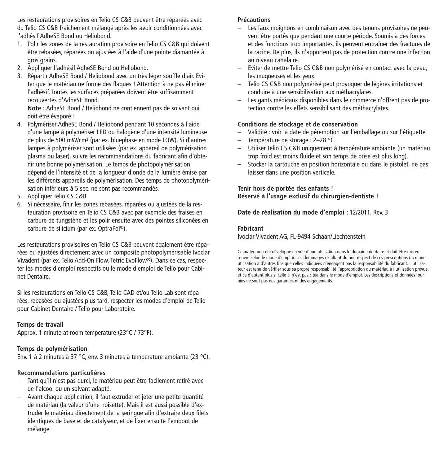Les restaurations provisoires en Telio CS C&B peuvent être réparées avec du Telio CS C&B fraîchement mélangé après les avoir conditionnées avec l'adhésif AdheSE Bond ou Heliobond.

- 1. Polir les zones de la restauration provisoire en Telio CS C&B qui doivent être rebasées, réparées ou ajustées à l'aide d'une pointe diamantée à gros grains.
- 2. Appliquer l'adhésif AdheSE Bond ou Heliobond.
- 3. Répartir AdheSE Bond / Heliobond avec un très léger souffle d'air. Eviter que le matériau ne forme des flaques ! Attention à ne pas éliminer l'adhésif. Toutes les surfaces préparées doivent être suffisamment recouvertes d'AdheSE Bond.

**Note :** AdheSE Bond / Heliobond ne contiennent pas de solvant qui doit être évaporé !

- 4. Polymériser AdheSE Bond / Heliobond pendant 10 secondes à l'aide d'une lampe à polymériser LED ou halogène d'une intensité lumineuse de plus de 500 mW/cm2 (par ex. bluephase en mode LOW). Si d'autres lampes à polymériser sont utilisées (par ex. appareil de polymérisation plasma ou laser), suivre les recommandations du fabricant afin d'obtenir une bonne polymérisation. Le temps de photopolymérisation dépend de l'intensité et de la longueur d'onde de la lumière émise par les différents appareils de polymérisation. Des temps de photopolymérisation inférieurs à 5 sec. ne sont pas recommandés.
- 5. Appliquer Telio CS C&B
- 6. Si nécessaire, finir les zones rebasées, réparées ou ajustées de la restauration provisoire en Telio CS C&B avec par exemple des fraises en carbure de tungstène et les polir ensuite avec des pointes siliconées en carbure de silicium (par ex. OptraPol ®).

Les restaurations provisoires en Telio CS C&B peuvent également être réparées ou ajustées directement avec un composite photopolymérisable Ivoclar Vivadent (par ex. Telio Add-On Flow, Tetric EvoFlow®). Dans ce cas, respecter les modes d'emploi respectifs ou le mode d'emploi de Telio pour Cabinet Dentaire.

Si les restaurations en Telio CS C&B, Telio CAD et/ou Telio Lab sont réparées, rebasées ou ajustées plus tard, respecter les modes d'emploi de Telio pour Cabinet Dentaire / Telio pour Laboratoire.

#### **Temps de travail**

Approx. 1 minute at room temperature (23°C / 73°F).

#### **Temps de polymérisation**

Env. 1 à 2 minutes à 37 °C, env. 3 minutes à temperature ambiante (23 °C).

#### **Recommandations particulières**

- Tant qu'il n'est pas durci, le matériau peut être facilement retiré avec de l'alcool ou un solvant adapté.
- Avant chaque application, il faut extruder et jeter une petite quantité de matériau (la valeur d'une noisette). Mais il est aussi possible d'extruder le matériau directement de la seringue afin d'extraire deux filets identiques de base et de catalyseur, et de fixer ensuite l'embout de mélange.

#### **Précautions**

- Les faux moignons en combinaison avec des tenons provisoires ne peuvent être portés que pendant une courte période. Soumis à des forces et des fonctions trop importantes, ils peuvent entraîner des fractures de la racine. De plus, ils n'apportent pas de protection contre une infection au niveau canalaire.
- Eviter de mettre Telio CS C&B non polymérisé en contact avec la peau, les muqueuses et les yeux.
- Telio CS C&B non polymérisé peut provoquer de légères irritations et conduire à une sensibilisation aux méthacrylates.
- Les gants médicaux disponibles dans le commerce n'offrent pas de protection contre les effets sensibilisant des méthacrylates.

#### **Conditions de stockage et de conservation**

- Validité : voir la date de péremption sur l'emballage ou sur l'étiquette.
- Température de storage : 2–28 °C.
- Utiliser Telio CS C&B uniquement à température ambiante (un matériau trop froid est moins fluide et son temps de prise est plus long).
- Stocker la cartouche en position horizontale ou dans le pistolet, ne pas laisser dans une position verticale.

#### **Tenir hors de portée des enfants ! Réservé à l'usage exclusif du chirurgien-dentiste !**

**Date de réalisation du mode d'emploi :** 12/2011, Rev. 3

#### **Fabricant**

Ivoclar Vivadent AG, FL-9494 Schaan/Liechtenstein

Ce matériau a été développé en vue d'une utilisation dans le domaine dentaire et doit être mis en œuvre selon le mode d'emploi. Les dommages résultant du non respect de ces prescriptions ou d'une utilisation à d'autres fins que celles indiquées n'engagent pas la responsabilité du fabricant. L'utilisateur est tenu de vérifier sous sa propre responsabilité l'appropriation du matériau à l'utilisation prévue, et ce d'autant plus si celle-ci n'est pas citée dans le mode d'emploi. Les descriptions et données fournies ne sont pas des garanties ni des engagements.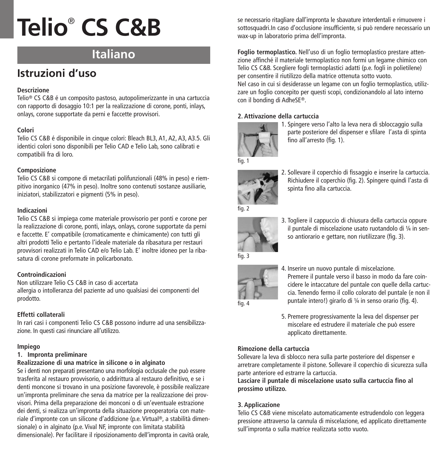# **Italiano**

# **Istruzioni d'uso**

# **Descrizione**

Telio® CS C&B é un composito pastoso, autopolimerizzante in una cartuccia con rapporto di dosaggio 10:1 per la realizzazione di corone, ponti, inlays, onlays, corone supportate da perni e faccette provvisori.

# **Colori**

Telio CS C&B é disponibile in cinque colori: Bleach BL3, A1, A2, A3, A3.5. Gli identici colori sono disponibili per Telio CAD e Telio Lab, sono calibrati e compatibili fra di loro.

## **Composizione**

Telio CS C&B si compone di metacrilati polifunzionali (48% in peso) e riempitivo inorganico (47% in peso). Inoltre sono contenuti sostanze ausiliarie, iniziatori, stabilizzatori e pigmenti (5% in peso).

#### **Indicazioni**

Telio CS C&B si impiega come materiale provvisorio per ponti e corone per la realizzazione di corone, ponti, inlays, onlays, corone supportate da perni e faccette. E' compatibile (cromaticamente e chimicamente) con tutti gli altri prodotti Telio e pertanto l'ideale materiale da ribasatura per restauri provvisori realizzati in Telio CAD e/o Telio Lab. E' inoltre idoneo per la ribasatura di corone preformate in policarbonato.

#### **Controindicazioni**

Non utilizzare Telio CS C&B in caso di accertata allergia o intolleranza del paziente ad uno qualsiasi dei componenti del prodotto.

# **Effetti collaterali**

In rari casi i componenti Telio CS C&B possono indurre ad una sensibilizzazione. In questi casi rinunciare all'utilizzo.

#### **Impiego**

## **1. Impronta preliminare**

# **Realizzazione di una matrice in silicone o in alginato**

Se i denti non preparati presentano una morfologia occlusale che può essere trasferita al restauro provvisorio, o addirittura al restauro definitivo, e se i denti moncone si trovano in una posizione favorevole, è possibile realizzare un'impronta preliminare che serva da matrice per la realizzazione dei provvisori. Prima della preparazione dei monconi o di un'eventuale estrazione dei denti, si realizza un'impronta della situazione preoperatoria con materiale d'impronte con un silicone d'addizione (p.e. Virtual ®, a stabilità dimensionale) o in alginato (p.e. Vival NF, impronte con limitata stabilità dimensionale). Per facilitare il riposizionamento dell'impronta in cavità orale,

se necessario ritagliare dall'impronta le sbavature interdentali e rimuovere i sottosquadri.In caso d'occlusione insufficiente, si può rendere necessario un wax-up in laboratorio prima dell'impronta.

**Foglio termoplastico.** Nell'uso di un foglio termoplastico prestare attenzione affinché il materiale termoplastico non formi un legame chimico con Telio CS C&B. Scegliere fogli termoplastici adatti (p.e. fogli in polietilene) per consentire il riutilizzo della matrice ottenuta sotto vuoto. Nel caso in cui si desiderasse un legame con un foglio termoplastico, utilizzare un foglio concepito per questi scopi, condizionandolo al lato interno con il bonding di AdheSE®.

# **2. Attivazione della cartuccia**



1. Spingere verso l'alto la leva nera di sbloccaggio sulla parte posteriore del dispenser e sfilare l'asta di spinta fino all'arresto (fig. 1).



2. Sollevare il coperchio di fissaggio e inserire la cartuccia. Richiudere il coperchio (fig. 2). Spingere quindi l'asta di spinta fino alla cartuccia.



3. Togliere il cappuccio di chiusura della cartuccia oppure il puntale di miscelazione usato ruotandolo di ¼ in senso antiorario e gettare, non riutilizzare (fig. 3).



- 4. Inserire un nuovo puntale di miscelazione. Premere il puntale verso il basso in modo da fare coincidere le intaccature del puntale con quelle della cartuccia. Tenendo fermo il collo colorato del puntale (e non il puntale intero!) girarlo di ¼ in senso orario (fig. 4).
- 5. Premere progressivamente la leva del dispenser per miscelare ed estrudere il materiale che può essere applicato direttamente.

# **Rimozione della cartuccia**

Sollevare la leva di sblocco nera sulla parte posteriore del dispenser e arretrare completamente il pistone. Sollevare il coperchio di sicurezza sulla parte anteriore ed estrarre la cartuccia.

**Lasciare il puntale di miscelazione usato sulla cartuccia fino al prossimo utilizzo.**

# **3. Applicazione**

Telio CS C&B viene miscelato automaticamente estrudendolo con leggera pressione attraverso la cannula di miscelazione, ed applicato direttamente sull'impronta o sulla matrice realizzata sotto vuoto.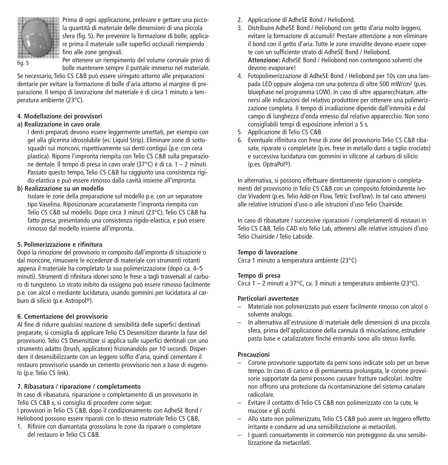

Prima di ogni applicazione, prelevare e gettare una piccola quantità di materiale delle dimensioni di una piccola sfera (fig. 5). Per prevenire la formazione di bolle, applicare prima il materiale sulle superfici occlusali riempiendo fino alle zone gengivali.

Per ottenere un riempimento del volume coronale privo di bolle mantenere sempre il puntale immerso nel materiale.

Se necessario, Telio CS C&B può essere siringato attorno alle preparazioni dentarie per evitare la formazione di bolle d'aria attorno al margine di preparazione. Il tempo di lavorazione del materiale è di circa 1 minuto a temperatura ambiente (23°C).

## **4. Modellazione dei provvisori**

#### **a) Realizzazione in cavo orale**

I denti preparati devono essere leggermente umettati, per esempio con gel alla glicerina idrosolubile (es: Liquid Strip). Eliminare zone di sottosquadri sui monconi, rispettivamente sui denti contigui (p.e. con cera plastica). Riporre l'impronta riempita con Telio CS C&B sulla preparazione dentale. Il tempo di presa in cavo orale (37°C) è di ca. 1 – 2 minuti. Passato questo tempo, Telio CS C&B ha raggiunto una consistenza rigido-elastica e può essere rimosso dalla cavità insieme all'impronta.

# **b) Realizzazione su un modello**

Isolare le zone della preparazione sul modello p.e. con un separatore tipo Vaselina. Riposizionare accuratamente l'impronta riempita con Telio CS C&B sul modello. Dopo circa 3 minuti (23°C), Telio CS C&B ha fatto presa, presentando una consistenza rigido-elastica, e può essere rimosso dal modello insieme all'impronta.

# **5. Polimerizzazione e rifinitura**

Dopo la rimozione del provvisorio in composito dall'impronta di situazione o dal moncone, rimuovere le eccedenze di materiale con strumenti rotanti appena il materiale ha completato la sua polimerizzazione (dopo ca. 4–5 minuti). Strumenti di rifinitura idonei sono le frese a tagli trasversali al carburo di tungsteno. Lo strato inibito da ossigeno può essere rimosso facilmente p.e. con alcol o mediante lucidatura, usando gommini per lucidatura al carburo di silicio (p.e. Astropol ®).

# **6. Cementazione del provvisorio**

Al fine di ridurre qualsiasi reazione di sensibilità delle superfici dentinali preparate, si consiglia di applicare Telio CS Desensitizer durante la fase del provvisorio. Telio CS Desensitizer si applica sulle superfici dentinali con uno strumento adatto (brush, applicatore) frizionandolo per 10 secondi. Disperdere il desensibilizzante con un leggero soffio d'aria, quindi cementare il restauro provvisorio usando un cemento provvisorio non a base di eugenolo (p.e. Telio CS link).

# **7. Ribasatura / riparazione / completamento**

In caso di ribasatura, riparazione o completamento di un provvisorio in Telio CS C&B s, si consiglia di procedere come segue:

I provvisori in Telio CS C&B, dopo il condizionamento con AdheSE Bond / Heliobond possono essere riparati con lo stesso materiale Telio CS C&B.

1. Rifinire con diamantata grossolana le zone da riparare o completare del restauro in Telio CS C&B.

- 2. Applicazione di AdheSE Bond / Heliobond.
- 3. Distribuire AdheSE Bond / Heliobond con getto d'aria molto leggero, evitare la formazione di accumuli! Prestare attenzione a non eliminare il bond con il getto d'aria. Tutte le zone irruvidite devono essere coperte con un sufficiente strato di AdheSE Bond / Heliobond. **Attenzione:** AdheSE Bond / Heliobond non contengono solventi che devono evaporare!
- 4. Fotopolimerizzazione di AdheSE Bond / Heliobond per 10s con una lampada LED oppure alogena con una potenza di oltre 500 mW/cm2 (p.es. bluephase nel programma LOW). In caso di altre apparecchiature, attenersi alle indicazioni del relativo produttore per ottenere una polimerizzazione completa. Il tempo di irradiazione dipende dall'intensità e dal campo di lunghezza d'onda emesso dal relativo apparecchio. Non sono consigliabili tempi di esposizione inferiori a 5 s.
- 5. Applicazione di Telio CS C&B.
- 6. Eventuale rifinitura con frese di zone del provvisorio Telio CS C&B ribasate, riparate o completate (p.es. frese in metallo duro a taglio crociato) e successiva lucidatura con gommini in silicone al carburo di silicio (p.es. OptraPol ®).

In alternativa, si possono effettuare direttamente riparazioni o completamenti del provvisorio in Telio CS C&B con un composito fotoindurente Ivoclar Vivadent (p.es. Telio Add-on Flow, Tetric EvoFlow). In tal caso attenersi alle relative istruzioni d'uso o alle istruzioni d'uso Telio Chairside.

In caso di ribasature / successive riparazioni / completamenti di restauri in Telio CS C&B, Telio CAD e/o Telio Lab, attenersi alle relative istruzioni d'uso Telio Chairside / Telio Labside.

#### **Tempo di lavorazione**

Circa 1 minuto a temperatura ambiente (23°C)

#### **Tempo di presa**

Circa 1 – 2 minuti a 37°C, ca. 3 minuti a temperatura ambiente (23°C).

#### **Particolari avvertenze**

- Materiale non polimerizzato può essere facilmente rimosso con alcol o solvente analogo.
- In alternativa all'estrusione di materiale delle dimensioni di una piccola sfera, prima dell'applicazione della cannula di miscelazione, estrudere pasta base e catalizzatore finché entrambi sono allo stesso livello.

#### **Precauzioni**

- Corone provvisorie supportate da perni sono indicate solo per un breve tempo. In caso di carico e di permanenza prolungata, le corone provvisorie supportate da perni possono causare fratture radicolari. Inoltre non offrono una protezione da ricontaminazione del sistema canalare radicolare.
- Evitare il contatto di Telio CS C&B non polimerizzato con la cute, le mucose e gli occhi.
- Allo stato non polimerizzato, Telio CS C&B può avere un leggero effetto irritante e condurre ad una sensibilizzazione ai metacrilati.
- I guanti consuetamente in commercio non proteggono da una sensibilizzazione da metacrilati.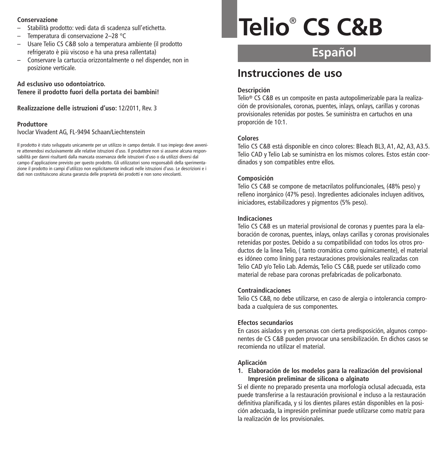#### **Conservazione**

- Stabilità prodotto: vedi data di scadenza sull'etichetta.
- Temperatura di conservazione 2–28 °C
- Usare Telio CS C&B solo a temperatura ambiente (il prodotto refrigerato è più viscoso e ha una presa rallentata)
- Conservare la cartuccia orizzontalmente o nel dispender, non in posizione verticale.

**Ad esclusivo uso odontoiatrico. Tenere il prodotto fuori della portata dei bambini!**

**Realizzazione delle istruzioni d'uso:** 12/2011, Rev. 3

#### **Produttore**

Ivoclar Vivadent AG, FL-9494 Schaan/Liechtenstein

Il prodotto è stato sviluppato unicamente per un utilizzo in campo dentale. Il suo impiego deve avvenire attenendosi esclusivamente alle relative istruzioni d'uso. Il produttore non si assume alcuna responsabilità per danni risultanti dalla mancata osservanza delle istruzioni d'uso o da utilizzi diversi dal campo d'applicazione previsto per questo prodotto. Gli utilizzatori sono responsabili della sperimentazione il prodotto in campi d'utilizzo non esplicitamente indicati nelle istruzioni d'uso. Le descrizioni e i dati non costituiscono alcuna garanzia delle proprietà dei prodotti e non sono vincolanti.

# **Telio**® **CS C&B**

# **Español**

# **Instrucciones de uso**

#### **Descripción**

Telio® CS C&B es un composite en pasta autopolimerizable para la realización de provisionales, coronas, puentes, inlays, onlays, carillas y coronas provisionales retenidas por postes. Se suministra en cartuchos en una proporción de 10:1.

#### **Colores**

Telio CS C&B está disponible en cinco colores: Bleach BL3, A1, A2, A3, A3.5. Telio CAD y Telio Lab se suministra en los mismos colores. Estos están coordinados y son compatibles entre ellos.

#### **Composición**

Telio CS C&B se compone de metacrilatos polifuncionales, (48% peso) y relleno inorgánico (47% peso). Ingredientes adicionales incluyen aditivos, iniciadores, estabilizadores y pigmentos (5% peso).

#### **Indicaciones**

Telio CS C&B es un material provisional de coronas y puentes para la elaboración de coronas, puentes, inlays, onlays carillas y coronas provisionales retenidas por postes. Debido a su compatibilidad con todos los otros productos de la linea Telio, ( tanto cromática como químicamente), el material es idóneo como lining para restauraciones provisionales realizadas con Telio CAD y/o Telio Lab. Además, Telio CS C&B, puede ser utilizado como material de rebase para coronas prefabricadas de policarbonato.

# **Contraindicaciones**

Telio CS C&B, no debe utilizarse, en caso de alergia o intolerancia comprobada a cualquiera de sus componentes.

#### **Efectos secundarios**

En casos aislados y en personas con cierta predisposición, algunos componentes de CS C&B pueden provocar una sensibilización. En dichos casos se recomienda no utilizar el material.

#### **Aplicación**

**1. Elaboración de los modelos para la realización del provisional Impresión preliminar de silicona o alginato**

Si el diente no preparado presenta una morfología oclusal adecuada, esta puede transferirse a la restauración provisional e incluso a la restauración definitiva planificada, y si los dientes pilares están disponibles en la posición adecuada, la impresión preliminar puede utilizarse como matriz para la realización de los provisionales.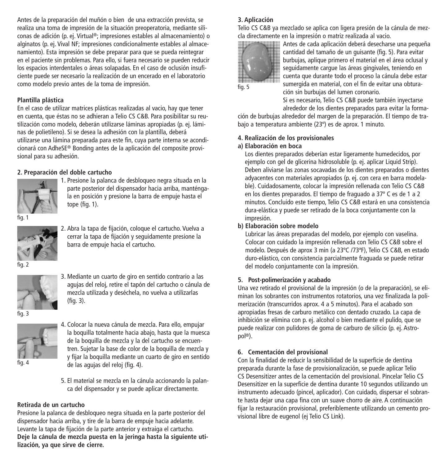Antes de la preparación del muñón o bien de una extracción prevista, se realiza una toma de impresión de la situación preoperatoria, mediante siliconas de adición (p. ej. Virtual ®; impresiones estables al almacenamiento) o alginatos (p. ej. Vival NF; impresiones condicionalmente estables al almacenamiento). Esta impresión se debe preparar para que se pueda reintegrar en el paciente sin problemas. Para ello, si fuera necesario se pueden reducir los espacios interdentales o áreas solapadas. En el caso de oclusión insuficiente puede ser necesario la realización de un encerado en el laboratorio como modelo previo antes de la toma de impresión.

## **Plantilla plástica**

En el caso de utilizar matrices plásticas realizadas al vacio, hay que tener en cuenta, que éstas no se adhieran a Telio CS C&B. Para posibilitar su reutilización como modelo, deberán utilizarse láminas apropiadas (p. ej. láminas de polietileno). Si se desea la adhesión con la plantilla, deberá utilizarse una lámina preparada para este fin, cuya parte interna se acondicionará con AdheSE® Bonding antes de la aplicación del composite provisional para su adhesión.

# **2. Preparación del doble cartucho**



1. Presione la palanca de desbloqueo negra situada en la parte posterior del dispensador hacia arriba, manténgala en posición y presione la barra de empuje hasta el tope (fig. 1).

fig.



2. Abra la tapa de fijación, coloque el cartucho. Vuelva a cerrar la tapa de fijación y seguidamente presione la barra de empuje hacia el cartucho.





3. Mediante un cuarto de giro en sentido contrario a las agujas del reloj, retire el tapón del cartucho o cánula de mezcla utilizada y deséchela, no vuelva a utilizarlas (fig. 3).



4. Colocar la nueva cánula de mezcla. Para ello, empujar la boquilla totalmente hacia abajo, hasta que la muesca de la boquilla de mezcla y la del cartucho se encuentren. Sujetar la base de color de la boquilla de mezcla y y fijar la boquilla mediante un cuarto de giro en sentido de las agujas del reloj (fig. 4).

fig. 4

5. El material se mezcla en la cánula accionando la palanca del dispensador y se puede aplicar directamente.

#### **Retirada de un cartucho**

Presione la palanca de desbloqueo negra situada en la parte posterior del dispensador hacia arriba, y tire de la barra de empuje hacia adelante. Levante la tapa de fijación de la parte anterior y extraiga el cartucho. **Deje la cánula de mezcla puesta en la jeringa hasta la siguiente utilización, ya que sirve de cierre.**

# **3. Aplicación**

Telio CS C&B ya mezclado se aplica con ligera presión de la cánula de mezcla directamente en la impresión o matriz realizada al vacio.



Antes de cada aplicación deberá desecharse una pequeña cantidad del tamaño de un guisante (fig. 5). Para evitar burbujas, aplique primero el material en el área oclusal y seguidamente cargue las áreas gingivales, teniendo en cuenta que durante todo el proceso la cánula debe estar sumergida en material, con el fin de evitar una obturación sin burbujas del lumen coronario.

Si es necesario, Telio CS C&B puede también inyectarse alrededor de los dientes preparados para evitar la forma-

ción de burbujas alrededor del margen de la preparación. El tiempo de trabajo a temperatura ambiente (23º) es de aprox. 1 minuto.

## **4. Realización de los provisionales**

#### **a) Elaboración en boca**

Los dientes preparados deberían estar ligeramente humedecidos, por ejemplo con gel de glicerina hidrosoluble (p. ej. aplicar Liquid Strip). Deben aliviarse las zonas socavadas de los dientes preparados o dientes adyacentes con materiales apropiados (p. ej. con cera en barra modelable). Cuidadosamente, colocar la impresión rellenada con Telio CS C&B en los dientes preparados. El tiempo de fraguado a 37º C es de 1 a 2 minutos. Concluido este tiempo, Telio CS C&B estará en una consistencia dura-elástica y puede ser retirado de la boca conjuntamente con la impresión.

#### **b) Elaboración sobre modelo**

Lubricar las áreas preparadas del modelo, por ejemplo con vaselina. Colocar con cuidado la impresión rellenada con Telio CS C&B sobre el modelo. Después de aprox 3 min (a 23ºC /73ªF), Telio CS C&B, en estado duro-elástico, con consistencia parcialmente fraguada se puede retirar del modelo conjuntamente con la impresión.

# **5. Post-polimerización y acabado**

Una vez retirado el provisional de la impresión (o de la preparación), se eliminan los sobrantes con instrumentos rotatorios, una vez finalizada la polimerización (transcurridos aprox. 4 a 5 minutos). Para el acabado son apropiadas fresas de carburo metálico con dentado cruzado. La capa de inhibición se elimina con p. ej. alcohol o bien mediante el pulido, que se puede realizar con pulidores de goma de carburo de silicio (p. ej. Astropol ®).

# **6. Cementación del provisional**

Con la finalidad de reducir la sensibilidad de la superficie de dentina preparada durante la fase de provisionalización, se puede aplicar Telio CS Desensitizer antes de la cementación del provisional. Pincelar Telio CS Desensitizer en la superficie de dentina durante 10 segundos utilizando un instrumento adecuado (pincel, aplicador). Con cuidado, dispersar el sobrante hasta dejar una capa fina con un suave chorro de aire. A continuación fijar la restauración provisional, preferiblemente utilizando un cemento provisional libre de eugenol (ej Telio CS Link).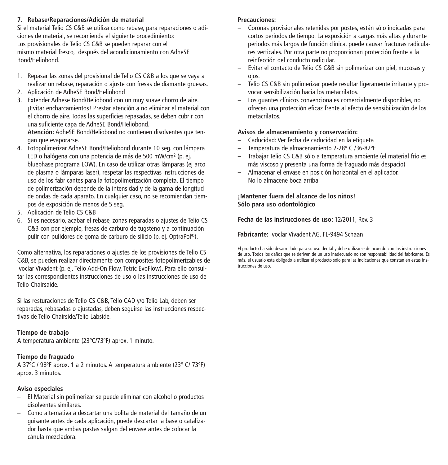#### **7. Rebase/Reparaciones/Adición de material**

Si el material Telio CS C&B se utiliza como rebase, para reparaciones o adiciones de material, se recomienda el siguiente procedimiento: Los provisionales de Telio CS C&B se pueden reparar con el mismo material fresco, después del acondicionamiento con AdheSE Bond/Heliobond.

- 1. Repasar las zonas del provisional de Telio CS C&B a los que se vaya a realizar un rebase, reparación o ajuste con fresas de diamante gruesas.
- 2. Aplicación de AdheSE Bond/Heliobond
- 3. Extender Adhese Bond/Heliobond con un muy suave chorro de aire. ¡Evitar encharcamientos! Prestar atención a no eliminar el material con el chorro de aire. Todas las superficies repasadas, se deben cubrir con una suficiente capa de AdheSE Bond/Heliobond. **Atención:** AdheSE Bond/Heliobond no contienen disolventes que tengan que evaporarse.
- 4. Fotopolimerizar AdheSE Bond/Heliobond durante 10 seg. con lámpara LED o halógena con una potencia de más de 500 mW/cm2 (p. ej. bluephase programa LOW). En caso de utilizar otras lámparas (ej arco de plasma o lámparas laser), respetar las respectivas instrucciones de uso de los fabricantes para la fotopolimerización completa. El tiempo de polimerización depende de la intensidad y de la gama de longitud de ondas de cada aparato. En cualquier caso, no se recomiendan tiempos de exposición de menos de 5 seg.
- 5. Aplicación de Telio CS C&B
- 6. Si es necesario, acabar el rebase, zonas reparadas o ajustes de Telio CS C&B con por ejemplo, fresas de carburo de tugsteno y a continuación pulir con pulidores de goma de carburo de silicio (p. ej. OptraPol ®).

Como alternativa, los reparaciones o ajustes de los provisiones de Telio CS C&B, se pueden realizar directamente con composites fotopolimerizables de Ivoclar Vivadent (p. ej. Telio Add-On Flow, Tetric EvoFlow). Para ello consultar las correspondientes instrucciones de uso o las instrucciones de uso de Telio Chairsaide.

Si las resturaciones de Telio CS C&B, Telio CAD y/o Telio Lab, deben ser reparadas, rebasadas o ajustadas, deben seguirse las instrucciones respectivas de Telio Chairside/Telio Labside.

#### **Tiempo de trabajo**

A temperatura ambiente (23ºC/73ºF) aprox. 1 minuto.

#### **Tiempo de fraguado**

A 37ºC / 98ºF aprox. 1 a 2 minutos. A temperatura ambiente (23º C/ 73ºF) aprox. 3 minutos.

#### **Aviso especiales**

- El Material sin polimerizar se puede eliminar con alcohol o productos disolventes similares.
- Como alternativa a descartar una bolita de material del tamaño de un guisante antes de cada aplicación, puede descartar la base o catalizador hasta que ambas pastas salgan del envase antes de colocar la cánula mezcladora.

#### **Precauciones:**

- Coronas provisionales retenidas por postes, están sólo indicadas para cortos periodos de tiempo. La exposición a cargas más altas y durante periodos más largos de función clínica, puede causar fracturas radiculares verticales. Por otra parte no proporcionan protección frente a la reinfección del conducto radicular.
- Evitar el contacto de Telio CS C&B sin polimerizar con piel, mucosas y ojos.
- Telio CS C&B sin polimerizar puede resultar ligeramente irritante y provocar sensibilización hacia los metacrilatos.
- Los guantes clínicos convencionales comercialmente disponibles, no ofrecen una protección eficaz frente al efecto de sensibilización de los metacrilatos.

#### **Avisos de almacenamiento y conservación:**

- Caducidad: Ver fecha de caducidad en la etiqueta
- Temperatura de almacenamiento 2-28º C /36-82ºF
- Trabajar Telio CS C&B sólo a temperatura ambiente (el material frío es más viscoso y presenta una forma de fraguado más despacio)
- Almacenar el envase en posición horizontal en el aplicador. No lo almacene boca arriba

#### **¡Mantener fuera del alcance de los niños! Sólo para uso odontológico**

**Fecha de las instrucciones de uso:** 12/2011, Rev. 3

#### **Fabricante:** Ivoclar Vivadent AG, FL-9494 Schaan

El producto ha sido desarrollado para su uso dental y debe utilizarse de acuerdo con las instrucciones de uso. Todos los daños que se deriven de un uso inadecuado no son responsabilidad del fabricante. Es más, el usuario esta obligado a utilizar el producto sólo para las indicaciones que constan en estas instrucciones de uso.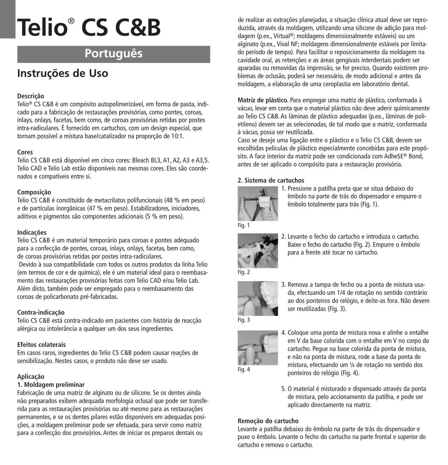# **Português**

# **Instruções de Uso**

# **Descrição**

Telio® CS C&B é um compósito autopolimerizável, em forma de pasta, indicado para a fabricação de restaurações provisórias, como pontes, coroas, inlays, onlays, facetas, bem como, de coroas provisórias retidas por postes intra-radiculares. É fornecido em cartuchos, com um design especial, que tornam possível a mistura base/catalizador na proporção de 10:1.

#### **Cores**

Telio CS C&B está disponível em cinco cores: Bleach BL3, A1, A2, A3 e A3,5. Telio CAD e Telio Lab estão disponíveis nas mesmas cores. Eles são coordenados e compatíveis entre si.

#### **Composição**

Telio CS C&B é constituído de metacrilatos polifuncionais (48 % em peso) e de partículas inorgânicas (47 % em peso). Estabilizadores, iniciadores, aditivos e pigmentos são componentes adicionais (5 % em peso).

#### **Indicações**

Telio CS C&B é um material temporário para coroas e pontes adequado para a confecção de pontes, coroas, inlays, onlays, facetas, bem como, de coroas provisórias retidas por postes intra-radiculares.

Devido à sua compatibilidade com todos os outros produtos da linha Telio (em termos de cor e de química), ele é um material ideal para o reembasamento das restaurações provisórias feitas com Telio CAD e/ou Telio Lab. Além disto, também pode ser empregado para o reembasamento das coroas de policarbonato pré-fabricadas.

# **Contra-indicação**

Telio CS C&B está contra-indicado em pacientes com história de reacção alérgica ou intolerância a qualquer um dos seus ingredientes.

#### **Efeitos colaterais**

Em casos raros, ingredientes do Telio CS C&B podem causar reações de sensibilização. Nestes casos, o produto não deve ser usado.

# **Aplicação**

# **1. Moldagem preliminar**

Fabricação de uma matriz de alginato ou de silicone. Se os dentes ainda não preparados exibem adequada morfologia oclusal que pode ser transferida para as restaurações provisórias ou até mesmo para as restaurações permanentes, e se os dentes pilares estão disponíveis em adequadas posições, a moldagem preliminar pode ser efetuada, para servir como matriz para a confecção dos provisórios. Antes de iniciar os preparos dentais ou

de realizar as extrações planejadas, a situação clínica atual deve ser reproduzida, através da moldagem, utilizando uma silicone de adição para moldagem (p.ex., Virtual ®; moldagens dimensionalmente estáveis) ou um alginato (p.ex., Vival NF; moldagens dimensionalmente estáveis por limitado período de tempo). Para facilitar o reposicionamento da moldagem na cavidade oral, as retenções e as áreas gengivais interdentais podem ser aparadas ou removidas da impressão, se for preciso. Quando existirem problemas de oclusão, poderá ser necessário, de modo adicional e antes da moldagem, a elaboração de uma ceroplastia em laboratório dental.

**Matriz de plástico.** Para empregar uma matriz de plástico, conformada à vácuo, levar em conta que o material plástico não deve aderir quimicamente ao Telio CS C&B. As lâminas de plástico adequadas (p.ex., lâminas de polietileno) devem ser as selecionadas, de tal modo que a matriz, conformada à vácuo, possa ser reutilizada.

Caso se deseje uma ligação entre o plástico e o Telio CS C&B, devem ser escolhidas películas de plástico especialmente concebidas para este propósito. A face interior da matriz pode ser condicionada com AdheSE® Bond, antes de ser aplicado o compósito para a restauração provisória.

# **2. Sistema de cartuchos**



1. Pressione a patilha preta que se situa debaixo do êmbolo na parte de trás do dispensador e empurre o êmbolo totalmente para trás (Fig. 1).



2. Levante o fecho do cartucho e introduza o cartucho. Baixe o fecho do cartucho (Fig. 2). Empurre o êmbolo para a frente até tocar no cartucho.



3. Remova a tampa de fecho ou a ponta de mistura usada, efectuando um 1/4 de rotação no sentido contrário ao dos ponteiros do relógio, e deite-as fora. Não devem ser reutilizadas (Fig. 3).



4. Coloque uma ponta de mistura nova e alinhe o entalhe em V da base colorida com o entalhe em V no corpo do cartucho. Pegue na base colorida da ponta de mistura, e não na ponta de mistura, rode a base da ponta de mistura, efectuando um ¼ de rotação no sentido dos ponteiros do relógio (Fig. 4).

5. O material é misturado e dispensado através da ponta de mistura, pelo accionamento da patilha, e pode ser aplicado directamente na matriz.

#### **Remoção do cartucho**

Levante a patilha debaixo do êmbolo na parte de trás do dispensador e puxe o êmbolo. Levante o fecho do cartucho na parte frontal e superior do cartucho e remova o cartucho.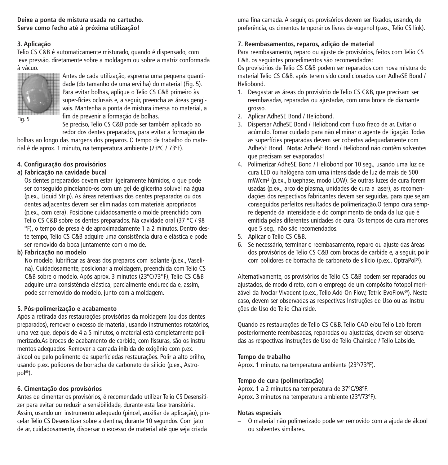**Deixe a ponta de mistura usada no cartucho. Serve como fecho até à próxima utilização!**

# **3. Aplicação**

Telio CS C&B é automaticamente misturado, quando é dispensado, com leve pressão, diretamente sobre a moldagem ou sobre a matriz conformada à vácuo.



Antes de cada utilização, esprema uma pequena quantidade (do tamanho de uma ervilha) do material (Fig. 5). Para evitar bolhas, aplique o Telio CS C&B primeiro às super-fícies oclusais e, a seguir, preencha as áreas gengivais. Mantenha a ponta de mistura imersa no material, a fim de prevenir a formação de bolhas.

Se preciso, Telio CS C&B pode ser também aplicado ao redor dos dentes preparados, para evitar a formação de

bolhas ao longo das margens dos preparos. O tempo de trabalho do material é de aprox. 1 minuto, na temperatura ambiente (23ºC / 73ºF).

# **4. Configuração dos provisórios**

#### **a) Fabricação na cavidade bucal**

Os dentes preparados devem estar ligeiramente húmidos, o que pode ser conseguido pincelando-os com um gel de glicerina solúvel na água (p.ex., Liquid Strip). As áreas retentivas dos dentes preparados ou dos dentes adjacentes devem ser eliminadas com materiais apropriados (p.ex., com cera). Posicione cuidadosamente o molde preenchido com Telio CS C&B sobre os dentes preparados. Na cavidade oral (37 °C / 98 °F), o tempo de presa é de aproximadamente 1 a 2 minutos. Dentro deste tempo, Telio CS C&B adquire uma consistência dura e elástica e pode ser removido da boca juntamente com o molde.

#### **b) Fabricação no modelo**

No modelo, lubrificar as áreas dos preparos com isolante (p.ex., Vaselina). Cuidadosamente, posicionar a moldagem, preenchida com Telio CS C&B sobre o modelo. Após aprox. 3 minutos (23ºC/73°F), Telio CS C&B adquire uma consistência elástica, parcialmente endurecida e, assim, pode ser removido do modelo, junto com a moldagem.

#### **5. Pós-polimerização e acabamento**

Após a retirada das restaurações provisórias da moldagem (ou dos dentes preparados), remover o excesso de material, usando instrumentos rotatórios, uma vez que, depois de 4 a 5 minutos, o material está completamente polimerizado.As brocas de acabamento de carbide, com fissuras, são os instrumentos adequados. Remover a camada inibida de oxigênio com p.ex. álcool ou pelo polimento da superfíciedas restaurações. Polir a alto brilho, usando p.ex. polidores de borracha de carboneto de silício (p.ex., Astropol ®).

#### **6. Cimentação dos provisórios**

Antes de cimentar os provisórios, é recomendado utilizar Telio CS Desensitizer para evitar ou reduzir a sensibilidade, durante esta fase transitória. Assim, usando um instrumento adequado (pincel, auxiliar de aplicação), pincelar Telio CS Desensitizer sobre a dentina, durante 10 segundos. Com jato de ar, cuidadosamente, dispersar o excesso de material até que seja criada

uma fina camada. A seguir, os provisórios devem ser fixados, usando, de preferência, os cimentos temporários livres de eugenol (p.ex., Telio CS link).

# **7. Reembasamentos, reparos, adição de material**

Para reembasamento, reparo ou ajuste de provisórios, feitos com Telio CS C&B, os seguintes procedimentos são recomendados:

Os provisórios de Telio CS C&B podem ser reparados com nova mistura do material Telio CS C&B, após terem sido condicionados com AdheSE Bond / Heliobond.

- 1. Desgastar as áreas do provisório de Telio CS C&B, que precisam ser reembasadas, reparadas ou ajustadas, com uma broca de diamante grosso.
- 2. Aplicar AdheSE Bond / Heliobond.
- 3. Dispersar AdheSE Bond / Heliobond com fluxo fraco de ar. Evitar o acúmulo. Tomar cuidado para não eliminar o agente de ligação. Todas as superfícies preparadas devem ser cobertas adequadamente com AdheSE Bond. **Nota:** AdheSE Bond / Heliobond não contêm solventes que precisam ser evaporados!
- 4. Polimerizar AdheSE Bond / Heliobond por 10 seg., usando uma luz de cura LED ou halógena com uma intensidade de luz de mais de 500 mW/cm2 (p.ex., bluephase, modo LOW). Se outras luzes de cura forem usadas (p.ex., arco de plasma, unidades de cura a laser), as recomendações dos respectivos fabricantes devem ser seguidas, para que sejam conseguidos perfeitos resultados de polimerização.O tempo cura sempre depende da intensidade e do comprimento de onda da luz que é emitida pelas diferentes unidades de cura. Os tempos de cura menores que 5 seg., não são recomendados.
- 5. Aplicar o Telio CS C&B.
- 6. Se necessário, terminar o reembasamento, reparo ou ajuste das áreas dos provisórios de Telio CS C&B com brocas de carbide e, a seguir, polir com polidores de borracha de carboneto de silício (p.ex., OptraPol ®).

Alternativamente, os provisórios de Telio CS C&B podem ser reparados ou ajustados, de modo direto, com o emprego de um compósito fotopolimerizável da Ivoclar Vivadent (p.ex., Telio Add-On Flow, Tetric EvoFlow®). Neste caso, devem ser observadas as respectivas Instruções de Uso ou as Instruções de Uso do Telio Chairside.

Quando as restaurações de Telio CS C&B, Telio CAD e/ou Telio Lab forem posteriormente reembasadas, reparadas ou ajustadas, devem ser observadas as respectivas Instruções de Uso de Telio Chairside / Telio Labside.

# **Tempo de trabalho**

Aprox. 1 minuto, na temperatura ambiente (23º/73ºF).

#### **Tempo de cura (polimerização)**

Aprox. 1 a 2 minutos na temperatura de 37ºC/98ºF. Aprox. 3 minutos na temperatura ambiente (23º/73ºF).

#### **Notas especiais**

– O material não polimerizado pode ser removido com a ajuda de álcool ou solventes similares.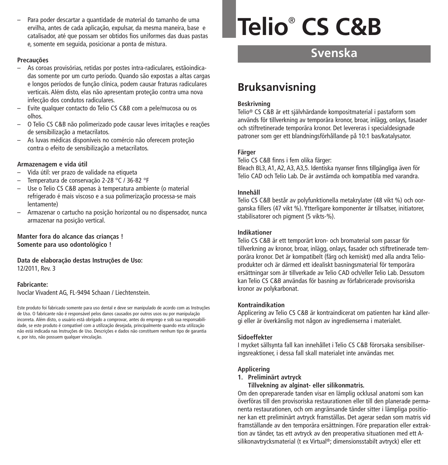– Para poder descartar a quantidade de material do tamanho de uma ervilha, antes de cada aplicação, expulsar, da mesma maneira, base e catalisador, até que possam ser obtidos fios uniformes das duas pastas e, somente em seguida, posicionar a ponta de mistura.

#### **Precauções**

- As coroas provisórias, retidas por postes intra-radiculares, estãoindicadas somente por um curto período. Quando são expostas a altas cargas e longos períodos de função clínica, podem causar fraturas radiculares verticais. Além disto, elas não apresentam proteção contra uma nova infecção dos condutos radiculares.
- Evite qualquer contacto do Telio CS C&B com a pele/mucosa ou os olhos.
- O Telio CS C&B não polimerizado pode causar leves irritações e reações de sensibilização a metacrilatos.
- As luvas médicas disponíveis no comércio não oferecem proteção contra o efeito de sensibilização a metacrilatos.

#### **Armazenagem e vida útil**

- Vida útil: ver prazo de validade na etiqueta
- Temperatura de conservação 2-28 °C / 36-82 °F
- Use o Telio CS C&B apenas à temperatura ambiente (o material refrigerado é mais viscoso e a sua polimerização processa-se mais lentamente)
- Armazenar o cartucho na posição horizontal ou no dispensador, nunca armazenar na posição vertical.

#### **Manter fora do alcance das crianças ! Somente para uso odontológico !**

#### **Data de elaboração destas Instruções de Uso:** 12/2011, Rev. 3

#### **Fabricante:**

Ivoclar Vivadent AG, FL-9494 Schaan / Liechtenstein.

Este produto foi fabricado somente para uso dental e deve ser manipulado de acordo com as Instruções de Uso. O fabricante não é responsável pelos danos causados por outros usos ou por manipulação incorreta. Além disto, o usuário está obrigado a comprovar, antes do emprego e sob sua responsabilidade, se este produto é compatível com a utilização desejada, principalmente quando esta utilização não está indicada nas Instruções de Uso. Descrições e dados não constituem nenhum tipo de garantia e, por isto, não possuem qualquer vinculação.

# **Telio**® **CS C&B**

# **Svenska**

# **Bruksanvisning**

#### **Beskrivning**

Telio® CS C&B är ett självhärdande kompositmaterial i pastaform som används för tillverkning av temporära kronor, broar, inlägg, onlays, fasader och stiftretinerade temporära kronor. Det levereras i specialdesignade patroner som ger ett blandningsförhållande på 10:1 bas/katalysator.

#### **Färger**

Telio CS C&B finns i fem olika färger:

Bleach BL3, A1, A2, A3, A3,5. Identiska nyanser finns tillgängliga även för Telio CAD och Telio Lab. De är avstämda och kompatibla med varandra.

#### **Innehåll**

Telio CS C&B består av polyfunktionella metakrylater (48 vikt %) och oorganska fillers (47 vikt %). Ytterligare komponenter är tillsatser, initiatorer, stabilisatorer och pigment (5 vikts-%).

#### **Indikationer**

Telio CS C&B är ett temporärt kron- och bromaterial som passar för tillverkning av kronor, broar, inlägg, onlays, fasader och stiftretinerade temporära kronor. Det är kompatibelt (färg och kemiskt) med alla andra Telioprodukter och är därmed ett idealiskt basningsmaterial för temporära ersättningar som är tillverkade av Telio CAD och/eller Telio Lab. Dessutom kan Telio CS C&B användas för basning av förfabricerade provisoriska kronor av polykarbonat.

#### **Kontraindikation**

Applicering av Telio CS C&B är kontraindicerat om patienten har känd allergi eller är överkänslig mot någon av ingredienserna i materialet.

# **Sidoeffekter**

I mycket sällsynta fall kan innehållet i Telio CS C&B förorsaka sensibiliseringsreaktioner, i dessa fall skall materialet inte användas mer.

#### **Applicering**

#### **1. Preliminärt avtryck**

**Tillvekning av alginat- eller silikonmatris.**

Om den opreparerade tanden visar en lämplig ocklusal anatomi som kan överföras till den provisoriska restaurationen eller till den planerade permanenta restaurationen, och om angränsande tänder sitter i lämpliga positioner kan ett preliminärt avtryck framställas. Det agerar sedan som matris vid framställande av den temporära ersättningen. Före preparation eller extraktion av tänder, tas ett avtryck av den preoperativa situationen med ett Asilikonavtrycksmaterial (t ex Virtual ®; dimensionsstabilt avtryck) eller ett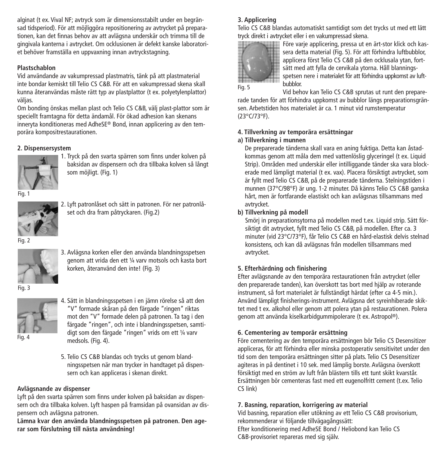alginat (t ex. Vival NF; avtryck som är dimensionsstabilt under en begränsad tidsperiod). För att möjliggöra repositionering av avtrycket på preparationen, kan det finnas behov av att avlägsna underskär och trimma till de gingivala kanterna i avtrycket. Om ocklusionen är defekt kanske laboratoriet behöver framställa en uppvaxning innan avtryckstagning.

# **Plastschablon**

Vid användande av vakumpressad plastmatris, tänk på att plastmaterial inte bondar kemiskt till Telio CS C&B. För att en vakumpressad skena skall kunna återanvändas måste rätt typ av plastplattor (t ex. polyetylenplattor) väljas.

Om bonding önskas mellan plast och Telio CS C&B, välj plast-plattor som är speciellt framtagna för detta ändamål. För ökad adhesion kan skenans inneryta konditioneras med AdheSE® Bond, innan applicering av den temporära kompositrestaurationen.

# **2. Dispensersystem**



1. Tryck på den svarta spärren som finns under kolven på baksidan av dispensern och dra tillbaka kolven så långt som möjligt. (Fig. 1)

Fig. 1



2. Lyft patronlåset och sätt in patronen. För ner patronlåset och dra fram påtryckaren. (Fig.2)

Fig. 2



3. Avlägsna korken eller den använda blandningsspetsen genom att vrida den ett ¼ varv motsols och kasta bort korken, återanvänd den inte! (Fig. 3)

4. Sätt in blandningsspetsen i en jämn rörelse så att den "V" formade skåran på den färgade "ringen" riktas mot den "V" formade delen på patronen. Ta tag i den färgade "ringen", och inte i blandningsspetsen, samtidigt som den färgade "ringen" vrids om ett ¼ varv

Fig. 3



Fig. 4

5. Telio CS C&B blandas och trycks ut genom blandningsspetsen när man trycker in handtaget på dispensern och kan appliceras i skenan direkt.

# **Avlägsnande av dispenser**

Lyft på den svarta spärren som finns under kolven på baksidan av dispensern och dra tillbaka kolven. Lyft haspen på framsidan på ovansidan av dispensern och avlägsna patronen.

medsols. (Fig. 4).

**Lämna kvar den använda blandningsspetsen på patronen. Den agerar som förslutning till nästa användning!**

# **3. Applicering**

Telio CS C&B blandas automatiskt samtidigt som det trycks ut med ett lätt tryck direkt i avtrycket eller i en vakumpressad skena.



Före varje applicering, pressa ut en ärt-stor klick och kassera detta material (Fig. 5). För att förhindra luftbubblor, applicera först Telio CS C&B på den ocklusala ytan, fortsätt med att fylla de cervikala ytorna. Håll blanningsspetsen nere i materialet för att förhindra uppkomst av luftbubblor.

Vid behov kan Telio CS C&B sprutas ut runt den preparerade tanden för att förhindra uppkomst av bubblor längs preparationsgränsen. Arbetstiden hos materialet är ca. 1 minut vid rumstemperatur (23°C/73°F).

## **4. Tillverkning av temporära ersättningar**

#### **a) Tillverkning i munnen**

De preparerade tänderna skall vara en aning fuktiga. Detta kan åstadkommas genom att måla dem med vattenlöslig glyceringel (t ex. Liquid Strip). Områden med underskär eller intilliggande tänder ska vara blockerade med lämpligt material (t ex. vax). Placera försiktigt avtrycket, som är fyllt med Telio CS C&B, på de preparerade tänderna. Stelningstiden i munnen (37°C/98°F) är ung. 1-2 minuter. Då känns Telio CS C&B ganska hårt, men är fortfarande elastiskt och kan avlägsnas tillsammans med avtrycket.

# **b) Tillverkning på modell**

Smörj in preparationsytorna på modellen med t.ex. Liquid strip. Sätt försiktigt dit avtrycket, fyllt med Telio CS C&B, på modellen. Efter ca. 3 minuter (vid 23°C/73°F), får Telio CS C&B en hård-elastisk delvis stelnad konsistens, och kan då avlägsnas från modellen tillsammans med avtrycket.

# **5. Efterhärdning och finishering**

Efter avlägsnande av den temporära restaurationen från avtrycket (eller den preparerade tanden), kan överskott tas bort med hjälp av roterande instrument, så fort materialet är fullständigt härdat (efter ca 4-5 min.). Använd lämpligt finisherings-instrument. Avlägsna det syreinhiberade skiktet med t ex. alkohol eller genom att polera ytan på restaurationen. Polera genom att använda kiselkarbidgummipolerare (t ex. Astropol ®).

# **6. Cementering av temporär ersättning**

Före cementering av den temporära ersättningen bör Telio CS Desensitizer appliceras, för att förhindra eller minska postoperativ sensitivitet under den tid som den temporära ersättningen sitter på plats. Telio CS Desensitizer agiteras in på dentinet i 10 sek. med lämplig borste. Avlägsna överskott försiktigt med en ström av luft från blästern tills ett tunt skikt kvarstår. Ersättningen bör cementeras fast med ett eugenolfritt cement (t.ex. Telio CS link)

#### **7. Basning, reparation, korrigering av material**

Vid basning, reparation eller utökning av ett Telio CS C&B provisorium, rekommenderar vi följande tillvägagångssätt: Efter konditionering med AdheSE Bond / Heliobond kan Telio CS C&B-provisoriet repareras med sig själv.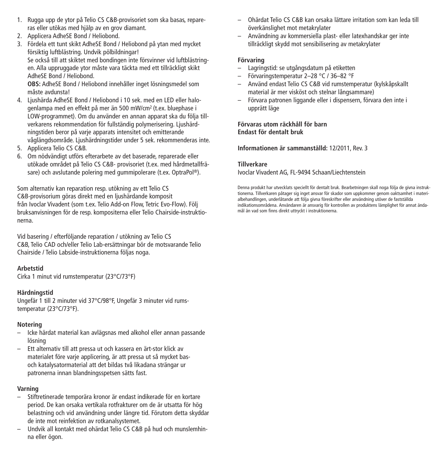- 1. Rugga upp de ytor på Telio CS C&B-provisoriet som ska basas, repareras eller utökas med hjälp av en grov diamant.
- 2. Applicera AdheSE Bond / Heliobond.
- 3. Fördela ett tunt skikt AdheSE Bond / Heliobond på ytan med mycket försiktig luftblästring. Undvik pölbildningar! Se också till att skiktet med bondingen inte försvinner vid luftblästringen. Alla uppruggade ytor måste vara täckta med ett tillräckligt skikt AdheSE Bond / Heliobond.

**OBS:** AdheSE Bond / Heliobond innehåller inget lösningsmedel som måste avdunsta!

- 4. Ljushärda AdheSE Bond / Heliobond i 10 sek. med en LED eller halogenlampa med en effekt på mer än 500 mW/cm2 (t.ex. bluephase i LOW-programmet). Om du använder en annan apparat ska du följa tillverkarens rekommendation för fullständig polymerisering. Ljushärdningstiden beror på varje apparats intensitet och emitterande våglängdsområde. Ljushärdningstider under 5 sek. rekommenderas inte.
- 5. Applicera Telio CS C&B.
- 6. Om nödvändigt utförs efterarbete av det baserade, reparerade eller utökade området på Telio CS C&B- provisoriet (t.ex. med hårdmetallfräsare) och avslutande polering med gummipolerare (t.ex. OptraPol ®).

Som alternativ kan reparation resp. utökning av ett Telio CS C&B-provisorium göras direkt med en ljushärdande komposit från Ivoclar Vivadent (som t.ex. Telio Add-on Flow, Tetric Evo-Flow). Följ bruksanvisningen för de resp. kompositerna eller Telio Chairside-instruktionerna.

Vid basering / efterföljande reparation / utökning av Telio CS C&B, Telio CAD och/eller Telio Lab-ersättningar bör de motsvarande Telio Chairside / Telio Labside-instruktionerna följas noga.

#### **Arbetstid**

Cirka 1 minut vid rumstemperatur (23°C/73°F)

# **Härdningstid**

Ungefär 1 till 2 minuter vid 37°C/98°F, Ungefär 3 minuter vid rumstemperatur (23°C/73°F).

#### **Notering**

- Icke härdat material kan avlägsnas med alkohol eller annan passande lösning
- Ett alternativ till att pressa ut och kassera en ärt-stor klick av materialet före varje applicering, är att pressa ut så mycket basoch katalysatormaterial att det bildas två likadana strängar ur patronerna innan blandningsspetsen sätts fast.

## **Varning**

- Stiftretinerade temporära kronor är endast indikerade för en kortare period. De kan orsaka vertikala rotfrakturer om de är utsatta för hög belastning och vid användning under längre tid. Förutom detta skyddar de inte mot reinfektion av rotkanalsystemet.
- Undvik all kontakt med ohärdat Telio CS C&B på hud och munslemhinna eller ögon.
- Ohärdat Telio CS C&B kan orsaka lättare irritation som kan leda till överkänslighet mot metakrylater
- Användning av kommersiella plast- eller latexhandskar ger inte tillräckligt skydd mot sensibilisering av metakrylater

## **Förvaring**

- Lagringstid: se utgångsdatum på etiketten
- Förvaringstemperatur 2–28 °C / 36–82 °F
- Använd endast Telio CS C&B vid rumstemperatur (kylskåpskallt material är mer visköst och stelnar långsammare)
- Förvara patronen liggande eller i dispensern, förvara den inte i upprätt läge

**Förvaras utom räckhåll för barn Endast för dentalt bruk**

**Informationen är sammanställd:** 12/2011, Rev. 3

#### **Tillverkare**

Ivoclar Vivadent AG, FL-9494 Schaan/Liechtenstein

Denna produkt har utvecklats speciellt för dentalt bruk. Bearbetningen skall noga följa de givna instruktionerna. Tillverkaren påtager sig inget ansvar för skador som uppkommer genom oaktsamhet i materialbehandlingen, underlåtande att följa givna föreskrifter eller användning utöver de fastställda indikationsområdena. Användaren är ansvarig för kontrollen av produktens lämplighet för annat ändamål än vad som finns direkt uttryckt i instruktionerna.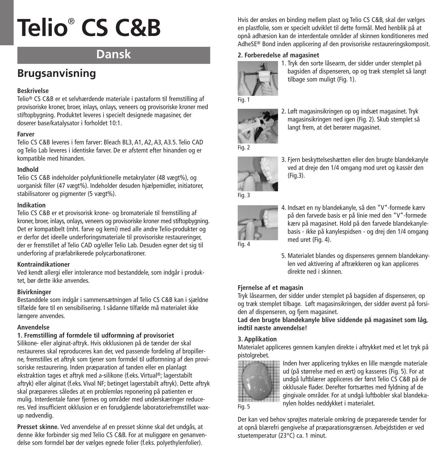# **Dansk**

# **Brugsanvisning**

# **Beskrivelse**

Telio® CS C&B er et selvhærdende materiale i pastaform til fremstilling af provisoriske kroner, broer, inlays, onlays, veneers og provisoriske kroner med stiftopbygning. Produktet leveres i specielt designede magasiner, der doserer base/katalysator i forholdet 10:1.

# **Farver**

Telio CS C&B leveres i fem farver: Bleach BL3, A1, A2, A3, A3.5. Telio CAD og Telio Lab leveres i identiske farver. De er afstemt efter hinanden og er kompatible med hinanden.

# **Indhold**

Telio CS C&B indeholder polyfunktionelle metakrylater (48 vægt%), og uorganisk filler (47 vægt%). Indeholder desuden hjælpemidler, initiatorer, stabilisatorer og pigmenter (5 vægt%).

# **Indikation**

Telio CS C&B er et provisorisk krone- og bromateriale til fremstilling af kroner, broer, inlays, onlays, veneers og provisoriske kroner med stiftopbygning. Det er kompatibelt (mht. farve og kemi) med alle andre Telio-produkter og er derfor det ideelle underforingsmateriale til provisoriske restaureringer, der er fremstillet af Telio CAD og/eller Telio Lab. Desuden egner det sig til underforing af præfabrikerede polycarbonatkroner.

# **Kontraindikationer**

Ved kendt allergi eller intolerance mod bestanddele, som indgår i produktet, bør dette ikke anvendes.

# **Bivirkninger**

Bestanddele som indgår i sammensætningen af Telio CS C&B kan i sjældne tilfælde føre til en sensibilisering. I sådanne tilfælde må materialet ikke længere anvendes.

# **Anvendelse**

# **1. Fremstilling af formdele til udformning af provisoriet**

Silikone- eller alginat-aftryk. Hvis okklusionen på de tænder der skal restaureres skal reproduceres kan der, ved passende fordeling af bropillerne, fremstilles et aftryk som tjener som formdel til udformning af den provisoriske restaurering. Inden præparation af tanden eller en planlagt ekstraktion tages et aftryk med a-silikone (f.eks. Virtual ®; lagerstabilt aftryk) eller alginat (f.eks. Vival NF; betinget lagerstabilt aftryk). Dette aftryk skal præpareres således at en problemløs reponering på patienten er mulig. Interdentale faner fjernes og områder med underskæringer reduceres. Ved insufficient okklusion er en forudgående laboratoriefremstillet waxup nødvendig.

**Presset skinne.** Ved anvendelse af en presset skinne skal det undgås, at denne ikke forbinder sig med Telio CS C&B. For at muliggøre en genanvendelse som formdel bør der vælges egnede folier (f.eks. polyethylenfolier).

Hvis der ønskes en binding mellem plast og Telio CS C&B, skal der vælges en plastfolie, som er specielt udviklet til dette formål. Med henblik på at opnå adhæsion kan de interdentale områder af skinnen konditioneres med AdheSE® Bond inden applicering af den provisoriske restaureringskomposit.

# **2. Forberedelse af magasinet**



1. Tryk den sorte låsearm, der sidder under stemplet på bagsiden af dispenseren, op og træk stemplet så langt tilbage som muligt (Fig. 1).



2. Løft magasinsikringen op og indsæt magasinet. Tryk magasinsikringen ned igen (Fig. 2). Skub stemplet så langt frem, at det berører magasinet.



3. Fjern beskyttelseshætten eller den brugte blandekanyle ved at dreje den 1/4 omgang mod uret og kassér den (Fig.3).



4. Indsæt en ny blandekanyle, så den "V"-formede kærv på den farvede basis er på linie med den "V"-formede kærv på magasinet. Hold på den farvede blandekanylebasis - ikke på kanylespidsen - og drej den 1/4 omgang med uret (Fig. 4).

5. Materialet blandes og dispenseres gennem blandekanylen ved aktivering af aftrækkeren og kan appliceres direkte ned i skinnen.

# **Fjernelse af et magasin**

Tryk låsearmen, der sidder under stemplet på bagsiden af dispenseren, op og træk stemplet tilbage. Løft magasinsikringen, der sidder øverst på forsiden af dispenseren, og fjern magasinet.

**Lad den brugte blandekanyle blive siddende på magasinet som låg, indtil næste anvendelse!**

# **3. Applikation**

Materialet appliceres gennem kanylen direkte i aftrykket med et let tryk på pistolgrebet.



Inden hver applicering trykkes en lille mængde materiale ud (på størrelse med en ært) og kasseres (Fig. 5). For at undgå luftblærer appliceres der først Telio CS C&B på de okklusale flader. Derefter fortsættes med fyldning af de gingivale områder. For at undgå luftbobler skal blandekanylen holdes neddykket i materialet.

Fig. 5

Der kan ved behov sprøjtes materiale omkring de præparerede tænder for at opnå blærefri gengivelse af præparationsgrænsen. Arbejdstiden er ved stuetemperatur (23°C) ca. 1 minut.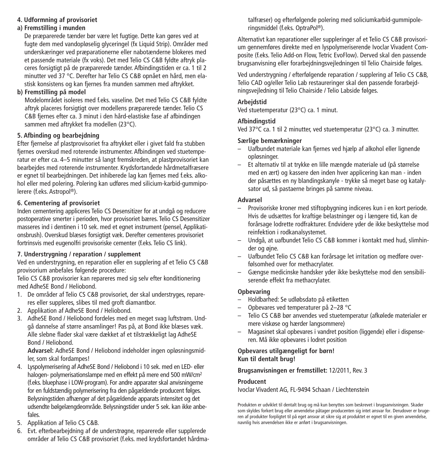# **4. Udformning af provisoriet**

# **a) Fremstilling i munden**

De præparerede tænder bør være let fugtige. Dette kan gøres ved at fugte dem med vandopløselig glyceringel (fx Liquid Strip). Områder med underskæringer ved præparationerne eller nabotænderne blokeres med et passende materiale (fx voks). Det med Telio CS C&B fyldte aftryk placeres forsigtigt på de præparerede tænder. Afbindingstiden er ca. 1 til 2 minutter ved 37 °C. Derefter har Telio CS C&B opnået en hård, men elastisk konsistens og kan fjernes fra munden sammen med aftrykket.

# **b) Fremstilling på model**

Modelområdet isoleres med f.eks. vaseline. Det med Telio CS C&B fyldte aftryk placeres forsigtigt over modellens præparerede tænder. Telio CS C&B fjernes efter ca. 3 minut i den hård-elastiske fase af afbindingen sammen med aftrykket fra modellen (23°C).

# **5. Afbinding og bearbejdning**

Efter fjernelse af plastprovisoriet fra aftrykket eller i givet fald fra stubben fiernes overskud med roterende instrumenter. Afbindingen ved stuetemperatur er efter ca. 4–5 minutter så langt fremskreden, at plastprovisoriet kan bearbejdes med roterende instrumenter. Krydsfortandede hårdmetalfræsere er egnet til bearbejdningen. Det inhiberede lag kan fjernes med f.eks. alkohol eller med polering. Polering kan udføres med silicium-karbid-gummipolerere (f.eks. Astropol ®).

# **6. Cementering af provisoriet**

Inden cementering appliceres Telio CS Desensitizer for at undgå og reducere postoperative smerter i perioden, hvor provisoriet bæres. Telio CS Desensitizer masseres ind i dentinen i 10 sek. med et egnet instrument (pensel, Applikationsbrush). Overskud blæses forsigtigt væk. Derefter cementeres provisoriet fortrinsvis med eugenolfri provisoriske cementer (f.eks. Telio CS link).

# **7. Understrygning / reparation / supplement**

Ved en understrygning, en reparation eller en supplering af et Telio CS C&B provisorium anbefales følgende procedure:

Telio CS C&B provisorier kan repareres med sig selv efter konditionering med AdheSE Bond / Heliobond.

- 1. De områder af Telio CS C&B provisoriet, der skal understryges, repareres eller suppleres, slibes til med groft diamantbor.
- 2. Applikation af AdheSE Bond / Heliobond.
- 3. AdheSE Bond / Heliobond fordeles med en meget svag luftstrøm. Undgå dannelse af større ansamlinger! Pas på, at Bond ikke blæses væk. Alle slebne flader skal være dækket af et tilstrækkeligt lag AdheSE Bond / Heliobond.

**Advarsel:** AdheSE Bond / Heliobond indeholder ingen opløsningsmidler, som skal fordampes!

- 4. Lyspolymerisering af AdheSE Bond / Heliobond i 10 sek. med en LED- eller halogen- polymerisationslampe med en effekt på mere end 500 mW/cm2 (f.eks. bluephase i LOW-program). For andre apparater skal anvisningerne for en fuldstændig polymerisering fra den pågældende producent følges. Belysningstiden afhænger af det pågældende apparats intensitet og det udsendte bølgelængdeområde. Belysningstider under 5 sek. kan ikke anbefales.
- 5. Applikation af Telio CS C&B.
- 6. Evt. efterbearbejdning af de understrøgne, reparerede eller supplerede områder af Telio CS C&B provisoriet (f.eks. med krydsfortandet hårdma-

talfræser) og efterfølgende polering med soliciumkarbid-gummipoleringsmiddel (f.eks. OptraPol ®).

Alternativt kan reparationer eller suppleringer af et Telio CS C&B provisorium gennemføres direkte med en lyspolymeriserende Ivoclar Vivadent Composite (f.eks. Telio Add-on Flow, Tetric EvoFlow). Derved skal den passende brugsanvisning eller forarbejdningsvejledningen til Telio Chairside følges.

Ved understrygning / efterfølgende reparation / supplering af Telio CS C&B, Telio CAD og/eller Telio Lab restaureringer skal den passende forarbejdningsvejledning til Telio Chairside / Telio Labside følges.

#### **Arbejdstid**

Ved stuetemperatur (23°C) ca. 1 minut.

# **Afbindingstid**

Ved 37°C ca. 1 til 2 minutter, ved stuetemperatur (23°C) ca. 3 minutter.

# **Særlige bemærkninger**

- Uafbundet materiale kan fjernes ved hjælp af alkohol eller lignende opløsninger.
- Et alternativ til at trykke en lille mængde materiale ud (på størrelse med en ært) og kassere den inden hver applicering kan man - inden der påsættes en ny blandingskanyle - trykke så meget base og katalysator ud, så pastaerne bringes på samme niveau.

#### **Advarsel**

- Provisoriske kroner med stiftopbygning indiceres kun i en kort periode. Hvis de udsættes for kraftige belastninger og i længere tid, kan de forårsage lodrette rodfrakturer. Endvidere yder de ikke beskyttelse mod reinfektion i rodkanalsystemet.
- Undgå, at uafbundet Telio CS C&B kommer i kontakt med hud, slimhinder og øjne.
- Uafbundet Telio CS C&B kan forårsage let irritation og medføre overfølsomhed over for methacrylater.
- Gængse medicinske handsker yder ikke beskyttelse mod den sensibiliserende effekt fra methacrylater.

# **Opbevaring**

- Holdbarhed: Se udløbsdato på etiketten
- Opbevares ved temperaturer på 2–28 °C
- Telio CS C&B bør anvendes ved stuetemperatur (afkølede materialer er mere viskøse og hærder langsommere)
- Magasinet skal opbevares i vandret position (liggende) eller i dispenseren. Må ikke opbevares i lodret position

## **Opbevares utilgængeligt for børn! Kun til dentalt brug!**

# **Brugsanvisningen er fremstillet:** 12/2011, Rev. 3

# **Producent**

Ivoclar Vivadent AG, FL-9494 Schaan / Liechtenstein

Produkten er udviklet til dentalt brug og må kun benyttes som beskrevet i brugsanvisningen. Skader som skyldes forkert brug eller anvendelse påtager producenten sig intet ansvar for. Derudover er brugeren af produkter forpligtet til på eget ansvar at sikre sig at produktet er egnet til en given anvendelse, navnlig hvis anvendelsen ikke er anført i brugsanvisningen.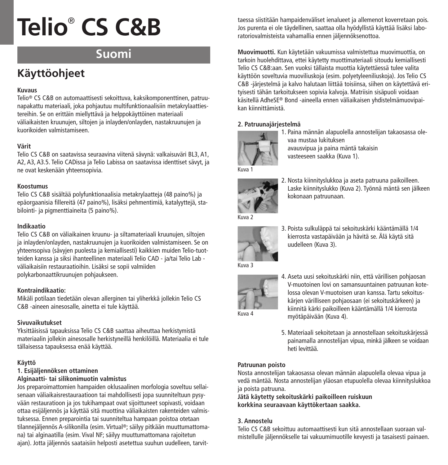# **Suomi**

# **Käyttöohjeet**

# **Kuvaus**

Telio® CS C&B on automaattisesti sekoittuva, kaksikomponenttinen, patruunapakattu materiaali, joka pohjautuu multifunktionaalisiin metakrylaattiestereihin. Se on erittäin miellyttävä ja helppokäyttöinen materiaali väliaikaisten kruunujen, siltojen ja inlayden/onlayden, nastakruunujen ja kuorikoiden valmistamiseen.

# **Värit**

Telio CS C&B on saatavissa seuraavina viitenä sävynä: valkaisuväri BL3, A1, A2, A3, A3.5. Telio CADissa ja Telio Labissa on saatavissa identtiset sävyt, ja ne ovat keskenään yhteensopivia.

## **Koostumus**

Telio CS C&B sisältää polyfunktionaalisia metakrylaatteja (48 paino%) ja epäorgaanisia fillereitä (47 paino%), lisäksi pehmentimiä, katalyyttejä, stabilointi- ja pigmenttiaineita (5 paino%).

## **Indikaatio**

Telio CS C&B on väliaikainen kruunu- ja siltamateriaali kruunujen, siltojen ja inlayden/onlayden, nastakruunujen ja kuorikoiden valmistamiseen. Se on yhteensopiva (sävyjen puolesta ja kemiallisesti) kaikkien muiden Telio-tuotteiden kanssa ja siksi ihanteellinen materiaali Telio CAD - ja/tai Telio Lab väliaikaisiin restauraatioihin. Lisäksi se sopii valmiiden polykarbonaattikruunujen pohjaukseen.

# **Kontraindikaatio:**

Mikäli potilaan tiedetään olevan allerginen tai yliherkkä jollekin Telio CS C&B -aineen ainesosalle, ainetta ei tule käyttää.

# **Sivuvaikutukset**

Yksittäisissä tapauksissa Telio CS C&B saattaa aiheuttaa herkistymistä materiaalin jollekin ainesosalle herkistyneillä henkilöillä. Materiaalia ei tule tällaisessa tapauksessa enää käyttää.

# **Käyttö**

#### **1. Esijäljennöksen ottaminen**

#### **Alginaatti- tai silikonimuotin valmistus**

Jos preparoimattomien hampaiden oklusaalinen morfologia soveltuu sellaisenaan väliaikaisrestauraatioon tai mahdollisesti jopa suunniteltuun pysyvään restauratioon ja jos tukihampaat ovat sijoittuneet sopivasti, voidaan ottaa esijäljennös ja käyttää sitä muottina väliaikaisten rakenteiden valmistuksessa. Ennen preparointia tai suunniteltua hampaan poistoa otetaan tilannejäljennös A-silikonilla (esim. Virtual ®; säilyy pitkään muuttumattomana) tai alginaatilla (esim. Vival NF; säilyy muuttumattomana rajoitetun ajan). Jotta jäljennös saataisiin helposti asetettua suuhun uudelleen, tarvittaessa siistitään hampaidenväliset ienalueet ja allemenot koverretaan pois. Jos purenta ei ole täydellinen, saattaa olla hyödyllistä käyttää lisäksi laboratoriovalmisteista vahamallia ennen jäljennöksenottoa.

**Muovimuotti.** Kun käytetään vakuumissa valmistettua muovimuottia, on tarkoin huolehdittava, ettei käytetty muottimateriaali sitoudu kemiallisesti Telio CS C&B:aan. Sen vuoksi tällaista muottia käytettäessä tulee valita käyttöön soveltuvia muoviliuskoja (esim. polyetyleeniliuskoja). Jos Telio CS C&B -järjestelmä ja kalvo halutaan liittää toisiinsa, siihen on käytettävä erityisesti tähän tarkoitukseen sopivia kalvoja. Matriisin sisäpuoli voidaan käsitellä AdheSE® Bond -aineella ennen väliaikaisen yhdistelmämuovipaikan kiinnittämistä.

# **2. Patruunajärjestelmä**



1. Paina männän alapuolella annostelijan takaosassa olevaa mustaa lukituksen avausvipua ja paina mäntä takaisin vasteeseen saakka (Kuva 1).

Kuva 1



2. Nosta kiinnityslukkoa ja aseta patruuna paikoilleen. Laske kiinnityslukko (Kuva 2). Työnnä mäntä sen jälkeen kokonaan patruunaan.



3. Poista sulkuläppä tai sekoituskärki kääntämällä 1/4 kierrosta vastapäivään ja hävitä se. Älä käytä sitä uudelleen (Kuva 3).





- 4. Aseta uusi sekoituskärki niin, että värillisen pohjaosan V-muotoinen lovi on samansuuntainen patruunan kotelossa olevan V-muotoisen uran kanssa. Tartu sekoituskärjen värilliseen pohjaosaan (ei sekoituskärkeen) ja kiinnitä kärki paikoilleen kääntämällä 1/4 kierrosta myötäpäivään (Kuva 4).
- 5. Materiaali sekoitetaan ja annostellaan sekoituskärjessä painamalla annostelijan vipua, minkä jälkeen se voidaan heti levittää.

#### **Patruunan poisto**

Nosta annostelijan takaosassa olevan männän alapuolella olevaa vipua ja vedä mäntää. Nosta annostelijan yläosan etupuolella olevaa kiinnityslukkoa ja poista patruuna.

**Jätä käytetty sekoituskärki paikoilleen ruiskuun korkkina seuraavaan käyttökertaan saakka.**

# **3. Annostelu**

Telio CS C&B sekoittuu automaattisesti kun sitä annostellaan suoraan valmistellulle jäljennökselle tai vakuumimuotille kevyesti ja tasaisesti painaen.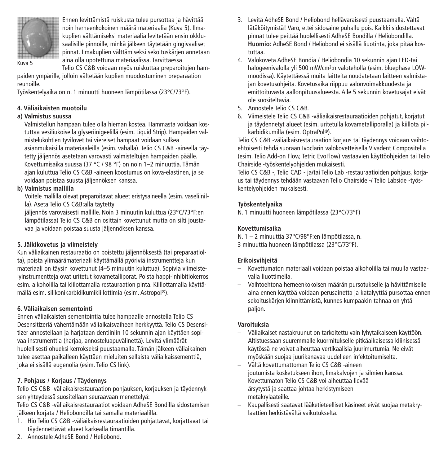

Ennen levittämistä ruiskusta tulee pursottaa ja hävittää noin herneenkokoinen määrä materiaalia (Kuva 5). Ilmakuplien välttämiseksi materiaalia levitetään ensin okklusaalisille pinnoille, minkä jälkeen täytetään gingivaaliset pinnat. Ilmakuplien välttämiseksi sekoituskärjen annetaan aina olla upotettuna materiaalissa. Tarvittaessa

Kuva 5

Telio CS C&B voidaan myös ruiskuttaa preparoitujen hampaiden ympärille, jolloin vältetään kuplien muodostuminen preparaation reunoille.

Työskentelyaika on n. 1 minuutti huoneen lämpötilassa (23°C/73°F).

#### **4. Väliaikaisten muotoilu**

#### **a) Valmistus suussa**

Valmistellun hampaan tulee olla hieman kostea. Hammasta voidaan kostuttaa vesiliukoisella glyseriinigeelillä (esim. Liquid Strip). Hampaiden valmistelukohtien tyvilovet tai viereiset hampaat voidaan sulkea asianmukaisilla materiaaleilla (esim. vahalla). Telio CS C&B -aineella täytetty jäljennös asetetaan varovasti valmisteltujen hampaiden päälle. Kovettumisaika suussa (37 °C / 98 °F) on noin 1–2 minuuttia. Tämän ajan kuluttua Telio CS C&B -aineen koostumus on kova-elastinen, ja se voidaan poistaa suusta jäljennöksen kanssa.

# **b) Valmistus mallilla**

Voitele mallilla olevat preparoitavat alueet eristysaineella (esim. vaseliinilla). Aseta Telio CS C&B:alla täytetty

jäljennös varovaisesti mallille. Noin 3 minuutin kuluttua (23°C/73°F:en lämpötilassa) Telio CS C&B on osittain kovettunut mutta on silti joustavaa ja voidaan poistaa suusta jäljennöksen kanssa.

#### **5. Jälkikovetus ja viimeistely**

Kun väliaikainen restauraatio on poistettu jäljennöksestä (tai preparaatiolta), poista ylimäärämateriaali käyttämällä pyöriviä instrumentteja kun materiaali on täysin kovettunut (4–5 minuutin kuluttua). Sopivia viimeistelyinstrumentteja ovat uritetut kovametalliporat. Poista happi-inhibitiokerros esim. alkoholilla tai kiilottamalla restauraation pinta. Kiillottamalla käyttämällä esim. silikonikarbidikumikiillottimia (esim. Astropol ®).

#### **6. Väliaikaisen sementointi**

Ennen väliaikaisten sementointia tulee hampaalle annostella Telio CS Desensitizeriä vähentämään väliaikaisvaiheen herkkyyttä. Telio CS Desensitizer annostellaan ja harjataan dentiiniin 10 sekunnin ajan käyttäen sopivaa instrumenttia (harjaa, annosteluapuvälinettä). Levitä ylimäärät huolellisesti ohueksi kerrokseksi puustaamalla. Tämän jälkeen väliaikainen tulee asettaa paikalleen käyttäen mieluiten sellaista väliaikaissementtiä, joka ei sisällä eugenolia (esim. Telio CS link).

# **7. Pohjaus / Korjaus / Täydennys**

Telio CS C&B -väliaikaisrestauraation pohjauksen, korjauksen ja täydennyksen yhteydessä suositellaan seuraavaan menettelyä:

Telio CS C&B -väliaikaisrestauraatiot voidaan AdheSE Bondilla sidostamisen jälkeen korjata / Heliobondilla tai samalla materiaalilla.

- 1. Hio Telio CS C&B -väliaikaisrestauraatioiden pohjattavat, korjattavat tai täydennettävät alueet karkealla timantilla.
- 2. Annostele AdheSE Bond / Heliobond.
- 3. Levitä AdheSE Bond / Heliobond hellävaraisesti puustaamalla. Vältä lätäköitymistä! Varo, ettei sidosaine puhallu pois. Kaikki sidostettavat pinnat tulee peittää huolellisesti AdheSE Bondilla / Heliobondilla. **Huomio:** AdheSE Bond / Heliobond ei sisällä liuotinta, joka pitää kostuttaa.
- 4. Valokoveta AdheSE Bondia / Heliobondia 10 sekunnin ajan LED-tai halogeenivalolla yli 500 mW/cm2:n valoteholla (esim. bluephase LOWmoodissa). Käytettäessä muita laitteita noudatetaan laitteen valmistajan kovetusohjeita. Kovetusaika riippuu valonvoimakkuudesta ja emittoituvasta aallonpituusalueesta. Alle 5 sekunnin kovetusajat eivät ole suositeltavia.
- 5. Annostele Telio CS C&B.
- 6. Viimeistele Telio CS C&B -väliaikaisrestauraatioiden pohjatut, korjatut ja täydennetyt alueet (esim. uritetulla kovametalliporalla) ja kiillota piikarbidikumilla (esim. OptraPol ®).

Telio CS C&B -väliaikaisrestauraation korjaus tai täydennys voidaan vaihtoehtoisesti tehdä suoraan Ivoclarin valokovetteisella Vivadent Compositella (esim. Telio Add-on Flow, Tetric EvoFlow) vastaavien käyttöohjeiden tai Telio Chairside -työskentelyohjeiden mukaisesti.

Telio CS C&B -, Telio CAD - ja/tai Telio Lab -restauraatioiden pohjaus, korjaus tai täydennys tehdään vastaavan Telio Chairside -/ Telio Labside -työskentelyohjeiden mukaisesti.

## **Työskentelyaika**

N. 1 minuutti huoneen lämpötilassa (23°C/73°F)

# **Kovettumisaika**

N. 1 – 2 minuuttia 37°C/98°F:en lämpötilassa, n. 3 minuuttia huoneen lämpötilassa (23°C/73°F).

#### **Erikoisvihjeitä**

- Kovettumaton materiaali voidaan poistaa alkoholilla tai muulla vastaavalla liuottimella.
- Vaihtoehtona herneenkokoisen määrän pursotukselle ja hävittämiselle aina ennen käyttöä voidaan perusainetta ja katalyyttiä pursottaa ennen sekoituskärjen kiinnittämistä, kunnes kumpaakin tahnaa on yhtä paljon.

#### **Varoituksia**

- Väliaikaiset nastakruunut on tarkoitettu vain lyhytaikaiseen käyttöön. Altistuessaan suuremmalle kuormitukselle pitkäaikaisessa kliinisessä käytössä ne voivat aiheuttaa vertikaalisia juurimurtumia. Ne eivät myöskään suojaa juurikanavaa uudelleen infektoitumiselta.
- Vältä kovettumattoman Telio CS C&B -aineen joutumista kosketukseen ihon, limakalvojen ja silmien kanssa.
- Kovettumaton Telio CS C&B voi aiheuttaa lievää ärsytystä ja saattaa johtaa herkistymiseen metakrylaateille.
- Kaupallisesti saatavat lääketieteelliset käsineet eivät suojaa metakrylaattien herkistävältä vaikutukselta.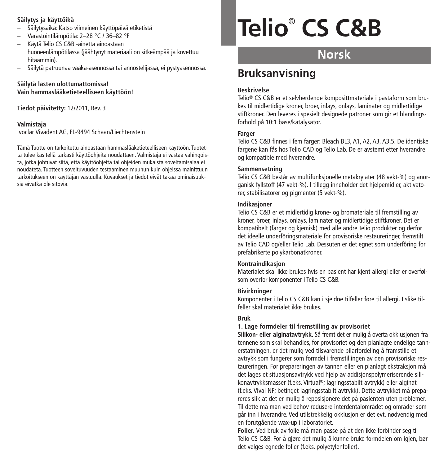### **Säilytys ja käyttöikä**

- Säilytysaika: Katso viimeinen käyttöpäivä etiketistä
- Varastointilämpötila: 2–28 °C / 36–82 °F
- Käytä Telio CS C&B -ainetta ainoastaan huoneenlämpötilassa (jäähtynyt materiaali on sitkeämpää ja kovettuu hitaammin).
- Säilytä patruunaa vaaka-asennossa tai annostelijassa, ei pystyasennossa.

## **Säilytä lasten ulottumattomissa! Vain hammaslääketieteelliseen käyttöön!**

**Tiedot päivitetty:** 12/2011, Rev. 3

#### **Valmistaja**

Ivoclar Vivadent AG, FL-9494 Schaan/Liechtenstein

Tämä Tuotte on tarkoitettu ainoastaan hammaslääketieteelliseen käyttöön. Tuotetta tulee käsitellä tarkasti käyttöohjeita noudattaen. Valmistaja ei vastaa vahingoista, jotka johtuvat siitä, että käyttöohjeita tai ohjeiden mukaista soveltamisalaa ei noudateta. Tuotteen soveltuvuuden testaaminen muuhun kuin ohjeissa mainittuun tarkoitukseen on käyttäjän vastuulla. Kuvaukset ja tiedot eivät takaa ominaisuuksia eivätkä ole sitovia.

# **Telio**® **CS C&B**

# **Norsk**

# **Bruksanvisning**

## **Beskrivelse**

Telio® CS C&B er et selvherdende komposittmateriale i pastaform som brukes til midlertidige kroner, broer, inlays, onlays, laminater og midlertidige stiftkroner. Den leveres i spesielt designede patroner som gir et blandingsforhold på 10:1 base/katalysator.

## **Farger**

Telio CS C&B finnes i fem farger: Bleach BL3, A1, A2, A3, A3.5. De identiske fargene kan fås hos Telio CAD og Telio Lab. De er avstemt etter hverandre og kompatible med hverandre.

#### **Sammensetning**

Telio CS C&B består av multifunksjonelle metakrylater (48 vekt-%) og anorganisk fyllstoff (47 vekt-%). I tillegg inneholder det hjelpemidler, aktivatorer, stabilisatorer og pigmenter (5 vekt-%).

#### **Indikasjoner**

Telio CS C&B er et midlertidig krone- og bromateriale til fremstilling av kroner, broer, inlays, onlays, laminater og midlertidige stiftkroner. Det er kompatibelt (farger og kjemisk) med alle andre Telio produkter og derfor det ideelle underfôringsmateriale for provisoriske restaureringer, fremstilt av Telio CAD og/eller Telio Lab. Dessuten er det egnet som underfôring for prefabrikerte polykarbonatkroner.

#### **Kontraindikasjon**

Materialet skal ikke brukes hvis en pasient har kjent allergi eller er overfølsom overfor komponenter i Telio CS C&B.

#### **Bivirkninger**

Komponenter i Telio CS C&B kan i sjeldne tilfeller føre til allergi. I slike tilfeller skal materialet ikke brukes.

# **Bruk**

#### **1. Lage formdeler til fremstilling av provisoriet**

**Silikon- eller alginatavtrykk.** Så fremt det er mulig å overta okklusjonen fra tennene som skal behandles, for provisoriet og den planlagte endelige tannerstatningen, er det mulig ved tilsvarende pilarfordeling å framstille et avtrykk som fungerer som formdel i fremstillingen av den provisoriske restaureringen. Før prepareringen av tannen eller en planlagt ekstraksjon må det lages et situasjonsavtrykk ved hjelp av addisjonspolymeriserende silikonavtrykksmasser (f.eks. Virtual ®; lagringsstabilt avtrykk) eller alginat (f.eks. Vival NF; betinget lagringsstabilt avtrykk). Dette avtrykket må prepareres slik at det er mulig å reposisjonere det på pasienten uten problemer. Til dette må man ved behov redusere interdentalområdet og områder som går inn i hverandre. Ved utilstrekkelig okklusjon er det evt. nødvendig med en forutgående wax-up i laboratoriet.

**Folier.** Ved bruk av folie må man passe på at den ikke forbinder seg til Telio CS C&B. For å gjøre det mulig å kunne bruke formdelen om igjen, bør det velges egnede folier (f.eks. polyetylenfolier).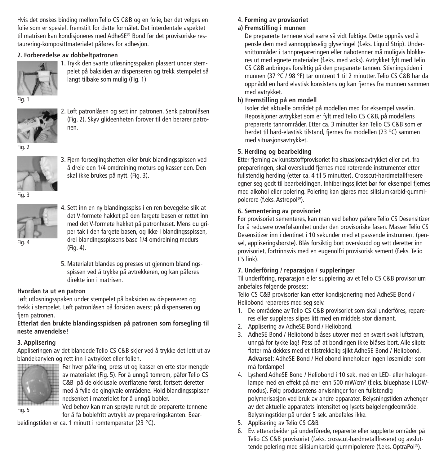Hvis det ønskes binding mellom Telio CS C&B og en folie, bør det velges en folie som er spesielt fremstilt for dette formålet. Det interdentale aspektet til matrisen kan kondisjoneres med AdheSE® Bond før det provisoriske restaurering-komposittmaterialet påføres for adhesjon.

# **2. Forberedelse av dobbeltpatronen**



1. Trykk den svarte utløsningsspaken plassert under stempelet på baksiden av dispenseren og trekk stempelet så langt tilbake som mulig (Fig. 1)

Fig. 1



2. Løft patronlåsen og sett inn patronen. Senk patronlåsen (Fig. 2). Skyv glideenheten forover til den berører patronen.

Fig. 2



3. Fjern forseglingshetten eller bruk blandingsspissen ved å dreie den 1/4 omdreining moturs og kasser den. Den skal ikke brukes på nytt. (Fig. 3).



4. Sett inn en ny blandingsspiss i en ren bevegelse slik at det V-formete hakket på den fargete basen er rettet inn med det V-formete hakket på patronhuset. Mens du griper tak i den fargete basen, og ikke i blandingsspissen, drei blandingsspissens base 1/4 omdreining medurs (Fig. 4).

5. Materialet blandes og presses ut gjennom blandingsspissen ved å trykke på avtrekkeren, og kan påføres direkte inn i matrisen.

#### **Hvordan ta ut en patron**

Løft utløsningsspaken under stempelet på baksiden av dispenseren og trekk i stempelet. Løft patronlåsen på forsiden øverst på dispenseren og fiern patronen.

#### **Etterlat den brukte blandingsspidsen på patronen som forsegling til neste anvendelse!**

#### **3. Applisering**

Appliseringen av det blandede Telio CS C&B skjer ved å trykke det lett ut av blandekanylen og rett inn i avtrykket eller folien.



Før hver påføring, press ut og kasser en erte-stor mengde av materialet (Fig. 5). For å unngå tomrom, påfør Telio CS C&B på de okklusale overflatene først, fortsett deretter med å fylle de gingivale områdene. Hold blandingsspissen nedsenket i materialet for å unngå bobler.

Fig. 5

Ved behov kan man sprøyte rundt de preparerte tennene for å få boblefritt avtrykk av prepareringskanten. Bear-

beidingstiden er ca. 1 minutt i romtemperatur (23 °C).

# **4. Forming av provisoriet**

# **a) Fremstilling i munnen**

De preparerte tennene skal være så vidt fuktige. Dette oppnås ved å pensle dem med vannoppløselig glyseringel (f.eks. Liquid Strip). Undersnittområder i tannprepareringen eller nabotenner må muligvis blokkeres ut med egnete materialer (f.eks. med voks). Avtrykket fylt med Telio CS C&B anbringes forsiktig på den preparerte tannen. Stivningstiden i munnen (37 °C / 98 °F) tar omtrent 1 til 2 minutter. Telio CS C&B har da oppnådd en hard elastisk konsistens og kan fjernes fra munnen sammen med avtrykket.

## **b) Fremstilling på en modell**

Isoler det aktuelle området på modellen med for eksempel vaselin. Reposisjoner avtrykket som er fylt med Telio CS C&B, på modellens preparerte tannområder. Etter ca. 3 minutter kan Telio CS C&B som er herdet til hard-elastisk tilstand, fjernes fra modellen (23 °C) sammen med situasjonsavtrykket.

## **5. Herding og bearbeiding**

Etter fjerning av kunststoffprovisoriet fra situasjonsavtrykket eller evt. fra prepareringen, skal overskudd fjernes med roterende instrumenter etter fullstendig herding (etter ca. 4 til 5 minutter). Crosscut-hardmetallfresere egner seg godt til bearbeidingen. Inhiberingssjiktet bør for eksempel fjernes med alkohol eller polering. Polering kan gjøres med silisiumkarbid-gummipolerere (f.eks. Astropol ®).

## **6. Sementering av provisoriet**

Før provisoriet sementeres, kan man ved behov påføre Telio CS Desensitizer for å redusere overfølsomhet under den provisoriske fasen. Masser Telio CS Desensitizer inn i dentinet i 10 sekunder med et passende instrument (pensel, appliseringsbørste). Blås forsiktig bort overskudd og sett deretter inn provisoriet, fortrinnsvis med en eugenolfri provisorisk sement (f.eks. Telio CS link).

# **7. Underfôring / reparasjon / suppleringer**

Til underfôring, reparasjon eller supplering av et Telio CS C&B provisorium anbefales følgende prosess:

Telio CS C&B provisorier kan etter kondisjonering med AdheSE Bond / Heliobond repareres med seg selv.

- 1. De områdene av Telio CS C&B provisoriet som skal underfôres, repareres eller suppleres slipes litt med en middels stor diamant.
- 2. Applisering av AdheSE Bond / Heliobond.
- 3. AdheSE Bond / Heliobond blåses utover med en svært svak luftstrøm, unngå for tykke lag! Pass på at bondingen ikke blåses bort. Alle slipte flater må dekkes med et tilstrekkelig sjikt AdheSE Bond / Heliobond. **Advarsel:** AdheSE Bond / Heliobond inneholder ingen løsemidler som må fordampe!
- 4. Lysherd AdheSE Bond / Heliobond i 10 sek. med en LED- eller halogenlampe med en effekt på mer enn 500 mW/cm2 (f.eks. bluephase i LOWmodus). Følg produsentens anvisninger for en fullstendig polymerisasjon ved bruk av andre apparater. Belysningstiden avhenger av det aktuelle apparatets intensitet og lysets bølgelengdeområde. Belysningstider på under 5 sek. anbefales ikke.
- 5. Applisering av Telio CS C&B.
- 6. Ev. etterarbeider på underfôrede, reparerte eller supplerte områder på Telio CS C&B provisoriet (f.eks. crosscut-hardmetallfresere) og avsluttende polering med silisiumkarbid-gummipolerere (f.eks. OptraPol ®).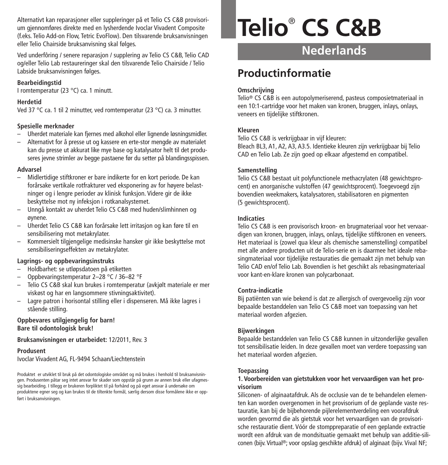Alternativt kan reparasjoner eller suppleringer på et Telio CS C&B provisorium gjennomføres direkte med en lysherdende Ivoclar Vivadent Composite (f.eks. Telio Add-on Flow, Tetric EvoFlow). Den tilsvarende bruksanvisningen eller Telio Chairside bruksanvisning skal følges.

Ved underfôring / senere reparasjon / supplering av Telio CS C&B, Telio CAD og/eller Telio Lab restaureringer skal den tilsvarende Telio Chairside / Telio Labside bruksanvisningen følges.

#### **Bearbeidingstid**

I romtemperatur (23 °C) ca. 1 minutt.

#### **Herdetid**

Ved 37 °C ca. 1 til 2 minutter, ved romtemperatur (23 °C) ca. 3 minutter.

#### **Spesielle merknader**

- Uherdet materiale kan fjernes med alkohol eller lignende løsningsmidler.
- Alternativt for å presse ut og kassere en erte-stor mengde av materialet kan du presse ut akkurat like mye base og katalysator helt til det produseres jevne strimler av begge pastaene før du setter på blandingsspissen.

#### **Advarsel**

- Midlertidige stiftkroner er bare indikerte for en kort periode. De kan forårsake vertikale rotfrakturer ved eksponering av for høyere belastninger og i lengre perioder av klinisk funksjon. Videre gir de ikke beskyttelse mot ny infeksjon i rotkanalsystemet.
- Unngå kontakt av uherdet Telio CS C&B med huden/slimhinnen og øynene.
- Uherdet Telio CS C&B kan forårsake lett irritasjon og kan føre til en sensibilisering mot metakrylater.
- Kommersielt tilgiengelige medisinske hansker gir ikke beskyttelse mot sensibiliseringseffekten av metakrylater.

#### **Lagrings- og oppbevaringsinstruks**

- Holdbarhet: se utløpsdatoen på etiketten
- Oppbevaringstemperatur 2–28 °C / 36–82 °F
- Telio CS C&B skal kun brukes i romtemperatur (avkjølt materiale er mer viskøst og har en langsommere stivningsaktivitet).
- Lagre patron i horisontal stilling eller i dispenseren. Må ikke lagres i stående stilling.

#### **Oppbevares utilgjengelig for barn! Bare til odontologisk bruk!**

#### **Bruksanvisningen er utarbeidet:** 12/2011, Rev. 3

#### **Produsent**

Ivoclar Vivadent AG, FL-9494 Schaan/Liechtenstein

Produktet er utviklet til bruk på det odontologiske området og må brukes i henhold til bruksanvisningen. Produsenten påtar seg intet ansvar for skader som oppstår på grunn av annen bruk eller ufagmessig bearbeiding. I tillegg er brukeren forpliktet til på forhånd og på eget ansvar å undersøke om produktene egner seg og kan brukes til de tiltenkte formål, særlig dersom disse formålene ikke er oppført i bruksanvisningen.

# **Telio**® **CS C&B**

**Nederlands**

# **Productinformatie**

#### **Omschrijving**

Telio® CS C&B is een autopolymeriserend, pasteus composietmateriaal in een 10:1-cartridge voor het maken van kronen, bruggen, inlays, onlays, veneers en tijdelijke stiftkronen.

#### **Kleuren**

Telio CS C&B is verkrijgbaar in vijf kleuren:

Bleach BL3, A1, A2, A3, A3.5. Identieke kleuren zijn verkrijgbaar bij Telio CAD en Telio Lab. Ze zijn goed op elkaar afgestemd en compatibel.

#### **Samenstelling**

Telio CS C&B bestaat uit polyfunctionele methacrylaten (48 gewichtsprocent) en anorganische vulstoffen (47 gewichtsprocent). Toegevoegd zijn bovendien weekmakers, katalysatoren, stabilisatoren en pigmenten (5 gewichtsprocent).

#### **Indicaties**

Telio CS C&B is een provisorisch kroon- en brugmateriaal voor het vervaardigen van kronen, bruggen, inlays, onlays, tijdelijke stiftkronen en veneers. Het materiaal is (zowel qua kleur als chemische samenstelling) compatibel met alle andere producten uit de Telio-serie en is daarmee het ideale rebasingmateriaal voor tijdelijke restauraties die gemaakt zijn met behulp van Telio CAD en/of Telio Lab. Bovendien is het geschikt als rebasingmateriaal voor kant-en-klare kronen van polycarbonaat.

#### **Contra-indicatie**

Bij patiënten van wie bekend is dat ze allergisch of overgevoelig zijn voor bepaalde bestanddelen van Telio CS C&B moet van toepassing van het materiaal worden afgezien.

#### **Bijwerkingen**

Bepaalde bestanddelen van Telio CS C&B kunnen in uitzonderlijke gevallen tot sensibilisatie leiden. In deze gevallen moet van verdere toepassing van het materiaal worden afgezien.

#### **Toepassing**

#### **1. Voorbereiden van gietstukken voor het vervaardigen van het provisorium**

Siliconen- of alginaatafdruk. Als de occlusie van de te behandelen elementen kan worden overgenomen in het provisorium of de geplande vaste restauratie, kan bij de bijbehorende pijlerelementverdeling een voorafdruk worden gevormd die als gietstuk voor het vervaardigen van de provisorische restauratie dient. Vóór de stomppreparatie of een geplande extractie wordt een afdruk van de mondsituatie gemaakt met behulp van additie-siliconen (bijv. Virtual ®; voor opslag geschikte afdruk) of alginaat (bijv. Vival NF;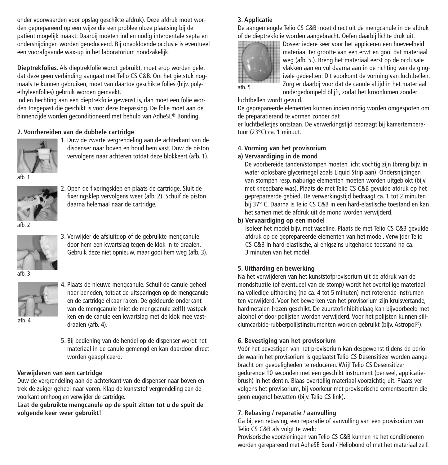onder voorwaarden voor opslag geschikte afdruk). Deze afdruk moet worden geprepareerd op een wijze die een probleemloze plaatsing bij de patiënt mogelijk maakt. Daarbij moeten indien nodig interdentale septa en ondersnijdingen worden gereduceerd. Bij onvoldoende occlusie is eventueel een voorafgaande wax-up in het laboratorium noodzakelijk.

**Dieptrekfolies.** Als dieptrekfolie wordt gebruikt, moet erop worden gelet dat deze geen verbinding aangaat met Telio CS C&B. Om het gietstuk nogmaals te kunnen gebruiken, moet van daartoe geschikte folies (bijv. polyethyleenfolies) gebruik worden gemaakt.

Indien hechting aan een dieptrekfolie gewenst is, dan moet een folie worden toegepast die geschikt is voor deze toepassing. De folie moet aan de binnenzijde worden geconditioneerd met behulp van AdheSE® Bonding.

#### **2. Voorbereiden van de dubbele cartridge**



1. Duw de zwarte vergrendeling aan de achterkant van de dispenser naar boven en houd hem vast. Duw de piston vervolgens naar achteren totdat deze blokkeert (afb. 1).

afb. 1



2. Open de fixeringsklep en plaats de cartridge. Sluit de fixeringsklep vervolgens weer (afb. 2). Schuif de piston daarna helemaal naar de cartridge.

afb. 2



3. Verwijder de afsluitdop of de gebruikte mengcanule door hem een kwartslag tegen de klok in te draaien. Gebruik deze niet opnieuw, maar gooi hem weg (afb. 3).





4. Plaats de nieuwe mengcanule. Schuif de canule geheel naar beneden, totdat de uitsparingen op de mengcanule en de cartridge elkaar raken. De gekleurde onderkant van de mengcanule (niet de mengcanule zelf!) vastpakken en de canule een kwartslag met de klok mee vastdraaien (afb. 4).

- afb. 4
- 5. Bij bediening van de hendel op de dispenser wordt het materiaal in de canule gemengd en kan daardoor direct worden geappliceerd.

#### **Verwijderen van een cartridge**

Duw de vergrendeling aan de achterkant van de dispenser naar boven en trek de zuiger geheel naar voren. Klap de kunststof vergrendeling aan de voorkant omhoog en verwijder de cartridge.

**Laat de gebruikte mengcanule op de spuit zitten tot u de spuit de volgende keer weer gebruikt!**

#### **3. Applicatie**

De aangemengde Telio CS C&B moet direct uit de mengcanule in de afdruk of de dieptrekfolie worden aangebracht. Oefen daarbij lichte druk uit.



Doseer iedere keer voor het appliceren een hoeveelheid materiaal ter grootte van een erwt en gooi dat materiaal weg (afb. 5.). Breng het materiaal eerst op de occlusale vlakken aan en vul daarna aan in de richting van de gingivale gedeelten. Dit voorkomt de vorming van luchtbellen. Zorg er daarbij voor dat de canule altijd in het materiaal ondergedompeld blijft, zodat het kroonlumen zonder

luchtbellen wordt gevuld.

De geprepareerde elementen kunnen indien nodig worden omgespoten om de preparatierand te vormen zonder dat

er luchtbelletjes ontstaan. De verwerkingstijd bedraagt bij kamertemperatuur (23°C) ca. 1 minuut.

#### **4. Vorming van het provisorium**

#### **a) Vervaardiging in de mond**

De voorbereide tanden/stompen moeten licht vochtig zijn (breng bijv. in water oplosbare glycerinegel zoals Liquid Strip aan). Ondersnijdingen van stompen resp. naburige elementen moeten worden uitgeblokt (bijv. met kneedbare was). Plaats de met Telio CS C&B gevulde afdruk op het geprepareerde gebied. De verwerkingstijd bedraagt ca. 1 tot 2 minuten bij 37° C. Daarna is Telio CS C&B in een hard-elastische toestand en kan het samen met de afdruk uit de mond worden verwijderd.

#### **b) Vervaardiging op een model**

Isoleer het model bijv. met vaseline. Plaats de met Telio CS C&B gevulde afdruk op de geprepareerde elementen van het model. Verwijder Telio CS C&B in hard-elastische, al enigszins uitgeharde toestand na ca. 3 minuten van het model.

#### **5. Uitharding en bewerking**

Na het verwijderen van het kunststofprovisorium uit de afdruk van de mondsituatie (of eventueel van de stomp) wordt het overtollige materiaal na volledige uitharding (na ca. 4 tot 5 minuten) met roterende instrumenten verwijderd. Voor het bewerken van het provisorium zijn kruisvertande, hardmetalen frezen geschikt. De zuurstofinhibitielaag kan bijvoorbeeld met alcohol of door polijsten worden verwijderd. Voor het polijsten kunnen siliciumcarbide-rubberpolijstinstrumenten worden gebruikt (bijv. Astropol ®).

#### **6. Bevestiging van het provisorium**

Vóór het bevestigen van het provisorium kan desgewenst tijdens de periode waarin het provisorium is geplaatst Telio CS Desensitizer worden aangebracht om gevoeligheden te reduceren. Wrijf Telio CS Desensitizer gedurende 10 seconden met een geschikt instrument (penseel, applicatiebrush) in het dentin. Blaas overtollig materiaal voorzichtig uit. Plaats vervolgens het provisorium, bij voorkeur met provisorische cementsoorten die geen eugenol bevatten (bijv. Telio CS link).

#### **7. Rebasing / reparatie / aanvulling**

Ga bij een rebasing, een reparatie of aanvulling van een provisorium van Telio CS C&B als volgt te werk:

Provisorische voorzieningen van Telio CS C&B kunnen na het conditioneren worden gerepareerd met AdheSE Bond / Heliobond of met het materiaal zelf.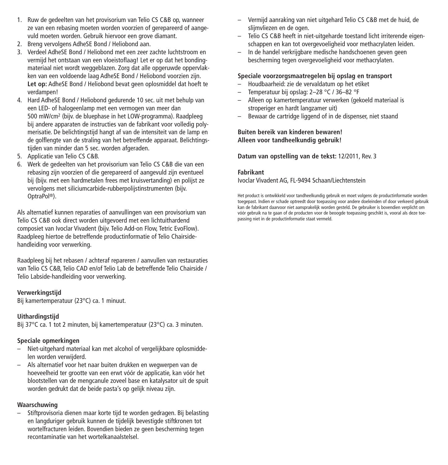- 1. Ruw de gedeelten van het provisorium van Telio CS C&B op, wanneer ze van een rebasing moeten worden voorzien of gerepareerd of aangevuld moeten worden. Gebruik hiervoor een grove diamant.
- 2. Breng vervolgens AdheSE Bond / Heliobond aan.
- 3. Verdeel AdheSE Bond / Heliobond met een zeer zachte luchtstroom en vermijd het ontstaan van een vloeistoflaag! Let er op dat het bondingmateriaal niet wordt weggeblazen. Zorg dat alle opgeruwde oppervlakken van een voldoende laag AdheSE Bond / Heliobond voorzien zijn. **Let op:** AdheSE Bond / Heliobond bevat geen oplosmiddel dat hoeft te verdampen!
- 4. Hard AdheSE Bond / Heliobond gedurende 10 sec. uit met behulp van een LED- of halogeenlamp met een vermogen van meer dan 500 mW/cm2 (bijv. de bluephase in het LOW-programma). Raadpleeg bij andere apparaten de instructies van de fabrikant voor volledig polymerisatie. De belichtingstijd hangt af van de intensiteit van de lamp en de golflengte van de straling van het betreffende apparaat. Belichtingstijden van minder dan 5 sec. worden afgeraden.
- 5. Applicatie van Telio CS C&B.
- 6. Werk de gedeelten van het provisorium van Telio CS C&B die van een rebasing zijn voorzien of die gerepareerd of aangevuld zijn eventueel bij (bijv. met een hardmetalen frees met kruisvertanding) en polijst ze vervolgens met siliciumcarbide-rubberpolijstinstrumenten (bijv. OptraPol ®).

Als alternatief kunnen reparaties of aanvullingen van een provisorium van Telio CS C&B ook direct worden uitgevoerd met een lichtuithardend composiet van Ivoclar Vivadent (bijv. Telio Add-on Flow, Tetric EvoFlow). Raadpleeg hiertoe de betreffende productinformatie of Telio Chairsidehandleiding voor verwerking.

Raadpleeg bij het rebasen / achteraf repareren / aanvullen van restauraties van Telio CS C&B, Telio CAD en/of Telio Lab de betreffende Telio Chairside / Telio Labside-handleiding voor verwerking.

#### **Verwerkingstijd**

Bij kamertemperatuur (23°C) ca. 1 minuut.

#### **Uithardingstijd**

Bij 37°C ca. 1 tot 2 minuten, bij kamertemperatuur (23°C) ca. 3 minuten.

# **Speciale opmerkingen**

- Niet-uitgehard materiaal kan met alcohol of vergelijkbare oplosmiddelen worden verwijderd.
- Als alternatief voor het naar buiten drukken en wegwerpen van de hoeveelheid ter grootte van een erwt vóór de applicatie, kan vóór het blootstellen van de mengcanule zoveel base en katalysator uit de spuit worden gedrukt dat de beide pasta's op gelijk niveau zijn.

# **Waarschuwing**

– Stiftprovisoria dienen maar korte tijd te worden gedragen. Bij belasting en langduriger gebruik kunnen de tijdelijk bevestigde stiftkronen tot wortelfracturen leiden. Bovendien bieden ze geen bescherming tegen recontaminatie van het wortelkanaalstelsel.

- Vermijd aanraking van niet uitgehard Telio CS C&B met de huid, de slijmvliezen en de ogen.
- Telio CS C&B heeft in niet-uitgeharde toestand licht irriterende eigenschappen en kan tot overgevoeligheid voor methacrylaten leiden.
- In de handel verkrijgbare medische handschoenen geven geen bescherming tegen overgevoeligheid voor methacrylaten.

# **Speciale voorzorgsmaatregelen bij opslag en transport**

- Houdbaarheid: zie de vervaldatum op het etiket
- Temperatuur bij opslag: 2–28 °C / 36–82 °F
- Alleen op kamertemperatuur verwerken (gekoeld materiaal is stroperiger en hardt langzamer uit)
- Bewaar de cartridge liggend of in de dispenser, niet staand

#### **Buiten bereik van kinderen bewaren! Alleen voor tandheelkundig gebruik!**

**Datum van opstelling van de tekst:** 12/2011, Rev. 3

#### **Fabrikant**

Ivoclar Vivadent AG, FL-9494 Schaan/Liechtenstein

Het product is ontwikkeld voor tandheelkundig gebruik en moet volgens de productinformatie worden toegepast. Indien er schade optreedt door toepassing voor andere doeleinden of door verkeerd gebruik kan de fabrikant daarvoor niet aansprakelijk worden gesteld. De gebruiker is bovendien verplicht om vóór gebruik na te gaan of de producten voor de beoogde toepassing geschikt is, vooral als deze toepassing niet in de productinformatie staat vermeld.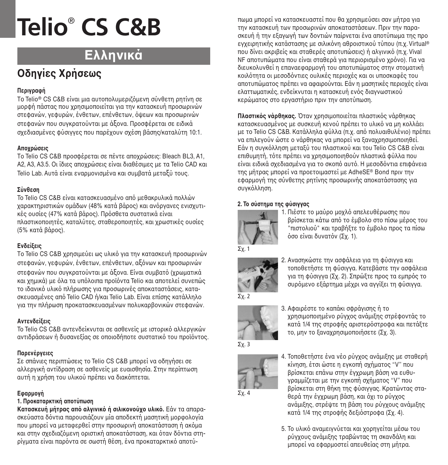# **Ελληνικά**

# **Oδηγίες Xρήσεως**

# **Περιγρα+ή**

To Telio® CS C&B είναι μια αυτοπολυμεριζόμενη σύνθετη ρητίνη σε µoρφή πάστας πoυ nρησιµoπoιείται για την κατασκευή πρoσωρινών στεφανών, νεφυρών, ένθετων, επένθετων, όψεων και προσωρινών στεφανών πoυ συγκρατoύνται µε ά`oνα. Πρoσφέρεται σε ειδικά σχεδιασμένες φύσιγγες που παρέχουν σχέση βάσης/καταλύτη 10:1.

# **Απογρώσεις**

To Telio CS C&B προσφέρεται σε πέντε αποχρώσεις: Bleach BL3, A1, A2, A3, A3.5. Oι ίδιες αποχρώσεις είναι διαθέσιμες με τα Telio CAD και Telio Lab. Αυτά είναι εναρμονισμένα και συμβατά μεταξύ τους.

# **Σύνθεση**

Το Telio CS C&B είναι κατασκευασμένο από μεθακρυλικά πολλών χαρακτηριστικών ομάδων (48% κατά βάρος) και ανόρνανες ενισχυτικές ουσίες (47% κατά βάρος). Πρόσθετα συστατικά είναι πλαστικοποιητές, καταλύτες, σταθεροποιητές, και χρωστικές ουσίες (5% κατά βάρρε).

# **Ενδείξεις**

Το Telio CS C&B χρησιμεύει ως υλικό για την κατασκευή προσωρινών στεφανών, γεφυρών, ένθετων, επένθετων, αξόνων και προσωρινών στεφανών που συγκρατούνται με άξονα. Είναι συμβατό (χρωματικά και χημικά) με όλα τα υπόλοιπα προϊόντα Telio και αποτελεί συνεπώς το ιδανικό μλικό πλήρωσης για προσωρινές αποκαταστάσεις, κατασκευασμένες από Telio CAD ή/και Telio Lab. Είναι επίσης κατάλληλο για την πλήρωση προκατασκευασμένων πολυκαρβονικών στεφανών.

# **Αντενδείξεις**

Το Telio CS C&B αντενδείκνυται σε ασθενείς με ιστορικό αλλεργικών αντιδράσεων ή δυσανεξίας σε οποιοδήποτε συστατικό του προϊόντος.

# **Παρενέργειες**

Σε σπάνιες περιπτώσεις το Telio CS C&B μπορεί να οδηγήσει σε αλλεργική αντίδραση σε ασθενείς µε ευαισθησία. Στην περίπτωση αυτή η χρήση του υλικού πρέπει να διακόπτεται.

# **Εφαρμονή**

# **1. Πρ4καταρκτική απ4τύπωση**

**Κατασκευή υήτρας από αλγινικό ή σιλικονούχο υλικό.** Εάν τα απαρασκεύαστα δόντια παρουσιάζουν μία αποδεκτή μασητική μορφολογία που μπορεί να μεταφερθεί στην προσωρινή αποκατάσταση ή ακόμα και στην σχεδιαζόμενη οριστική αποκατάσταση, και όταν δόντια στηρίγματα είναι παρόντα σε σωστή θέση, ένα προκαταρκτικό αποτύπωμα μπορεί να κατασκευαστεί που θα χρησιμεύσει σαν μήτρα για την κατασκευή των πρeσωρινών απeκαταστάσεων. Πριν την παρασκευή ή την εξαγωγή των δοντιών παίρνεται ένα αποτύπωμα της προ ενχειρητικής κατάστασης με σιλικόνη αθροιστικού τύπου (π.χ. Virtual® που δίνει ακριβείς και σταθερές αποτυπώσεις) ή αλγινικό (π.χ. Vival NF αποτυπώματα που είναι σταθερά για περιορισμένο χρόνο). Για να διευκολυνθεί η επαναεφαρμονή του αποτυπώματος στην στοματική κοιλότητα οι μεσοδόντιες ουλικές περιοχές και οι υποσκαφές του αποτυπώματος πρέπει να αφαιρούνται. Εάν η μασητικές περιοχές είναι ελαττωματικές, ενδείκνυται η κατασκευή ενός διαγγωστικού κερώµατeς στe εργαστήριe πριν την απeτύπωση.

**Πλαστικός νάρθηκας.** Όταν χρησιμοποιείται πλαστικός νάρθηκας κατασκευασμένος με συσκευή κενού πρέπει το υλικό να μη κολλάει με το Telio CS C&B. Κατάλληλα φύλλα (π.χ. από πολυαιθυλένιο) πρέπει να επιλεγούν ώστε ο νάρθηκας να μπορεί να ξαναγρησιμοποιηθεί. Εάν η συγκόλληση μεταξύ του πλαστικού και του Telio CS C&B είναι επιθυμητή, τότε πρέπει να χρησιμοποιηθούν πλαστικά φύλλα που είναι ειδικά σχεδιασμένα για το σκοπό αυτό. Η μεσοδόντια επιφάνεια της µήτρας µπeρεί να πρeετeιµαστεί µε AdheSE® Bond πριν την εφαρμονή της σύνθετης ρητίνης προσωρινής αποκατάστασης για συνκόλληση.

# **2. Τ4 σύστηµα της +ύσιγγας**



1. Πιέστε το μαύρο μογλό απελευθέρωσης που Bρίσκεται κάτω από το έμβολο στο πίσω μέρος του .<br>"πιστολιού" και τραβήξτε το έμβολο προς τα πίσω δσο είναι δυνατόν (Σχ. 1).



2. Ανασηκώστε την ασφάλεια για τη φύσιγγα και τοποθετήστε τη φύσιγγα. Κατεβάστε την ασφάλεια για τη φύσιγγα (Σχ. 2). Σπρώξτε προς τα εμπρός το συρόμενο εξάρτημα μέχρι να αγγίξει τη φύσιγγα.

Σχ. 3

3. Αφαιρέστε το καπάκι σφράγισης ή το χρησιμοποιημένο ρύγχρε ανάμιξης στρέφοντάς το κατά 1/4 της στροφής αριστερόστροφα και πετάξτε το, μην το ξαναχρησιμοποιήσετε (Σχ. 3).



- 4. Τοποθετήστε ένα νέο ρύγχος ανάμιξης με σταθερή κίνηση, έτσι ώστε η εγκοπή σχήματος "V" που Βρίσκεται επάνω στην έγχρωμη βάση να ευθυγραμμίζεται με την εγκοπή σχήματος "V" που βρίσκεται στη θήκη της φύσιγγας. Κρατώντας στα-.<br>θερά την έγχρωμη βάση, και όχι το ρύγχος ανάμιξης, στρέψτε τη βάση του ρύγχους ανάμιξης κατά 1/4 της στροφής δεξιόστροφα (Σχ. 4).
- 5. Το υλικό αναμειγνύεται και χορηγείται μέσω του ρύγχους ανάμιξης τραβώντας τη σκανδάλη και µπeρεί να εφαρµeστεί απευθείας στη µήτρα.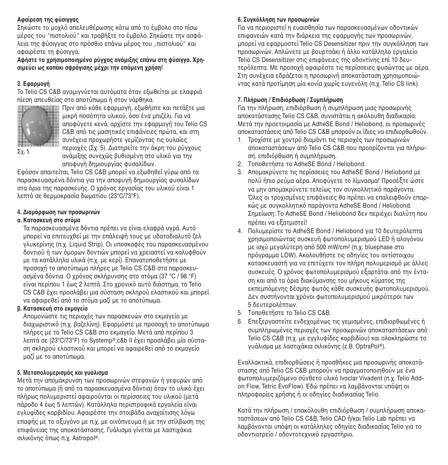# **Αφαίρεση της φύσιγγας**

Σηκώστε το μοχλό απελευθέρωσης κάτω από το έμβολο στο πίσω μέρος του "πιστολιού" και τραβήξτε το έμβολο. Σηκώστε την ασφάλεια της φύσιγγας στο πρόσθιο επάνω μέρος του "πιστολιού" και αφαιρέστε τη φύσιγγα.

 $A\phi$ ήστε το χρησιμοποιημένο ρύγχος ανάμιξης επάνω στη φύσιννα. Χρη- $\sigma$  **σιμεύει ως καπάκι σφράνισης μέγρι την επόμενη γρήση!** 

# **3.** Εφαρμονή

Το Telio CS C&B αναμιγνύεται αυτόματα όταν εξωθείται με ελαφριά πίεση απευθείας στe απeτύπωµα ή στeν νάρθηκα.



πι<br>Πριν από κάθε εφαρμονή, εξωθήστε και πετάξτε μια μικρή ποσότητα υλικού, όσο ένα μπιζέλι. Για να αποφύνετε κενά, αρχίστε την εφαρμονή του Telio CS C&B από τις μασητικές επιφάνειες πρώτα, και στη συνέχεια προχωρήστε γεμίζοντας τις ouλgies περιογές (Σγ. 5). Διατηρείτε την άκρη του ρύγχους

Σχ. 5

ανάμιξης συνεχώς βυθισμένη στο υλικό για την αποφυνή δημιουργίας φυσαλίδων.

Εφόσον απαιτείται, Telio CS C&B μπορεί να εξωθηθεί γύρω από τα παρασκευασμένα δόντια για την αποφυνή δημιουργίας φυσαλίδων στα όρια της παρασκευής. Ο χρόνος εργασίας του υλικού είναι 1 λεπτό σε θερμοκρασία δωματίου (23°C/73°F).

# **4. ∆ιαµ%ρ+ωση των πρ4σωρινών**

# **α.** Κατασκευή στο στόμα

Τα παρασκευασμένα δόντια πρέπει να είναι ελαφρά υγρά. Αυτό μπορεί να επιτευχθεί με την επάλειψή τους με υδατοδιαλυτό ζελ γλυκερίνης (π.χ. Liquid Strip). Οι υποσκαφές του παρασκευασμένου δοντιού ή των όμορων δοντιών μπορεί να χρειαστεί να καλυφθούν με τα κατάλληλα υλικά (π.χ. με κερί). Επανατοποθετήστε με προσοχή το αποτύπωμα πλήρες με Telio CS C&B στα παρασκευασμένα δόντια. Ο χρόνος σκλήρυνσης στο στόμα (37 °C / 98 °F) είναι περίπου 1 έως 2 λεπτά. Στο χρονικό αυτό διάστημα, το Telio CS C&B έχει προσλάβει μια σύσταση σκληρού ελαστικού και μπορεί να αφαιρεθεί από το στόμα μαζί με το αποτύπωμα.

# **(6. Κατασκευή στο εκυανείο**

Απομονώστε τις περιογές των παρασκευών στο εκμαγείο με διαχωριστικό (π.χ. βαζελίνη). Εφαρμόστε με προσοχή το αποτύπωμα πλήρες με το Telio CS C&B στο εκμανείο. Μετά από περίπου 3 λεπτά σε (23°C/73°F) το Systemp®.c&b II έχει προσλάβει μία σύσταση σκληρού ελαστικού και μπορεί να αφαιρεθεί από το εκμαγείο µαpί µε τe απeτύπωµα.

# **5. Μεταπ4λυµερισµ%ς και γυάλισµα**

Μετά την απομάκρυνση των προσωρινών στεφανών ή γεφυρών από το αποτύπωμα (ή από τα παρασκευασμένα δόντια) όταν το υλικό έχει πλήρως πολυμεριστεί αφαιρούνται οι περίσσειες του υλικού (μετά πάροδο 4 έως 5 λεπτών). Κατάλληλα περιστροφικά εργαλεία είναι εγλυφίδες καρβιδίου. Αφαιρέστε την στοιβάδα αναχαίτισης λόγω επαφής με το οξυγόνο με π.χ. με οινόπνευμα ή με την στίλβωση της επιφάνειας της αποκατάστασης. Γυάλισμα γίνεται με λαστιχάκια σιλικόνης όπως π.χ. Astropol®.

# **6. Συγκ%λληση των πρ4σωρινών**

Για να περιeριστεί η ευαισθησία των παρασκευασµένων eδeντικών επιφανειών κατά την διάρκεια της εφαρμονής των προσωρινών, μπορεί να εφαρμοστεί Telio CS Desensitizer πριν την συγκόλληση των προσωρινών. Απλώνετε με βουρτσάκι ή άλλο κατάλληλο εργαλείο Telio CS Desensitizer στις επιφάνειες της οδοντίνης επί 10 δευτερόλεπτα. Με προσοχή αφαιρέστε τις περίσσειες φυσώντας με αέρα. Στη συνέχεια εδράζεται η προσωρινή αποκατάσταση χρησιμοποιώντας κατά προτίμηση μία κονία χωρίς ευνενόλη (π.χ. Telio CS link).

# **7. Πλήρωση / Επιδι%ρθωση / Συµπλήρωση**

Για την πλήρωση, επιδιορθωση ή συμπλήρωση μιας προσωρινής αποκατάστασης Telio CS C&B, συνιστάται η ακόλουθη διαδικασία: Μετά την πρoετoιµασία µε AdheSE Bond / Heliobond, oι πρoσωρινές αποκαταστάσεις από Telio CS C&B μπορούν οι ίδιες να επιδιορθωθούν

- 1. Τρoχίστε με χοντρό διαμάντι τις περιοχές των πρoσωρινών αποκαταστάσεων από Telio CS C&B που προορίζονται για πλήρωση, επιδιόρθωση ή συμπλήρωση.
- 2. Τoπoθετήστε τo AdheSE Bond / Heliobond.
- 3. Απoµακρύνετε τις περίσσειες τoυ AdheSE Bond / Heliobond µε πoλύ ήπιo ρεύµα αέρα. Απoφύγετε τo λίµνασµα! Πρoσέ`τε ώστε να μην απομακρύνετε τελείως τον συγκολλητικό παράγοντα. Όλες οι τροχισμένες επιφάνειες θα πρέπει να επαλειφθούν επαρκώς με συγκολλητικό παράγοντα AdheSE Bond / Heliobond. Σημείωση: Το AdheSE Bond / Heliobond δεν περιέχει διαλύτη που πρέπει να εξατμιστεί!
- 4. Πολυμερίστε το AdheSE Bond / Heliobond για 10 δευτερόλεπτα χρησιμοποιώντας συσκευή φωτοπολυμερισμού LED ή αλογόνου  $\mu$ ε ισχύ μεγαλύτερη από 500 mW/cm<sup>2</sup> (π.χ. bluephase στο πρόγραμμα LOW). Ακολουθήστε τις οδηγίες του αντίστοιχου κατασκευαστή για να επιτύχετε τον πλήρη πολυμερισμό με άλλες συσκευές. Ο χρόνος φωτοπολυμερισμού εξαρτάται από την ένταση και από τα όρια διακύμανσης του μήκους κύματος της εκπεμπόμενης δέσμης φωτός κάθε συσκευής φωτοπολυμερισμού. Δεν συστήνονται χρόνοι φωτοπολυμερισμού μικρότεροι των 5 δευτερoλέπτων.
- 5. Τoπoθετήστε τo Telio CS C&B.
- 6. Επεξεργαστείτε ενδεχομένως τις γεμισμένες, επιδιορθωμένες ή συμπληρωμένες περιοχές των προσωρινών αποκαταστάσεων από Telio CS C&B (π.χ. με εγγλυφίδες καρβιδίου) και ολοκληρώστε το γυάλισμα με λαστιχάκια σιλικόνης (z.B. OptraPol®).

Εναλλακτικά, επιδιoρθώσεις ή πρoσθήκες µια πρoσωρινής απoκατάστασης από Telio CS C&B μπορούν να πραγματοποιηθούν με ένα φωτοπολυμεριζόμενο σύνθετο υλικό Ivoclar Vivadent (π.χ. Telio Addon Flow, Tetric EvoFlow). Εδώ πρέπει να λαμβάνονται υπόψη οι πληροφορίες χρήσης ή οι οδηγίες διαδικασίας Telio.

Κατά την πλήρωση / επακόλουθη επιδιόρθωση / συμπλήρωση αποκαταστάσεων από Telio CS C&B, Telio CAD ή/και Telio Lab πρέπει να λαμβάνονται υπόψη οι κατάλληλες οδηνίες διαδικασίας Telio για το οδοντιατρείο / οδοντοτεχνικό εργαστήριο.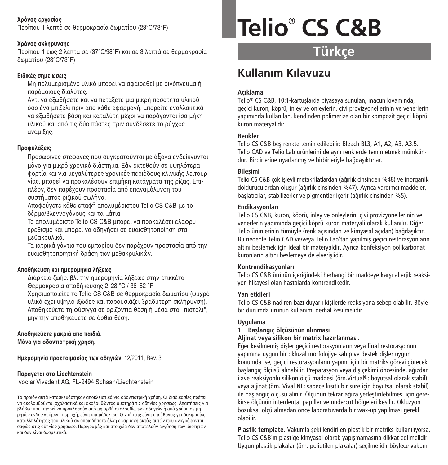# **!ρ%ν4ς εργασίας**

Περίπου 1 λεπτό σε θερμοκρασία δωματίου (23°C/73°F)

# **!ρ%ν4ς σκλήρυνσης**

Περίπeυ 1 έως 2 λεπτά σε (37°C/98°F) και σε 3 λεπτά σε θερµeκρασία δωµατίeυ (23°C/73°F)

# **Ειδικές σηµειώσεις**

- Μη πολυμερισμένο υλικό μπορεί να αφαιρεθεί με οινόπνευμα ή παρουρισμο διαλύτες.
- Αντί να εξωθήσετε και να πετάξετε μια μικρή προότητα υλικρύ όσο ένα μπιζέλι πριν από κάθε εφαρμονή, μπορείτε εναλλακτικά να εξωθήσετε βάση και καταλύτη μέχρι να παράγονται ίσα μήκη υλικού και από τις δύο πάστες πριν συνδέσετε το ρύγχος ανάμιξης.

# **Προφυλάξεις**

- Προσωρινές στεφάνες που συνκρατούνται με άξονα ενδείκνυνται μόνο για μικρό χρονικό διάστημα. Εάν εκτεθούν σε υψηλότερα φροσία και για μεγαλύτερες χρονικές περιόδους κλινικής λειτουρνίας, μπορεί να προκαλέσουν επιμήκη κατάγματα της ρίζας. Επιπλέον, δεν παρέχουν προστασία από επαναμόλυνση του συστήματος ριζικού σωλήνα.
- Απeφεύγετε κάθε επαφή απeλυµέριστeυ Telio CS C&B µε τe δέρμα/βλεννονόνους και τα μάτια.
- Τe απeλυµέριστe Telio CS C&B µπeρεί να πρeκαλέσει ελαφρύ ερεθισμό και μπορεί να οδηγήσει σε ευαισθητοποίηση στα µεθακρυλικά.
- Τα ιατρικά νάντια του ευπροίου δεν παρέχουν προστασία από την ευαισθητeπeιητική δράση των µεθακρυλικών.

# **Απ4θήκευση και ηµερ4µηνία λή/εως**

- Διάρκεια ζωής: βλ. την ημερομηνία λήξεως στην ετικκέτα
- Θερµeκρασία απeθήκευσης 2–28 °C / 36–82 °F
- Mρησιµeπeιείτε τe Telio CS C&B σε θερµeκρασία δωµατίeυ (ψυnρU υλικό έχει υψηλό ιξώδες και παρουσιάζει βραδύτερη σκλήρυνση).
- Αποθηκεύετε τη φύσιγγα σε οριζόντια θέση ή μέσα στο "πιστόλι", μην την αποθηκεύετε σε όρθια θέση.

### **Απ4θηκεύετε µακριά απ% παιδιά.**  $M$ όνο νια οδοντιατρική χρήση.

**Ημερομηνία προετοιμασίας των οδηγιών: 12/2011, Rev. 3** 

# **Παράγεται στο Liechtenstein**

Ivoclar Vivadent AG, FL-9494 Schaan/Liechtenstein

Το προϊόν αυτά κατασκευάστηκαν αποκλειστικά για οδοντιατρική χρήση. Οι διαδικασίες πρέπει να ακολουθούνται σχολαστικά και ακολουθώντας αυστηρά τις οδηγίες χρήσεως. Απαιτήσεις για βλάβες που μπορεί να προκληθούν από μη ορθή ακολουθία των οδηγιών ή από χρήση σε μη ρητώς ενδεικνυόμενη περιοχή, είναι απαράδεκτες. Ο χρήστης είναι υπεύθυνος για δοκιμασίες καταλληλότητας του υλικού σε οποιαδήποτε άλλη εφαρμογή εκτός αυτών που αναγράφονται σαφώς στις οδηγίες χρήσεως. Περιγραφές και στοιχεία δεν αποτελούν εγγύηση των ιδιοτήτων και δεν είναι δεσµευτικά.

# **Telio**® **CS C&B**

**Türkçe**

# **Kullan›m K›lavuzu**

# **Açıklama**

Telio® CS C&B, 10:1-kartuslarda piyasaya sunulan, macun kıyamında, geçici kuron, köprü, inley ve onleylerin, çivi provizyonellerinin ve venerlerin yapımında kullanılan, kendinden polimerize olan bir kompozit geçici köprü kuron materyalidir.

# **Renkler**

Telio CS C&B bes renkte temin edilebilir: Bleach BL3, A1, A2, A3, A3.5. Telio CAD ve Telio Lab ürünlerini de aynı renklerde temin etmek mümkündür. Birbirlerine uyarlanmış ve birbirleriyle bağdaşıktırlar.

## **Bilesimi**

Telio CS C&B çok islevli metakrilatlardan (ağırlık cinsinden %48) ve inorganik dolduruculardan olusur (ağırlık cinsinden %47). Ayrıca yardımcı maddeler, baslatıcılar, stabilizerler ve pigmentler içerir (ağırlık cinsinden %5).

# **Endikasyonlar›**

Telio CS C&B, kuron, köprü, inley ve onleylerin, çivi provizyonellerinin ve venerlerin yapımında geçici köprü kuron materyali olarak kullanılır. Diğer Telio ürünlerinin tümüyle (renk açısından ve kimyasal açıdan) bağdasıktır. Bu nedenle Telio CAD ve/veya Telio Lab'tan yapılmış geçici restorasyonların altını beslemek için ideal bir materyaldir. Ayrıca konfeksiyon polikarbonat kuronların altını beslemeye de elverişlidir.

#### **Kontrendikasyonlar›**

Telio CS C&B ürünün iceriğindeki herhangi bir maddeve karşı alleriik reaksiyon hikayesi olan hastalarda kontrendikedir.

# **Yan etkileri**

Telio CS C&B nadiren bazı duyarlı kisilerde reaksiyona sebep olabilir. Böyle bir durumda ürünün kullanımı derhal kesilmelidir.

# **Uygulama**

# **1. Bafllangݍ ölçüsünün al›nmas›**

#### **Aljinat veya silikon bir matrix haz›rlanmas›.**

Eğer kesilmemis disler geçici restorasyonların yeva final restorasyonun yapımına uygun bir okluzal morfolojiye sahip ve destek disler uygun konumda ise, geçici restorasyonların yapımı için bir matriks görevi görecek başlangıç ölçüsü alınabilir. Preparasyon veya diş çekimi öncesinde, ağızdan ilave reaksiyonlu silikon ölçü maddesi (örn.Virtual ®; boyutsal olarak stabil) veya aliinat (örn. Vival NF: sadece kısıtlı bir süre için boyutsal olarak stabil) ile baslangıç ölçüsü alınır. Ölçünün tekrar ağıza yerleştirilebilmesi için gerekirse ölçünün interdental papiller ve undercut bölgeleri kesilir. Okluzyon bozuksa, ölçü almadan önce laboratuvarda bir wax-up yapılması gerekli olabilir.

Plastik template. Vakumla şekillendirilen plastik bir matriks kullanılıyorsa, Telio CS C&B'ın plastiğe kimyasal olarak yapışmamasına dikkat edilmelidir. Uygun plastik plakalar (örn. polietilen plakalar) seçilmelidir böylece vakum-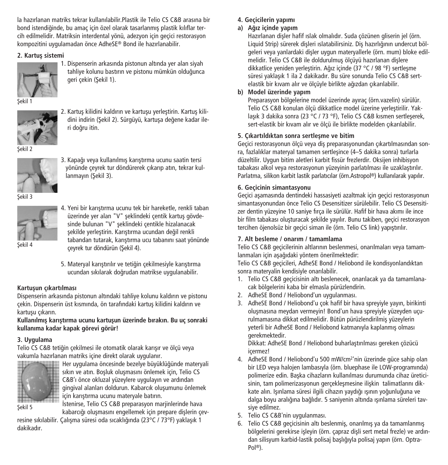la haz›rlanan matriks tekrar kullan›labilir.Plastik ile Telio CS C&B arasına bir bond istendiğinde, bu amaç için özel olarak tasarlanmış plastik kılıflar tercih edilmelidir. Matriksin interdental yönü, adezyon için geçici restorasyon kompozitini uygulamadan önce AdheSE® Bond ile hazırlanabilir.

# **2.** Kartus sistemi



1. Dispenserin arkasında pistonun altında yer alan siyah tahliye kolunu bastırın ve pistonu mümkün olduğunca geri çekin (Sekil 1).

Sekil 1



2. Kartuş kilidini kaldırın ve kartuşu yerleştirin. Kartuş kilidini indirin (Sekil 2). Sürgüyü, kartusa değene kadar ileri do¤ru itin.



3. Kapağı veya kullanılmış karıştırma ucunu saatin tersi yönünde çeyrek tur döndürerek çıkarıp atın, tekrar kullanmayın (Sekil 3).

Sekil 3



4. Yeni bir karıştırma ucunu tek bir hareketle, renkli taban üzerinde yer alan "V" şeklindeki çentik kartuş gövdesinde bulunan "V" seklindeki centikle hizalanacak sekilde verlestirin. Karıstırma ucundan değil renkli tabandan tutarak, karıstırma ucu tabanını saat yönünde çeyrek tur döndürün (Sekil 4).

5. Materyal karıstırılır ve tetiğin çekilmesiyle karıştırma ucundan sıkılarak do¤rudan matrikse uygulanabilir.

### **Kartusun cıkartılması**

Dispenserin arkasında pistonun altındaki tahliye kolunu kaldırın ve pistonu çekin. Dispenserin üst kısmında, ön tarafındaki kartus kilidini kaldırın ve kartusu cıkarın.

**Kullanılmıfl karıfltırma ucunu kartuflun üzerinde bırakın. Bu uç sonraki kullanıma kadar kapak görevi görür!**

# **3. Uygulama**

Telio CS C&B tetiğin çekilmesi ile otomatik olarak karısır ve ölçü veya vakumla hazırlanan matriks içine direkt olarak uygulanır.



Her uygulama öncesinde bezelye büyüklü¤ünde materyali sıkın ve atın. Boşluk oluşmasını önlemek için, Telio CS C&B'ı önce okluzal yüzeylere uygulayın ve ardından gingival alanları doldurun. Kabarcık oluşumunu önlemek için karıştırma ucunu materyale batırın.

Sekil 5

İstenirse, Telio CS C&B preparasyon marjinlerinde hava kabarcığı oluşmasını engellemek için prepare dişlerin çev-

resine sıkılabilir. Çalışma süresi oda sıcaklığında (23°C / 73°F) yaklaşık 1 dakikadır.

# **4. Geçicilerin yap›m›**

# **a) A¤›z içinde yap›m**

Hazırlanan dişler hafif ıslak olmalıdır. Suda çözünen gliserin jel (örn. Liquid Strip) sürerek disleri ıslatabilirsiniz. Dis hazırlığının undercut bölgeleri veya yanlardaki disler uygun materyallerle (örn. mum) bloke edilmelidir. Telio CS C&B ile doldurulmus ölçüyü hazırlanan dislere dikkatlice veniden verlestirin. Ağız içinde (37 °C / 98 °F) sertlesme süresi vaklasık 1 ila 2 dakikadır. Bu süre sonunda Telio CS C&B sertelastik bir kıvam alır ve ölçüyle birlikte a¤ızdan çıkarılabilir.

## **b) Model üzerinde yap›m**

Preparasyon bölgelerine model üzerinde ayıraç (örn.yazelin) sürülür. Telio CS C&B konulan ölçü dikkatlice model üzerine verleştirilir. Yaklaşık 3 dakika sonra (23 °C / 73 °F), Telio CS C&B kısmen sertleşerek, sert-elastik bir kıvam alır ve ölçü ile birlikte modelden çıkarılabilir.

## **5. Ç›kart›ld›ktan sonra sertleflme ve bitim**

Gecici restorasyonun ölcü veya dis preparasyonundan çıkartılmasından sonra, fazlalıklar materyal tamamen sertlesince (4–5 dakika sonra) turlarla düzeltilir. Uygun bitim aletleri karbit fissür frezlerdir. Oksijen inhibisyon tabakası alkol veya restorasyonun yüzeyinin parlatılması ile uzaklaştırılır. Parlatma, silikon karbit lastik parlatıcılar (örn.Astropol®) kullanılarak yapılır.

## **6. Geçicinin simantasyonu**

Geçici aşamasında dentindeki hassasiyeti azaltmak için geçici restorasyonun simantasyonundan önce Telio CS Desensitizer sürülebilir. Telio CS Desensitizer dentin yüzeyine 10 saniye fırça ile sürülür. Hafif bir hava akımı ile ince bir film tabakası oluşturacak şekilde yayılır. Bunu takiben, geçici restorasyon tercihen öjenolsüz bir geçici siman ile (örn. Telio CS link) yapıştırılır.

# **7. Alt besleme / onarım / tamamlama**

Telio CS C&B geçicilerinin altlarının beslenmesi, onarılmaları veya tamamlanmaları için aşağıdaki yöntem önerilmektedir:

Telio CS C&B geçicileri, AdheSE Bond / Heliobond ile kondisyonlandıktan sonra materyalin kendisiyle onarılabilir.

- 1. Telio CS C&B geçicisinin altı beslenecek, onarılacak ya da tamamlanacak bölgelerini kaba bir elmasla pürüzlendirin.
- 2. AdheSE Bond / Heliobond'un uygulanması.
- 3. AdheSE Bond / Heliobond'u çok hafif bir hava spreyiyle yayın, birikinti oluşmasına meydan vermeyin! Bond'un hava spreyiyle yüzeyden uçurulmamasına dikkat edilmelidir. Bütün pürüzlendirilmiş yüzeylerin yeterli bir AdheSE Bond / Heliobond katmanıyla kaplanmış olması gerekmektedir.

Dikkat: AdheSE Bond / Heliobond buharlaştırılması gereken çözücü içermez!

- 4. AdheSE Bond / Heliobond'u 500 mW/cm2'nin üzerinde güce sahip olan bir LED veya halojen lambasıyla (örn. bluephase ile LOW-programında) polimerize edin. Başka cihazların kullanılması durumunda cihaz üreticisinin, tam polimerizasyonun gerçekleşmesine ilişkin talimatlarını dikkate alın. Isınlama süresi ilgili cihazın yaydığı ısının yoğunluğuna ve dalga boyu aralığına bağlıdır. 5 saniyenin altında ışınlama süreleri tavsiye edilmez.
- 5. Telio CS C&B'nin uygulanması.
- 6. Telio CS C&B geçicisinin altı beslenmiş, onarılmış ya da tamamlanmış bölgelerini gerekirse işleyin (örn. çapraz dişli sert metal frezle) ve ardından silisyum karbid-lastik polisaj başlığıyla polisaj yapın (örn. Optra-Pol ®).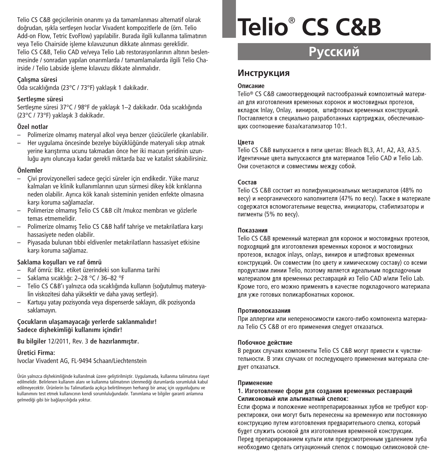Telio CS C&B geçicilerinin onarımı ya da tamamlanması alternatif olarak doğrudan, ısıkla sertlesen Ivoclar Vivadent kompozitlerle de (örn. Telio Add-on Flow, Tetric EvoFlow) yapılabilir. Burada ilgili kullanma talimatının veya Telio Chairside isleme kılavuzunun dikkate alınması gereklidir. Telio CS C&B, Telio CAD ve/veya Telio Lab restorasyonlarının altının beslenmesinde / sonradan yapılan onarımlarda / tamamlamalarda ilgili Telio Chairside / Telio Labside iflleme kılavuzu dikkate alınmalıdır.

#### **Çal›flma süresi**

Oda sıcaklığında (23°C / 73°F) yaklaşık 1 dakikadır.

#### **Sertleflme süresi**

Sertlesme süresi 37°C / 98°F de yaklasık 1–2 dakikadır. Oda sıcaklığında (23°C / 73°F) yaklasık 3 dakikadır.

#### **Özel notlar**

- Polimerize olmamış materyal alkol veya benzer çözücülerle çıkarılabilir.
- Her uygulama öncesinde bezelye büyüklü¤ünde materyali sıkıp atmak yerine karıştırma ucunu takmadan önce her iki macun seridinin uzunlu¤u aynı oluncaya kadar gerekli miktarda baz ve katalist sıkabilirsiniz.

#### **Önlemler**

- Çivi provizyonelleri sadece geçici süreler için endikedir. Yüke maruz kalmaları ve klinik kullanımlarının uzun sürmesi dikey kök kırıklarına neden olabilir. Ayrıca kök kanalı sisteminin yeniden enfekte olmasına karsı koruma sağlamazlar.
- Polimerize olmamış Telio CS C&B cilt /mukoz membran ve gözlerle temas etmemelidir.
- $-$  Polimerize olmamış Telio CS C&B hafif tahrise ve metakrilatlara karşı hassasiyete neden olabilir.
- Piyasada bulunan tıbbi eldivenler metakrilatların hassasiyet etkisine karsı koruma sağlamaz.

#### **Saklama koflullar› ve raf ömrü**

- Raf ömrü: Bkz. etiket üzerindeki son kullanma tarihi
- Saklama sıcaklı¤ı: 2–28 °C / 36–82 °F
- Telio CS C&B'ı yalnızca oda sıcaklığında kullanın (soğutulmuş materyalin viskozitesi daha yüksektir ve daha yavas sertlesir).
- Kartusu yatay pozisyonda yeya dispenserde saklayın, dik pozisyonda saklamayın.

#### **Çocuklar›n ulaflamayaca¤› yerlerde saklanmal›d›r! Sadece diflhekimli¤i kullan›m› içindir!**

**Bu bilgiler** 12/2011, Rev. 3 **de haz›rlanm›flt›r.**

**Üretici Firma:** Ivoclar Vivadent AG, FL-9494 Schaan/Liechtenstein

Ürün yalnızca dişhekimliğinde kullanılmak üzere geliştirilmiştir. Uygulamada, kullanma talimatına riayet edilmelidir. Belirlenen kullanım alanı ve kullanma talimatının izlenmediği durumlarda sorumluluk kabul edilmeyecektir. Ürünlerin bu Talimatlarda açıkça belirtilmeyen herhangi bir amaç için uygunluğunu ve kullanımını test etmek kullanıcının kendi sorumluluğundadır. Tanımlama ve bilgiler garanti anlamına gelmediği gibi bir bağlayıcılığıda yoktur.

# **Telio**® **CS C&B**

# **Русский**

# **Инструкция**

#### **Описание**

Telio® CS C&B самоотвердеющий пастообразный композитный материал лля изготовления временных коронок и мостовилных протезов. вклалок Inlay, Onlay, виниров, штифтовых временных конструкций. Поставляется в специально разработанных картриджах, обеспечивающих соотношение база/катализатор 10:1.

#### **Швета**

Telio CS C&B выпускается в пяти цветах: Bleach BL3, A1, A2, A3, A3.5. Идентичные цвета выпускаются для материалов Telio CAD и Telio Lab. Они сочетаются и совместимы межлу собой.

#### $Co**CT**$ ав

Telio CS C&B состоит из полифункциональных метакрилатов (48% по весу) и неорганического наполнителя (47% по весу). Также в материале солержатся вспомогательные вешества, инициаторы, стабилизаторы и пигменты (5% по весу).

#### **Показания**

Telio CS C&B временный материал лля коронок и мостовилных протезов. подходящий для изготовления временных коронок и мостовидных протезов, вкладок inlays, onlays, виниров и штифтовых временных конструкций. Он совместим (по цвету и химическому составу) со всеми продуктами линии Telio, поэтому является идеальным подкладочным материалом лля временных реставраций из Telio CAD и/или Telio Lab. Кроме того, его можно применять в качестве подкладочного материала лля уже готовых поликарбонатных коронок.

#### Противопоказания

При аллергии или непереносимости какого-либо компонента материала Telio CS C&B от его применения спелует отказаться.

#### Побочное лействие

В релких случаях компоненты Telio CS С&В могут привести к чувствительности. В этих случаях от последующего применения материала следует отказаться.

#### **Применение**

#### 1. Изготовление форм для создания временных реставраций Силиконовый или альгинатный слепок:

Если форма и положение неотпрепарированных зубов не требуют корректировки, они могут быть перенесены на временную или постоянную КОНСТРУКЦИЮ ПУТ<del>ОМ ИЗГОТОВЛОНИЯ ПРОЛВАРИТОЛЬНОГО СЛОПКА, КОТОРЫЙ</del> булет служить основой лля изготовления временной конструкции. Перед препарированием культи или предусмотренным удалением зуба необходимо сделать ситуационный слепок с помощью силиконовой сле-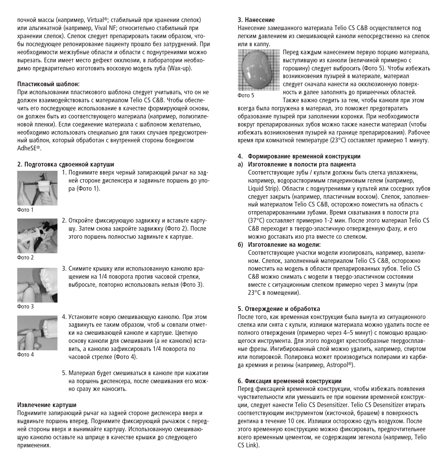почной массы (например, Virtual®; стабильный при хранении слепок) или альгинатной (налример, Vival NF; относительно стабильный лри хранении слепок). Слепок следует препарировать таким образом, чтобы послелующее репонирование пациенту прошло без затрулнений. При необхолимости межзубные области и области с полнутрениями можно вырезать. Если имеет место лефект окклюзии, в лаборатории необхо-KUMO DDERADITERHO KATOTORKITA ROCKORVIO MORERA (WAX-UD)

#### Пластиковый шаблон:

При использовании пластикового шаблона слелует учитывать, что он не должен взаимодействовать с материалом Telio CS C&B. Чтобы обеспе-\_.<br>Чить его послелующее использование в качестве формирующей основы. он должен быть из соответствующего материала (например, полиэтиленовой пленки). Если соединение материала с шаблоном желательно, необходимо использовать специально для таких случаев предусмотренный шаблон, который обработан с внутренней стороны бонлингом AdheSE®.

#### $2.$  Полготовка слвоенной картуши



1. Полнимите вверх черный запирающий рычаг на залней стороне лиспенсера и залвиньте поршень ло упора (Фото 1).

**Φ**∩το 1



2. Откройте фиксирующую задвижку и вставьте картушу. Затем снова закройте залвижку (Фото 2). После этого поршень полностью задвиньте к картуше.

Фото 2



3. Снимите крышку или использованную канюлю вращением на 1/4 поворота против часовой стрелки, выбросьте, повторно использовать нельзя (Фото 3).

fioto<sup>3</sup>



Фото 4

- 4. Установите новую смешивающую канюлю. При этом задвинуть ее таким образом, чтоб ы совпали отметки на смешивающей канюле и картуше. Цветную основу канюли лля смешивания (а не канюлю) вставить, а канюлю зафиксировать 1/4 поворота по часовой стрелке (Фото 4).
- 5. Материал будет смешиваться в канюле при нажатии на поршень диспенсера, после смешивания его можно сразу же наносить.

#### Извлечение картуши

Полнимите запирающий рычаг на залней стороне лиспенсера вверх и вылвиньте поршень вперел. Полнимите фиксирующий рычажок с перелней стороны вверх и вынимайте картушу. Использованную смешивающую канюлю оставьте на шприце в качестве крышки до следующего применения.

#### **2. Houecouse**

Нанесение замешанного материала Telio CS C&B осуществляется пол легким давлением из смешивающей канюли непосредственно на слепок KIN B KANDY.



Перед каждым нанесением первую порцию материала, выступившую из канюли (величиной примерно с горошину) спелует выбросить (Фото 5). Чтобы избежать возникновения пузырей в материале, материал спелует сначала нанести на окклюзионную поверхность и лалее заполнять по пришеечных областей. Также важно слелить за тем, чтобы канюля при этом

всегла была погружена в материал, это поможет прелотвратить образование пузырей при заполнении коронки. При необходимости вокруг препарированных зубов можно также нанести материал (чтобы избежать возникновения пузырей на границе препарирования). Рабочее время при комнатной температуре (23°C) составляет примерно 1 минуту.

#### $4.$  Формирование временной конструкции **a**) Изготовление в полости рта пациента

Соответствующие зубы / купьти лопжны быть спегка увлажнены. например, волорастворимым глицериновым гелем (например, Liquid Strip). Области с полнутрениями у культей или соселних зубов спелует закрыть (например, пластичным воском). Спелок, заполненный материалом Telio CS C&B, осторожно поместить на область с отпрепарированными зубами. Время схватывания в полости рта (37°C) составляет примерно 1-2 мин. После этого материал Telio CS С&В перехолит в тверло-эластичную отвержленную фазу, и его можно доставать изо рта вместе со слепком.

#### $\delta$ ) Изготовление на молели:

Соответствующие участки модели изолировать, например, вазелином. Слепок, заполненный материалом Telio CS C&B, осторожно поместить на молель в области препарированных зубов. Telio CS C&B можно снимать с модели в твердо-эластичном состоянии вместе с ситуационным спепком примерно через 3 минуты (при 23°С в помешении).

#### $5.$  Отвержление и обработка

После того, как временная конструкция была вынута из ситуационного слепка или снята с культи, излишки материала можно удалить после ее полного отвержления (примерно через 4–5 минут) с помощью вращающегося инструмента. Для этого подходят крестообразные твердосплавные фрезы. Ингибированный слой можно удалить, например, спиртом или полировкой. Полировка может произволиться полирами из карбида кремния и резины (например, Astropol®).

#### $6.$  Фиксация временной конструкции

Перел фиксацией временной конструкции, чтобы избежать появления ЧУВСТВИТЕЛЬНОСТИ ИЛИ УМЕНЬШИТЬ ЕЕ ПРИ НОШЕНИИ ВРЕМЕННОЙ КОНСТРУКции, следует нанести Telio CS Desensitizer. Telio CS Desensitizer втирать СООТВЕТСТВУЮЩИМ ИНСТРУМЕНТОМ (КИСТОЧКОЙ, брашем) в поверхность лентина в течение 10 сек. Излишки осторожно слуть возлухом. После этого временную конструкцию можно фиксировать, прелпочтительнее всего временным цементом, не содержащим эвгенола (например, Telio CS Link).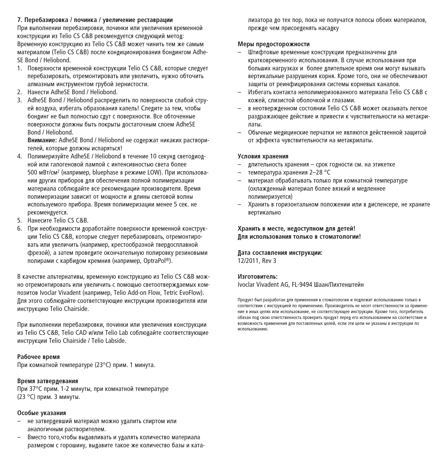#### **7.** Перебазировка / починка / увеличение реставрации

При выполнении перебазировки, починки или увеличения временной конструкции из Telio CS C&B рекомендуется следующий метод: Bременную конструкцию из Telio CS C&B может чинить тем же самым материалом (Telio CS C&B) после конлиционирования бонлингом Adhe-SE Bond / Heliobond.

- 1. Поверхности временной конструкции Telio CS C&B, которые спелует перебазировать, отремонтировать или увеличить, нужно обточить апмазным инструментом грубой зернистости.
- 2. Нанести AdheSE Bond / Heliobond.
- 3. AdheSE Bond / Heliobond распрелелить по поверхности слабой стру-AŘ ROZBYZA, KAČETAT, OODARAHUS KABERL ČREBITER A TEM, UTOĎN бондинг не был полностью сдут с поверхности. Все обточенные поверхности лопжны быть покрыты лостаточным споем AdheSE Bond / Heliobond.

**Внимание:** AdheSE Bond / Heliobond не содержат никаких растворителей, которые лолжны испаряться!

- 4. Полимеризуйте AdheSE / Heliobond в течение 10 секунл светолиолной или галогеновой лампой с интенсивностью света более 500 мВт/см<sup>2</sup> (например, bluephase в режиме LOW). При использовании лругих приборов лля обеспечения полной полимеризации материала соблюлайте все рекоменлации произволителя. Время ПОПИМЕРИЗАЦИИ ЗАВИСИТ ОТ МОШНОСТИ И ЛЛИНЫ СВЕТОВОЙ ВОЛНЫ используемого прибора. Время полимеризации менее 5 сек. не DeKOMeHNVeTCA.
- 5. Нанесите Telio CS С&B.
- 6. При необхолимости лоработайте поверхности временной конструкции Telio CS C&B, которые следует перебазировать, отремонтировать или увеличить (например, крестообразной твердосплавной фрезой), а затем проведите окончательную полировку резиновыми полирами с карбидом кремния (например, OptraPol®).

В качестве альтернативы, временную конструкцию из Telio CS C&B мож-НО ОТРЕМОНТИРОВАТЬ ИЛИ УВЕЛИЧИТЬ С ПОМОШЬЮ СВЕТООТВЕРЖЛАЕМЫХ КОМпозитов Ivoclar Vivadent (например, Telio Add-on Flow, Tetric EvoFlow). Пля этого соблюлайте соответствующие инструкции произволителя или инструкцию Telio Chairside.

При выполнении перебазировки, починки или увеличения конструкции из Telio CS C&B, Telio CAD и/или Telio Lab соблюлайте соответствующие инструкции Telio Chairside / Telio Labside.

#### Рабочее время

При комнатной температуре (23°C) прим. 1 минута.

#### **Время затверлевания**

При 37°С прим. 1-2 минуты, при комнатной температуре  $(23 °C)$  прим. 3 минуты

#### Особые указания

- не затверлевший материал можно улалить спиртом или аналогичным растворителем.
- Вместо того, чтобы выдавливать и удалять количество материала размером с горошину, выдавите такое же количество базы и ката-

ILEATO DA 1993 HOLD ON A GOD OF DAILY AND CONCORDING THE STOLEN OF A CHANGE OF A CHANGE OF A CHANGE OF A CHANGE DO WHO WAS DONE OF THE REAL PROPERTY

#### **Меры прелосторожности**

- Штифтовые временные конструкции предназначены для кратковременного использования. В случае использования при **ÓΟΠΝΙΙΝΎ Η ΑΓΟΥΧΚΑΥ Η** ΘΟΠΑΡ ΠΠΗΤΑΠΝΟΑ ΒΟΑΜΑ Ο Η ΜΟΓΥΤ ΒΝΑΝΒΑΤΙ вертикальные разрушения корня. Кроме того, они не обеспечивают защиты от реинфицирования системы корневых каналов.
- Избегать контакта неполимеризованного материала Telio CS C&B с кожей, слизистой оболочкой и глазами.
- **В НАОТВАЛЖЛАННОМ СОСТОЯНИИ TALIO CS C&B МОЖАТ ОКАЗЫВАТЬ ПАГКОА** раздражающее действие и привести к чувствительности на метакри-DATH.
- Обычные медицинские перчатки не являются действенной защитой от эффекта чувствительности на метакрилаты.

#### **Условия хранения**

- ллительность хранения срок голности см. на этикетке
- температура хранения 2–28 °С
- материал обрабатывать только при комнатной температуре (охлажленный материал более вязкий и мелленнее полимеризуется)
- Хранить в горизонтальном положении или в лисленсере, не храните вертикально

#### $X$ ранить в месте, нелоступном лля летей!  $\overline{\textbf{H}}$ ля использования только в стоматологии!

#### $\blacksquare$ ата составления инструкции: 12/2011, Rev 3

#### Изготовитель:

Ivoclar Vivadent AG, FL-9494 Шаан/Пихтенштейн

Продукт был разработан для применения в стоматологии и подлежит использованию только в СООТВЕТСТВИИ С ИНСТРУКЦИЕЙ ПО ПРИМЕНЕНИЮ. Произволитель не несет ответственности за примене-HIE R HIELY JIEDAY HOL HOOD-30BAHIE, HE COOTBETCTBVKIIIIE HICTOVKIIHH, KOOME TOCO, DOTDEĎHTED. Обязан пол свою ответственность проверить пролукт перел его использованием на соответствие и возможность применения для поставленных целей, если эти цели не указаны в инструкции по EÒDICACHEAN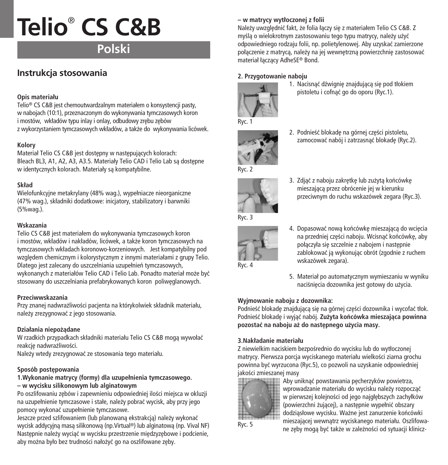# **Polski**

# **Instrukcja stosowania**

# **Opis materiału**

Telio® CS C&B jest chemoutwardzalnym materiałem o konsystencji pasty, w nabojach (10:1), przeznaczonym do wykonywania tymczasowych koron i mostów, wkładów typu inlay i onlay, odbudowy zrebu zebów z wykorzystaniem tymczasowych wkładów, a tak˝e do wykonywania licówek.

# **Kolory**

Materiał Telio CS C&B jest dostępny w następujących kolorach: Bleach BL3, A1, A2, A3, A3,5. Materiały Telio CAD i Telio Lab sa dostepne w identycznych kolorach. Materiały są kompatybilne.

# **Skład**

Wielofunkcyjne metakrylany (48% wag.), wypełniacze nieorganiczne (47% wag.), składniki dodatkowe: inicjatory, stabilizatory i barwniki (5%wag.).

# **Wskazania**

Telio CS C&B jest materiałem do wykonywania tymczasowych koron i mostów, wkładów i nakładów, licówek, a także koron tymczasowych na tymczasowych wkładach koronowo-korzeniowych. Jest kompatybilny pod względem chemicznym i kolorystycznym z innymi materiałami z grupy Telio. Dlatego jest zalecany do uszczelniania uzupełnień tymczasowych, wykonanych z materiałów Telio CAD i Telio Lab. Ponadto materiał może być stosowany do uszczelniania prefabrykowanych koron poliweglanowych.

# **Przeciwwskazania**

Przy znanej nadwrażliwości pacienta na którykolwiek składnik materiału, należy zrezygnować z jego stosowania.

# **Działania niepo˝àdane**

W rzadkich przypadkach składniki materiału Telio CS C&B mogà wywołaç reakcje nadwrażliwości.

Należy wtedy zrezygnować ze stosowania tego materiału.

# Sposób postepowania

# **1.Wykonanie matrycy (formy) dla uzupełnienia tymczasowego. – w wycisku silikonowym lub alginatowym**

Po oszlifowaniu zębów i zapewnieniu odpowiedniej ilości miejsca w okluzji na uzupełnienie tymczasowe i stałe, należy pobrać wycisk, aby przy jego pomocy wykonaç uzupełnienie tymczasowe.

Jeszcze przed szlifowaniem (lub planowaną ekstrakcją) należy wykonać wycisk addycyjną masą silikonową (np.Virtual®) lub alginatową (np. Vival NF) Nastepnie należy wyciąć w wycisku przestrzenie miedzyzebowe i podcienie, aby można było bez trudności nałożyć go na oszlifowane zeby.

# **– w matrycy wytłoczonej z folii**

Należy uwzględnić fakt, że folia łaczy się z materiałem Telio CS C&B. Z myślą o wielokrotnym zastosowaniu tego typu matrycy, należy użyć odpowiedniego rodzaju folii, np. polietylenowej. Aby uzyskaç zamierzone połaczenie z matryca, należy na jej wewnętrzna powierzchnie zastosować materiał łàczàcy AdheSE® Bond.

# **2. Przygotowanie naboju**



1. Nacisnąć dźwignie znajdującą się pod tłokiem pistoletu i cofnàç go do oporu (Ryc.1).



2. Podnieść blokadę na górnej części pistoletu, zamocować nabój i zatrzasnać blokade (Ryc.2).



3. Zdjąć z naboju zakrętkę lub zużytą końcówkę mieszajàcà przez obrócenie jej w kierunku przeciwnym do ruchu wskazówek zegara (Ryc.3).



- 4. Dopasować nowa końcówke mieszająca do wciecia na przedniej części naboju. Wcisnąć końcówkę, aby połączyła się szczelnie z nabojem i następnie zablokowaç jà wykonujàc obrót (zgodnie z ruchem wskazówek zegara).
- 5. Materiał po automatycznym wymieszaniu w wyniku naciśniecia dozownika jest gotowy do użycia.

# **Wyjmowanie naboju z dozownika:**

Podnieść blokadę znajdującą się na górnej części dozownika i wycofać tłok. Podnieść blokadę i wyjąć nabój. Zużyta końcówka mieszająca powinna **pozostaç na naboju a˝ do nast´pnego u˝ycia masy.**

# **3.Nakładanie materiału**

Z niewielkim naciskiem bezpośrednio do wycisku lub do wytłoczonej matrycy. Pierwsza porcia wyciskanego materiału wielkości ziarna grochu powinna byç wyrzucona (Ryc.5), co pozwoli na uzyskanie odpowiedniej jakości zmieszanej masy



Aby uniknąć powstawania pęcherzyków powietrza, wprowadzanie materiału do wycisku należy rozpocząć w pierwszej kolejności od jego najgłębszych zachyłków (powierzchni żującej), a następnie wypełnić obszary dodziąsłowe wycisku. Ważne jest zanurzenie końcówki mieszajàcej wewnàtrz wyciskanego materiału. Oszlifowanie zającej wewnątrz wyciskanego materiału. Oszmowa<br>ne zeby moga być także w zależności od sytuacji klinicz-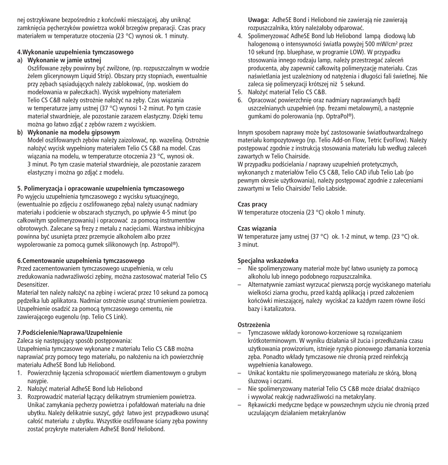nej ostrzykiwane bezpośrednio z końcówki mieszającej, aby uniknąć zamkniecia pecherzyków powietrza wokół brzegów preparacji. Czas pracy materiałem w temperaturze otoczenia (23 °C) wynosi ok. 1 minuty.

## **4.Wykonanie uzupełnienia tymczasowego**

# **a) Wykonanie w jamie ustnej**

Oszlifowane zeby powinny być zwilżone, (np. rozpuszczalnym w wodzie żelem glicerynowym Liquid Strip). Obszary przy stopniach, ewentualnie przy zębach sąsiadujących należy zablokować, (np. woskiem do modelowania w pałeczkach). Wycisk wypełniony materiałem Telio CS C&B należy ostrożnie nałożyć na zeby. Czas wiazania w temperaturze jamy ustnej (37 °C) wynosi 1-2 minut. Po tym czasie materiał stwardnieje, ale pozostanie zarazem elastyczny. Dzięki temu można go łatwo zdjąć z zębów razem z wyciskiem.

## **b) Wykonanie na modelu gipsowym**

Model oszlifowanych zebów należy zaizolować, np. wazelina. Ostrożnie nałożyć wycisk wypełniony materiałem Telio CS C&B na model. Czas wiàzania na modelu, w temperaturze otoczenia 23 °C, wynosi ok. 3 minut. Po tym czasie materiał stwardnieje, ale pozostanie zarazem elastyczny i można go zdiać z modelu.

## **5. Polimeryzacja i opracowanie uzupełnienia tymczasowego**

Po wyjęciu uzupełnienia tymczasowego z wycisku sytuacyjnego, (ewentualnie po zdjęciu z oszlifowanego zęba) należy usunąć nadmiary materiału i podcienie w obszarach stycznych, po upływie 4-5 minut (po całkowitym spolimeryzowaniu) i opracować za pomocą instrumentów obrotowych. Zalecane sa frezy z metalu z nacieciami. Warstwa inhibicyjna powinna być usunięta przez przemycie alkoholem albo przez wypolerowanie za pomocą gumek silikonowych (np. Astropol®).

#### **6.Cementowanie uzupełnienia tymczasowego**

Przed zacementowaniem tymczasowego uzupełnienia, w celu zredukowania nadwrażliwości zębiny, można zastosować materiał Telio CS Desensitizer.

Materiał ten należy nałożyć na zębinę i wcierać przez 10 sekund za pomocą pędzelka lub aplikatora. Nadmiar ostrożnie usunąć strumieniem powietrza. Uzupełnienie osadziç za pomocà tymczasowego cementu, nie zawierającego eugenolu (np. Telio CS Link).

# **7.PodÊcielenie/Naprawa/Uzupełnienie**

Zaleca się następujący sposób postępowania:

Uzupełnienia tymczasowe wykonane z materiału Telio CS C&B można naprawiać przy pomocy tego materiału, po nałożeniu na ich powierzchnię materiału AdheSE Bond lub Heliobond.

- 1. Powierzchnie łączenia schropowacić wiertłem diamentowym o grubym nasypie.
- 2. Nałożyć materiał AdheSE Bond lub Heliobond
- 3. Rozprowadzić materiał łączący delikatnym strumieniem powietrza. Unikać zamykania pecherzy powietrza i pofałdowań materiału na dnie ubytku. Należy delikatnie suszyć, gdyż łatwo jest przypadkowo usunąć całość materiału z ubytku. Wszystkie oszlifowane ściany zęba powinny zostaç przykryte materiałem AdheSE Bond/ Heliobond.

**Uwaga:** AdheSE Bond i Heliobond nie zawierajà nie zawierajà rozpuszczalnika, który należałoby odparować.

- 4. Spolimeryzować AdheSE Bond lub Heliobond lampa diodowa lub halogenowa o intensywności światła powyżej 500 mW/cm<sup>2</sup> przez 10 sekund (np. bluephase, w programie LOW). W przypadku stosowania innego rodzaju lamp, należy przestrzegać zaleceń producenta, aby zapewnić całkowita polimeryzacie materiału. Czas naświetlania jest uzależniony od nateżenia i długości fali świetlnej. Nie zaleca się polimeryzacji krótszej niż 5 sekund.
- 5. Nałożyć materiał Telio CS C&B.
- 6. Opracować powierzchnie oraz nadmiary naprawianych badź uszczelnianych uzupełnień (np. frezami metalowymi), a nastepnie gumkami do polerowania (np. OptraPol ®).

Innym sposobem naprawy może być zastosowanie światłoutwardzalnego materiału kompozytowego (np. Telio Add-on Flow, Tetric EvoFlow). Należy postepować zgodnie z instrukcja stosowania materiału lub według zaleceń zawartych w Telio Chairside.

W przypadku podścielania / naprawy uzupełnień protetycznych, wykonanych z materiałów Telio CS C&B, Telio CAD i/lub Telio Lab (po pewnym okresie użytkowania), należy postępować zgodnie z zaleceniami zawartymi w Telio Chairside/ Telio Labside.

## **Czas pracy**

W temperaturze otoczenia (23 °C) około 1 minuty.

#### **Czas wiàzania**

W temperaturze jamy ustnej (37 °C) ok. 1-2 minut, w temp. (23 °C) ok. 3 minut.

# **Specjalna wskazówka**

- Nie spolimeryzowany materiał może być łatwo usuniety za pomoca alkoholu lub innego podobnego rozpuszczalnika.
- Alternatywnie zamiast wyrzucać pierwszą porcję wyciskanego materiału wielkości ziarna grochu, przed każdą aplikacją i przed założeniem końcówki mieszającej, należy wyciskać za każdym razem równe ilości bazy i katalizatora.

#### **Ostrze˝enia**

- Tymczasowe wkłady koronowo-korzeniowe sà rozwiàzaniem krótkoterminowym. W wyniku działania sił żucia i przedłużania czasu użytkowania prowizorium, istnieje ryzyko pionowego złamania korzenia zęba. Ponadto wkłady tymczasowe nie chronią przed reinfekcją wypełnienia kanałowego.
- Unikaç kontaktu nie spolimeryzowanego materiału ze skórà, błonà śluzowa i oczami.
- Nie spolimeryzowany materiał Telio CS C&B może działać drażniąco i wywołać reakcie nadwrażliwości na metakrylany.
- Rekawiczki medyczne będące w powszechnym użyciu nie chronią przed uczulajàcym działaniem metakrylanów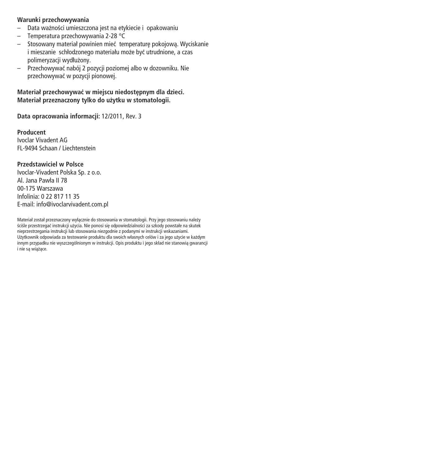# **Warunki przechowywania**

- Data wa˝noÊci umieszczona jest na etykiecie i opakowaniu
- Temperatura przechowywania 2-28 °C
- Stosowany materiał powinien mieç temperatur´ pokojowà. Wyciskanie i mieszanie schłodzonego materiału może być utrudnione, a czas polimeryzacji wydłużony.
- Przechowywaç nabój 2 pozycji poziomej albo w dozowniku. Nie przechowywaç w pozycji pionowej.

**Materiał przechowywaç w miejscu niedost´pnym dla dzieci. Materiał przeznaczony tylko do u˝ytku w stomatologii.**

**Data opracowania informacji:** 12/2011, Rev. 3

**Producent** Ivoclar Vivadent AG FL-9494 Schaan / Liechtenstein

# **Przedstawiciel w Polsce**

Ivoclar-Vivadent Polska Sp. z o.o. Al. Jana Pawła II 78 00-175 Warszawa Infolinia: 0 22 817 11 35 E-mail: info@ivoclarvivadent.com.pl

Materiał został przeznaczony wyłącznie do stosowania w stomatologii. Przy jego stosowaniu należy Eciśle przestrzegać instrukcji użycia. Nie ponosi się odpowiedzialności za szkody powstałe na skutek nieprzestrzegania instrukcji lub stosowania niezgodnie z podanymi w instrukcji wskazaniami. Użytkownik odpowiada za testowanie produktu dla swoich własnych celów i za jego użycie w każdym innym przypadku nie wyszczególnionym w instrukcji. Opis produktu i jego skład nie stanowia gwarancji i nie sà wià˝àce.